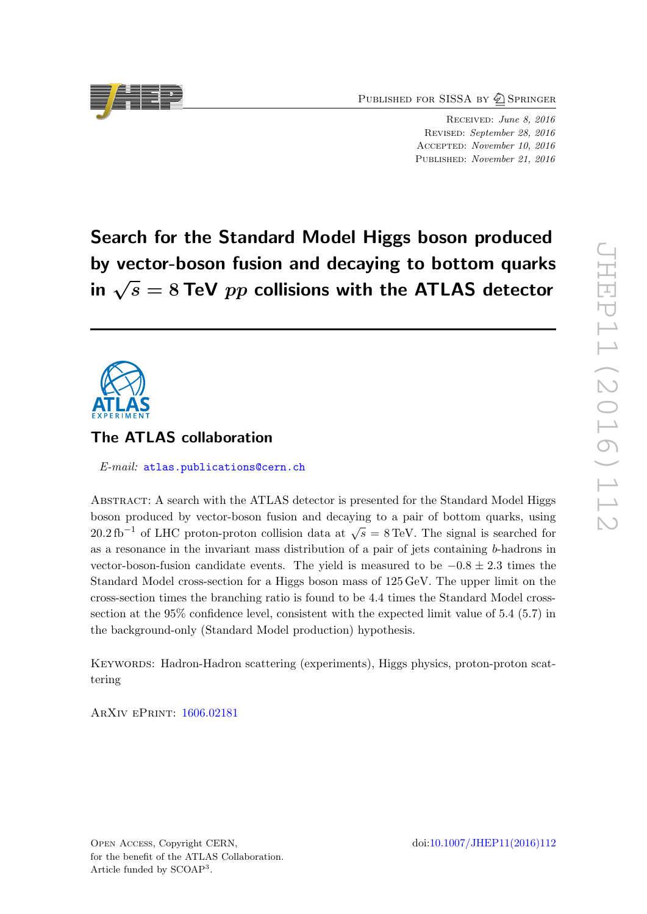PUBLISHED FOR SISSA BY 2 SPRINGER

Received: June 8, 2016 Revised: September 28, 2016 Accepted: November 10, 2016 PUBLISHED: November 21, 2016

# Search for the Standard Model Higgs boson produced by vector-boson fusion and decaying to bottom quarks in  $\sqrt{s} = 8$  TeV  $pp$  collisions with the ATLAS detector



# The ATLAS collaboration

E-mail: [atlas.publications@cern.ch](mailto:atlas.publications@cern.ch)

ABSTRACT: A search with the ATLAS detector is presented for the Standard Model Higgs boson produced by vector-boson fusion and decaying to a pair of bottom quarks, using 20.2 fb<sup>-1</sup> of LHC proton-proton collision data at  $\sqrt{s} = 8 \text{ TeV}$ . The signal is searched for as a resonance in the invariant mass distribution of a pair of jets containing b-hadrons in vector-boson-fusion candidate events. The yield is measured to be  $-0.8 \pm 2.3$  times the Standard Model cross-section for a Higgs boson mass of 125 GeV. The upper limit on the cross-section times the branching ratio is found to be 4.4 times the Standard Model crosssection at the 95% confidence level, consistent with the expected limit value of 5.4 (5.7) in the background-only (Standard Model production) hypothesis.

KEYWORDS: Hadron-Hadron scattering (experiments), Higgs physics, proton-proton scattering

ArXiv ePrint: [1606.02181](https://arxiv.org/abs/1606.02181)

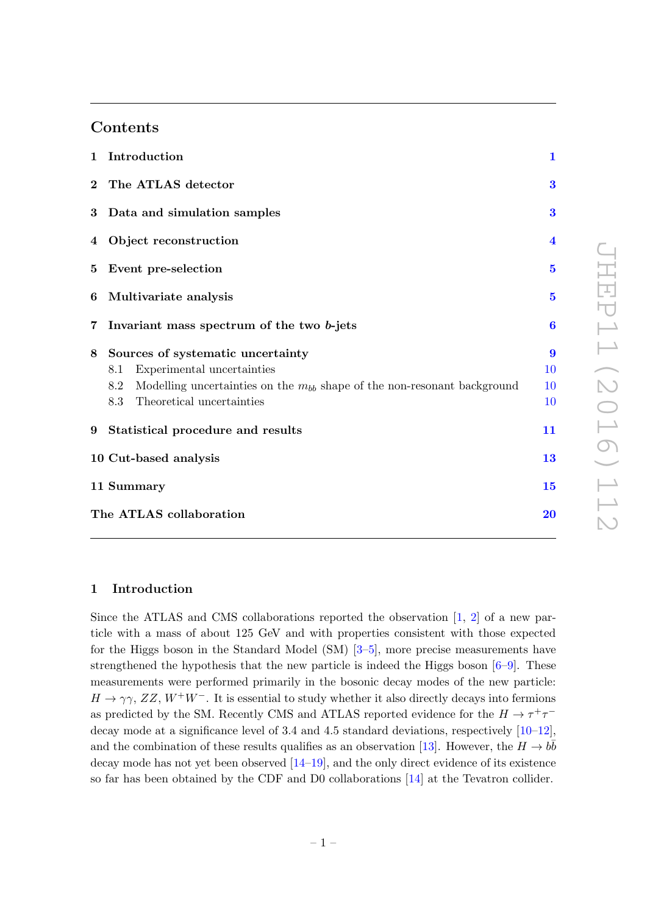# Contents

|             | 1 Introduction                                                                                                       | $\mathbf{1}$           |  |  |
|-------------|----------------------------------------------------------------------------------------------------------------------|------------------------|--|--|
|             | 2 The ATLAS detector                                                                                                 |                        |  |  |
|             | 3 Data and simulation samples                                                                                        |                        |  |  |
|             | 4 Object reconstruction                                                                                              |                        |  |  |
| $5^{\circ}$ | Event pre-selection                                                                                                  |                        |  |  |
| 6           | Multivariate analysis                                                                                                | $\overline{5}$         |  |  |
| 7           | Invariant mass spectrum of the two b-jets                                                                            | $\bf{6}$               |  |  |
| 8           | Sources of systematic uncertainty<br>Experimental uncertainties<br>8.1                                               | $\boldsymbol{9}$<br>10 |  |  |
|             | Modelling uncertainties on the $m_{bb}$ shape of the non-resonant background<br>8.2<br>8.3 Theoretical uncertainties | 10<br>10               |  |  |
|             | 9 Statistical procedure and results                                                                                  | 11                     |  |  |
|             | 10 Cut-based analysis                                                                                                | 13                     |  |  |
|             | 11 Summary                                                                                                           | 15                     |  |  |
|             | The ATLAS collaboration                                                                                              | 20                     |  |  |

# <span id="page-1-0"></span>1 Introduction

Since the ATLAS and CMS collaborations reported the observation [\[1,](#page-16-0) [2\]](#page-16-1) of a new particle with a mass of about 125 GeV and with properties consistent with those expected for the Higgs boson in the Standard Model (SM) [\[3–](#page-16-2)[5\]](#page-16-3), more precise measurements have strengthened the hypothesis that the new particle is indeed the Higgs boson  $[6-9]$  $[6-9]$ . These measurements were performed primarily in the bosonic decay modes of the new particle:  $H \to \gamma \gamma$ , ZZ,  $W^+W^-$ . It is essential to study whether it also directly decays into fermions as predicted by the SM. Recently CMS and ATLAS reported evidence for the  $H \to \tau^+\tau^$ decay mode at a significance level of 3.4 and 4.5 standard deviations, respectively  $[10-12]$  $[10-12]$ , and the combination of these results qualifies as an observation [\[13\]](#page-17-0). However, the  $H \to b\bar{b}$ decay mode has not yet been observed [\[14](#page-17-1)[–19\]](#page-17-2), and the only direct evidence of its existence so far has been obtained by the CDF and D0 collaborations [\[14\]](#page-17-1) at the Tevatron collider.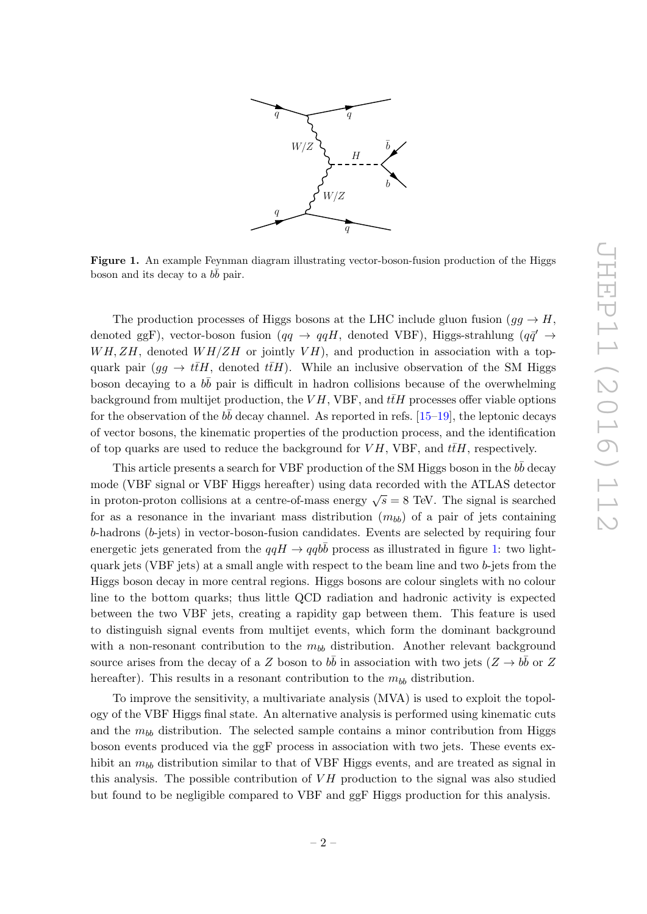<span id="page-2-0"></span>

Figure 1. An example Feynman diagram illustrating vector-boson-fusion production of the Higgs boson and its decay to a  $b\bar{b}$  pair.

The production processes of Higgs bosons at the LHC include gluon fusion  $(gq \rightarrow H,$ denoted ggF), vector-boson fusion  $(qq \rightarrow qqH,$  denoted VBF), Higgs-strahlung  $(q\bar{q}' \rightarrow$  $WH, ZH,$  denoted  $WH/ZH$  or jointly  $VH$ ), and production in association with a topquark pair ( $gg \to t\bar{t}H$ , denoted  $t\bar{t}H$ ). While an inclusive observation of the SM Higgs boson decaying to a  $b\bar{b}$  pair is difficult in hadron collisions because of the overwhelming background from multijet production, the VH, VBF, and  $t\bar{t}H$  processes offer viable options for the observation of the  $b\bar{b}$  decay channel. As reported in refs. [\[15](#page-17-3)[–19\]](#page-17-2), the leptonic decays of vector bosons, the kinematic properties of the production process, and the identification of top quarks are used to reduce the background for  $VH$ , VBF, and  $t\bar{t}H$ , respectively.

This article presents a search for VBF production of the SM Higgs boson in the  $b\bar{b}$  decay mode (VBF signal or VBF Higgs hereafter) using data recorded with the ATLAS detector in proton-proton collisions at a centre-of-mass energy  $\sqrt{s} = 8$  TeV. The signal is searched for as a resonance in the invariant mass distribution  $(m_{bb})$  of a pair of jets containing b-hadrons (b-jets) in vector-boson-fusion candidates. Events are selected by requiring four energetic jets generated from the  $qqH \rightarrow qqbb$  process as illustrated in figure [1:](#page-2-0) two lightquark jets (VBF jets) at a small angle with respect to the beam line and two b-jets from the Higgs boson decay in more central regions. Higgs bosons are colour singlets with no colour line to the bottom quarks; thus little QCD radiation and hadronic activity is expected between the two VBF jets, creating a rapidity gap between them. This feature is used to distinguish signal events from multijet events, which form the dominant background with a non-resonant contribution to the  $m_{bb}$  distribution. Another relevant background source arises from the decay of a Z boson to  $b\bar{b}$  in association with two jets  $(Z \to b\bar{b})$  or Z hereafter). This results in a resonant contribution to the  $m_{bb}$  distribution.

To improve the sensitivity, a multivariate analysis (MVA) is used to exploit the topology of the VBF Higgs final state. An alternative analysis is performed using kinematic cuts and the  $m_{bb}$  distribution. The selected sample contains a minor contribution from Higgs boson events produced via the ggF process in association with two jets. These events exhibit an  $m_{bb}$  distribution similar to that of VBF Higgs events, and are treated as signal in this analysis. The possible contribution of  $V$  H production to the signal was also studied but found to be negligible compared to VBF and ggF Higgs production for this analysis.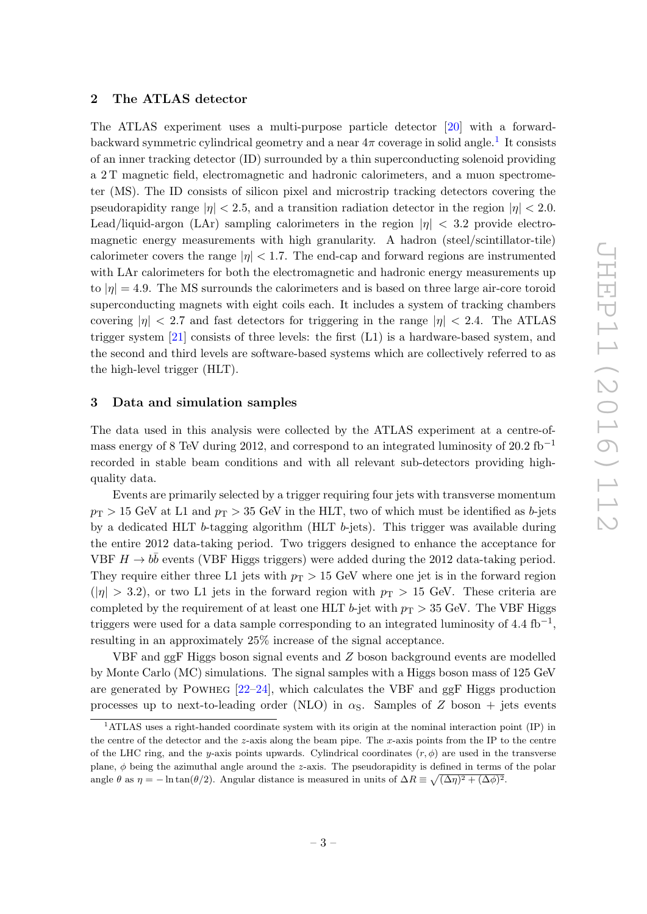## <span id="page-3-0"></span>2 The ATLAS detector

The ATLAS experiment uses a multi-purpose particle detector [\[20\]](#page-17-4) with a forwardbackward symmetric cylindrical geometry and a near  $4\pi$  coverage in solid angle.<sup>[1](#page-3-2)</sup> It consists of an inner tracking detector (ID) surrounded by a thin superconducting solenoid providing a 2 T magnetic field, electromagnetic and hadronic calorimeters, and a muon spectrometer (MS). The ID consists of silicon pixel and microstrip tracking detectors covering the pseudorapidity range  $|\eta| < 2.5$ , and a transition radiation detector in the region  $|\eta| < 2.0$ . Lead/liquid-argon (LAr) sampling calorimeters in the region  $|\eta| < 3.2$  provide electromagnetic energy measurements with high granularity. A hadron (steel/scintillator-tile) calorimeter covers the range  $|\eta| < 1.7$ . The end-cap and forward regions are instrumented with LAr calorimeters for both the electromagnetic and hadronic energy measurements up to  $|\eta| = 4.9$ . The MS surrounds the calorimeters and is based on three large air-core toroid superconducting magnets with eight coils each. It includes a system of tracking chambers covering  $|\eta| < 2.7$  and fast detectors for triggering in the range  $|\eta| < 2.4$ . The ATLAS trigger system  $[21]$  consists of three levels: the first  $(L1)$  is a hardware-based system, and the second and third levels are software-based systems which are collectively referred to as the high-level trigger (HLT).

## <span id="page-3-1"></span>3 Data and simulation samples

The data used in this analysis were collected by the ATLAS experiment at a centre-ofmass energy of 8 TeV during 2012, and correspond to an integrated luminosity of 20.2 fb<sup>-1</sup> recorded in stable beam conditions and with all relevant sub-detectors providing highquality data.

Events are primarily selected by a trigger requiring four jets with transverse momentum  $p_{\rm T} > 15$  GeV at L1 and  $p_{\rm T} > 35$  GeV in the HLT, two of which must be identified as b-jets by a dedicated HLT b-tagging algorithm (HLT b-jets). This trigger was available during the entire 2012 data-taking period. Two triggers designed to enhance the acceptance for VBF  $H \to b\bar{b}$  events (VBF Higgs triggers) were added during the 2012 data-taking period. They require either three L1 jets with  $p_T > 15$  GeV where one jet is in the forward region  $(|\eta| > 3.2)$ , or two L1 jets in the forward region with  $p_T > 15$  GeV. These criteria are completed by the requirement of at least one HLT b-jet with  $p_T > 35$  GeV. The VBF Higgs triggers were used for a data sample corresponding to an integrated luminosity of  $4.4 \text{ fb}^{-1}$ , resulting in an approximately 25% increase of the signal acceptance.

VBF and ggF Higgs boson signal events and Z boson background events are modelled by Monte Carlo (MC) simulations. The signal samples with a Higgs boson mass of 125 GeV are generated by Powheg [\[22–](#page-17-6)[24\]](#page-17-7), which calculates the VBF and ggF Higgs production processes up to next-to-leading order (NLO) in  $\alpha_{\rm S}$ . Samples of Z boson + jets events

<span id="page-3-2"></span><sup>1</sup>ATLAS uses a right-handed coordinate system with its origin at the nominal interaction point (IP) in the centre of the detector and the  $z$ -axis along the beam pipe. The  $x$ -axis points from the IP to the centre of the LHC ring, and the y-axis points upwards. Cylindrical coordinates  $(r, \phi)$  are used in the transverse plane,  $\phi$  being the azimuthal angle around the z-axis. The pseudorapidity is defined in terms of the polar angle  $\theta$  as  $\eta = -\ln \tan(\theta/2)$ . Angular distance is measured in units of  $\Delta R \equiv \sqrt{(\Delta \eta)^2 + (\Delta \phi)^2}$ .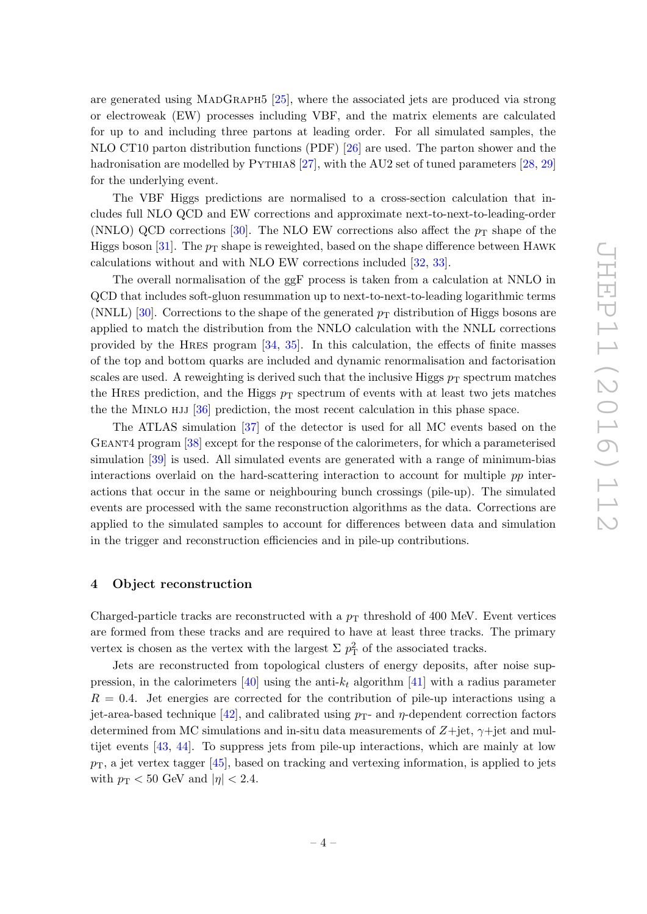are generated using MadGraph5 [\[25\]](#page-17-8), where the associated jets are produced via strong or electroweak (EW) processes including VBF, and the matrix elements are calculated for up to and including three partons at leading order. For all simulated samples, the NLO CT10 parton distribution functions (PDF) [\[26\]](#page-17-9) are used. The parton shower and the hadronisation are modelled by PYTHIA8 [\[27\]](#page-17-10), with the AU2 set of tuned parameters [\[28,](#page-17-11) [29\]](#page-18-0) for the underlying event.

The VBF Higgs predictions are normalised to a cross-section calculation that includes full NLO QCD and EW corrections and approximate next-to-next-to-leading-order (NNLO) QCD corrections [\[30\]](#page-18-1). The NLO EW corrections also affect the  $p_T$  shape of the Higgs boson [\[31\]](#page-18-2). The  $p_T$  shape is reweighted, based on the shape difference between HAWK calculations without and with NLO EW corrections included [\[32,](#page-18-3) [33\]](#page-18-4).

The overall normalisation of the ggF process is taken from a calculation at NNLO in QCD that includes soft-gluon resummation up to next-to-next-to-leading logarithmic terms (NNLL) [\[30\]](#page-18-1). Corrections to the shape of the generated  $p<sub>T</sub>$  distribution of Higgs bosons are applied to match the distribution from the NNLO calculation with the NNLL corrections provided by the Hres program [\[34,](#page-18-5) [35\]](#page-18-6). In this calculation, the effects of finite masses of the top and bottom quarks are included and dynamic renormalisation and factorisation scales are used. A reweighting is derived such that the inclusive Higgs  $p<sub>T</sub>$  spectrum matches the HRES prediction, and the Higgs  $p<sub>T</sub>$  spectrum of events with at least two jets matches the the MINLO HJJ  $[36]$  prediction, the most recent calculation in this phase space.

The ATLAS simulation [\[37\]](#page-18-8) of the detector is used for all MC events based on the Geant4 program [\[38\]](#page-18-9) except for the response of the calorimeters, for which a parameterised simulation [\[39\]](#page-18-10) is used. All simulated events are generated with a range of minimum-bias interactions overlaid on the hard-scattering interaction to account for multiple pp interactions that occur in the same or neighbouring bunch crossings (pile-up). The simulated events are processed with the same reconstruction algorithms as the data. Corrections are applied to the simulated samples to account for differences between data and simulation in the trigger and reconstruction efficiencies and in pile-up contributions.

#### <span id="page-4-0"></span>4 Object reconstruction

Charged-particle tracks are reconstructed with a  $p<sub>T</sub>$  threshold of 400 MeV. Event vertices are formed from these tracks and are required to have at least three tracks. The primary vertex is chosen as the vertex with the largest  $\Sigma$   $p_{\rm T}^2$  of the associated tracks.

Jets are reconstructed from topological clusters of energy deposits, after noise sup-pression, in the calorimeters [\[40\]](#page-18-11) using the anti- $k_t$  algorithm [\[41\]](#page-18-12) with a radius parameter  $R = 0.4$ . Jet energies are corrected for the contribution of pile-up interactions using a jet-area-based technique [\[42\]](#page-18-13), and calibrated using  $p_T$ - and  $\eta$ -dependent correction factors determined from MC simulations and in-situ data measurements of  $Z+$ jet,  $\gamma$ +jet and multijet events [\[43,](#page-18-14) [44\]](#page-18-15). To suppress jets from pile-up interactions, which are mainly at low  $p_{\rm T}$ , a jet vertex tagger [\[45\]](#page-18-16), based on tracking and vertexing information, is applied to jets with  $p_T < 50$  GeV and  $|\eta| < 2.4$ .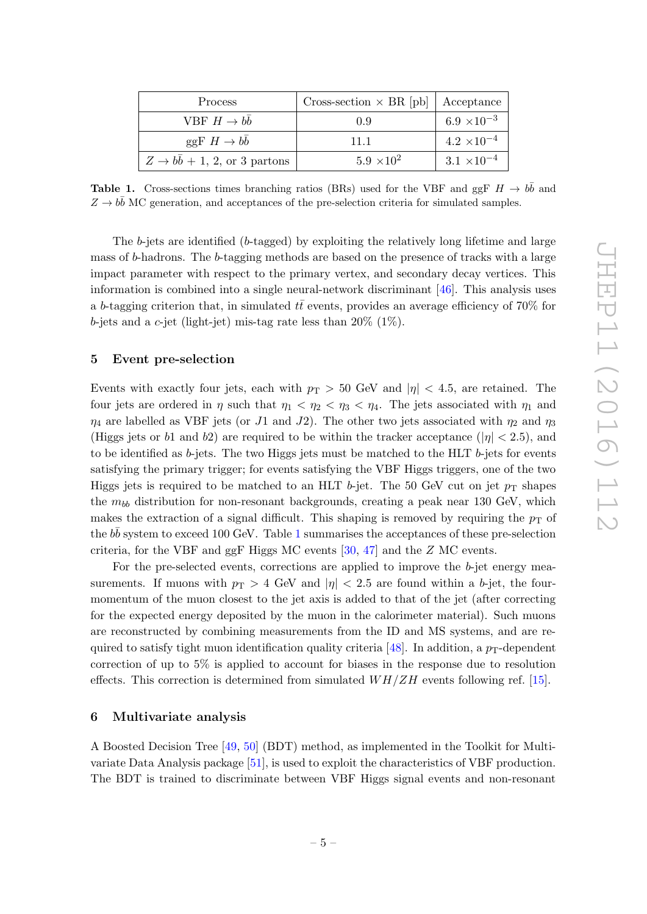<span id="page-5-2"></span>

| Process                                        | $Cross\text{-section} \times \text{BR}$ [pb] | Acceptance           |
|------------------------------------------------|----------------------------------------------|----------------------|
| VBF $H \rightarrow bb$                         | 0.9                                          | $6.9 \times 10^{-3}$ |
| $ggF$ $H \rightarrow bb$                       | 11 1                                         | $4.2 \times 10^{-4}$ |
| $Z \rightarrow b\bar{b} + 1, 2$ , or 3 partons | $5.9 \times 10^{2}$                          | $3.1 \times 10^{-4}$ |

**Table 1.** Cross-sections times branching ratios (BRs) used for the VBF and ggF  $H \to b\bar{b}$  and  $Z \rightarrow b\bar{b}$  MC generation, and acceptances of the pre-selection criteria for simulated samples.

The b-jets are identified (b-tagged) by exploiting the relatively long lifetime and large mass of b-hadrons. The b-tagging methods are based on the presence of tracks with a large impact parameter with respect to the primary vertex, and secondary decay vertices. This information is combined into a single neural-network discriminant [\[46\]](#page-18-17). This analysis uses a b-tagging criterion that, in simulated  $t\bar{t}$  events, provides an average efficiency of 70% for b-jets and a c-jet (light-jet) mis-tag rate less than  $20\%$  (1%).

# <span id="page-5-0"></span>5 Event pre-selection

Events with exactly four jets, each with  $p_T > 50$  GeV and  $|\eta| < 4.5$ , are retained. The four jets are ordered in  $\eta$  such that  $\eta_1 < \eta_2 < \eta_3 < \eta_4$ . The jets associated with  $\eta_1$  and  $\eta_4$  are labelled as VBF jets (or J1 and J2). The other two jets associated with  $\eta_2$  and  $\eta_3$ (Higgs jets or b1 and b2) are required to be within the tracker acceptance ( $|\eta| < 2.5$ ), and to be identified as  $b$ -jets. The two Higgs jets must be matched to the HLT  $b$ -jets for events satisfying the primary trigger; for events satisfying the VBF Higgs triggers, one of the two Higgs jets is required to be matched to an HLT b-jet. The 50 GeV cut on jet  $p_T$  shapes the  $m_{bb}$  distribution for non-resonant backgrounds, creating a peak near 130 GeV, which makes the extraction of a signal difficult. This shaping is removed by requiring the  $p<sub>T</sub>$  of the  $b\bar{b}$  system to exceed [1](#page-5-2)00 GeV. Table 1 summarises the acceptances of these pre-selection criteria, for the VBF and ggF Higgs MC events  $[30, 47]$  $[30, 47]$  $[30, 47]$  and the Z MC events.

For the pre-selected events, corrections are applied to improve the b-jet energy measurements. If muons with  $p_T > 4$  GeV and  $|\eta| < 2.5$  are found within a b-jet, the fourmomentum of the muon closest to the jet axis is added to that of the jet (after correcting for the expected energy deposited by the muon in the calorimeter material). Such muons are reconstructed by combining measurements from the ID and MS systems, and are re-quired to satisfy tight muon identification quality criteria [\[48\]](#page-19-0). In addition, a  $p_T$ -dependent correction of up to 5% is applied to account for biases in the response due to resolution effects. This correction is determined from simulated  $WH/ZH$  events following ref. [\[15\]](#page-17-3).

# <span id="page-5-1"></span>6 Multivariate analysis

A Boosted Decision Tree [\[49,](#page-19-1) [50\]](#page-19-2) (BDT) method, as implemented in the Toolkit for Multivariate Data Analysis package [\[51\]](#page-19-3), is used to exploit the characteristics of VBF production. The BDT is trained to discriminate between VBF Higgs signal events and non-resonant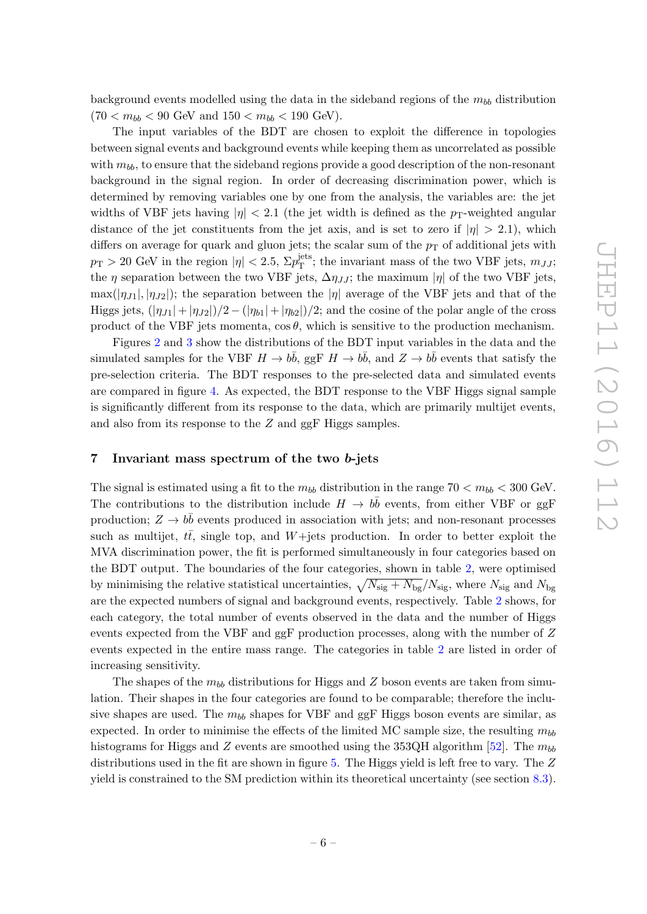background events modelled using the data in the sideband regions of the  $m_{bb}$  distribution  $(70 < m_{bb} < 90 \text{ GeV} \text{ and } 150 < m_{bb} < 190 \text{ GeV}).$ 

The input variables of the BDT are chosen to exploit the difference in topologies between signal events and background events while keeping them as uncorrelated as possible with  $m_{bb}$ , to ensure that the sideband regions provide a good description of the non-resonant background in the signal region. In order of decreasing discrimination power, which is determined by removing variables one by one from the analysis, the variables are: the jet widths of VBF jets having  $|\eta| < 2.1$  (the jet width is defined as the p<sub>T</sub>-weighted angular distance of the jet constituents from the jet axis, and is set to zero if  $|\eta| > 2.1$ , which differs on average for quark and gluon jets; the scalar sum of the  $p<sub>T</sub>$  of additional jets with  $p_T > 20$  GeV in the region  $|\eta| < 2.5$ ,  $\Sigma p_T^{\text{jets}}$  $T<sup>jets</sup>$ ; the invariant mass of the two VBF jets,  $m_{JJ}$ ; the  $\eta$  separation between the two VBF jets,  $\Delta \eta_{JJ}$ ; the maximum  $|\eta|$  of the two VBF jets,  $\max(|\eta_{J1}|, |\eta_{J2}|)$ ; the separation between the  $|\eta|$  average of the VBF jets and that of the Higgs jets,  $(|\eta_{J1}| + |\eta_{J2}|)/2 - (|\eta_{b1}| + |\eta_{b2}|)/2$ ; and the cosine of the polar angle of the cross product of the VBF jets momenta,  $\cos \theta$ , which is sensitive to the production mechanism.

Figures [2](#page-7-0) and [3](#page-8-0) show the distributions of the BDT input variables in the data and the simulated samples for the VBF  $H \to b\bar{b}$ , ggF  $H \to b\bar{b}$ , and  $Z \to b\bar{b}$  events that satisfy the pre-selection criteria. The BDT responses to the pre-selected data and simulated events are compared in figure [4.](#page-9-1) As expected, the BDT response to the VBF Higgs signal sample is significantly different from its response to the data, which are primarily multijet events, and also from its response to the Z and ggF Higgs samples.

# <span id="page-6-0"></span>7 Invariant mass spectrum of the two b-jets

The signal is estimated using a fit to the  $m_{bb}$  distribution in the range  $70 < m_{bb} < 300$  GeV. The contributions to the distribution include  $H \to b\bar{b}$  events, from either VBF or ggF production;  $Z \to b\bar{b}$  events produced in association with jets; and non-resonant processes such as multijet,  $t\bar{t}$ , single top, and W+jets production. In order to better exploit the MVA discrimination power, the fit is performed simultaneously in four categories based on the BDT output. The boundaries of the four categories, shown in table [2,](#page-7-1) were optimised by minimising the relative statistical uncertainties,  $\sqrt{N_{\text{sig}} + N_{\text{bg}}}/N_{\text{sig}}$ , where  $N_{\text{sig}}$  and  $N_{\text{bg}}$ are the expected numbers of signal and background events, respectively. Table [2](#page-7-1) shows, for each category, the total number of events observed in the data and the number of Higgs events expected from the VBF and ggF production processes, along with the number of Z events expected in the entire mass range. The categories in table [2](#page-7-1) are listed in order of increasing sensitivity.

The shapes of the  $m_{bb}$  distributions for Higgs and Z boson events are taken from simulation. Their shapes in the four categories are found to be comparable; therefore the inclusive shapes are used. The  $m_{bb}$  shapes for VBF and ggF Higgs boson events are similar, as expected. In order to minimise the effects of the limited MC sample size, the resulting  $m_{bb}$ histograms for Higgs and Z events are smoothed using the 353QH algorithm [\[52\]](#page-19-4). The  $m_{bb}$ distributions used in the fit are shown in figure [5.](#page-9-2) The Higgs yield is left free to vary. The Z yield is constrained to the SM prediction within its theoretical uncertainty (see section [8.3\)](#page-10-2).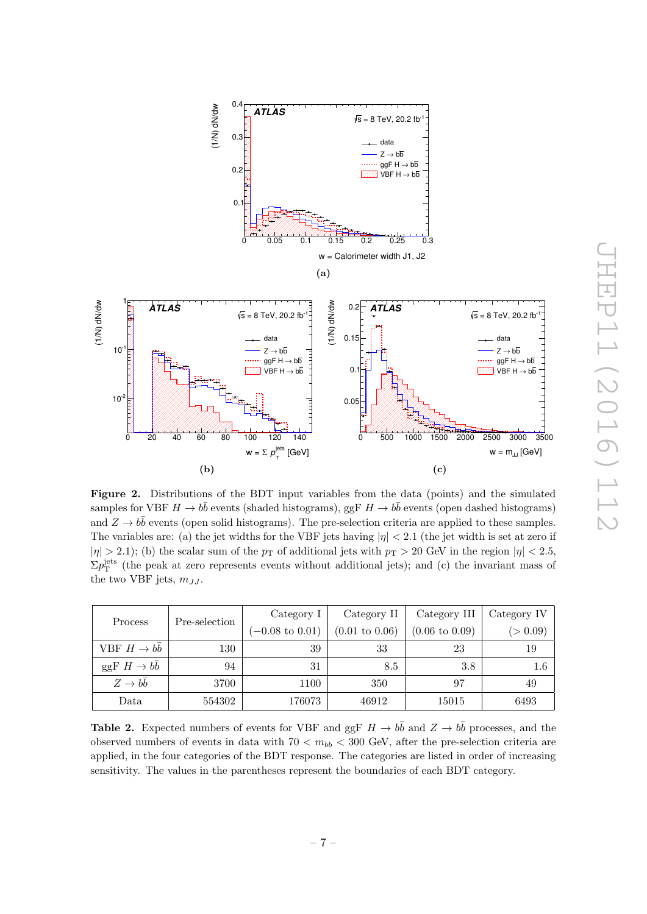<span id="page-7-0"></span>

Figure 2. Distributions of the BDT input variables from the data (points) and the simulated samples for VBF  $H \to b\bar{b}$  events (shaded histograms), ggF  $H \to b\bar{b}$  events (open dashed histograms) and  $Z \to b\bar{b}$  events (open solid histograms). The pre-selection criteria are applied to these samples. The variables are: (a) the jet widths for the VBF jets having  $|\eta| < 2.1$  (the jet width is set at zero if  $|\eta| > 2.1$ ); (b) the scalar sum of the  $p_T$  of additional jets with  $p_T > 20$  GeV in the region  $|\eta| < 2.5$ ,  $\Sigma p_{\rm T}^{\rm jets}$  (the peak at zero represents events without additional jets); and (c) the invariant mass of the two VBF jets,  $m_{JJ}$ .

<span id="page-7-1"></span>

| Process                   | Pre-selection | Category I                 | Category II               | Category III              | Category IV |
|---------------------------|---------------|----------------------------|---------------------------|---------------------------|-------------|
|                           |               | $(-0.08 \text{ to } 0.01)$ | $(0.01 \text{ to } 0.06)$ | $(0.06 \text{ to } 0.09)$ | (>0.09)     |
| VBF $H \rightarrow bb$    | 130           | 39                         | 33                        | 23                        | 19          |
| ggF $H \to b\overline{b}$ | 94            | 31                         | 8.5                       | 3.8                       | $1.6\,$     |
| $Z\to b\bar{b}$           | 3700          | 1100                       | 350                       | 97                        | 49          |
| Data                      | 554302        | 176073                     | 46912                     | 15015                     | 6493        |

**Table 2.** Expected numbers of events for VBF and ggF  $H \to b\bar{b}$  and  $Z \to b\bar{b}$  processes, and the observed numbers of events in data with  $70 < m_{bb} < 300$  GeV, after the pre-selection criteria are applied, in the four categories of the BDT response. The categories are listed in order of increasing sensitivity. The values in the parentheses represent the boundaries of each BDT category.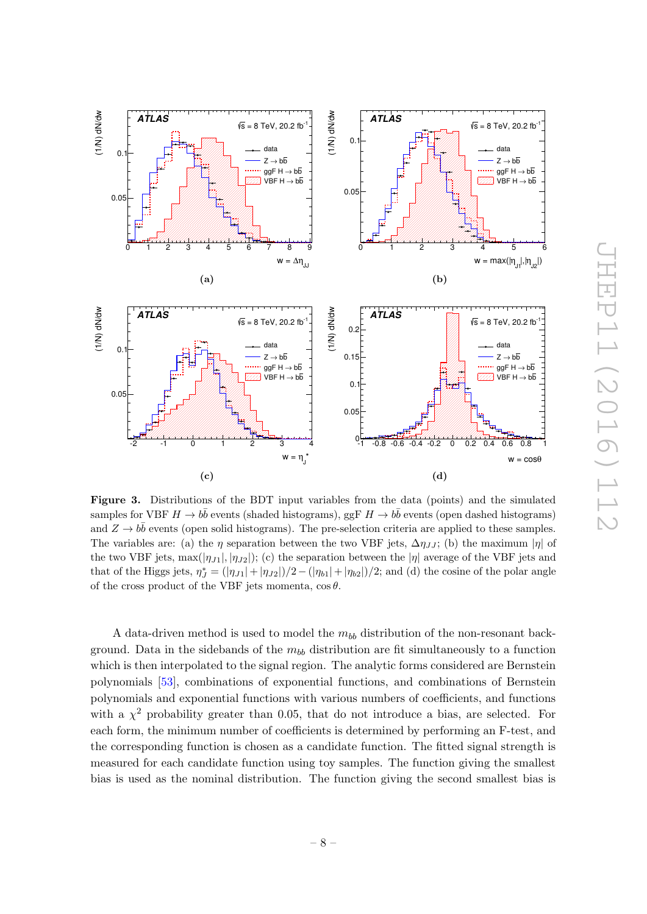<span id="page-8-0"></span>

Figure 3. Distributions of the BDT input variables from the data (points) and the simulated samples for VBF  $H \to b\bar{b}$  events (shaded histograms), ggF  $H \to b\bar{b}$  events (open dashed histograms) and  $Z \to b\bar{b}$  events (open solid histograms). The pre-selection criteria are applied to these samples. The variables are: (a) the  $\eta$  separation between the two VBF jets,  $\Delta \eta_{JJ}$ ; (b) the maximum  $|\eta|$  of the two VBF jets, max $(|\eta_{J1}|, |\eta_{J2}|)$ ; (c) the separation between the  $|\eta|$  average of the VBF jets and that of the Higgs jets,  $\eta_j^* = (|\eta_{J1}| + |\eta_{J2}|)/2 - (|\eta_{b1}| + |\eta_{b2}|)/2$ ; and (d) the cosine of the polar angle of the cross product of the VBF jets momenta,  $\cos \theta$ .

A data-driven method is used to model the  $m_{bb}$  distribution of the non-resonant background. Data in the sidebands of the  $m_{bb}$  distribution are fit simultaneously to a function which is then interpolated to the signal region. The analytic forms considered are Bernstein polynomials [\[53\]](#page-19-5), combinations of exponential functions, and combinations of Bernstein polynomials and exponential functions with various numbers of coefficients, and functions with a  $\chi^2$  probability greater than 0.05, that do not introduce a bias, are selected. For each form, the minimum number of coefficients is determined by performing an F-test, and the corresponding function is chosen as a candidate function. The fitted signal strength is measured for each candidate function using toy samples. The function giving the smallest bias is used as the nominal distribution. The function giving the second smallest bias is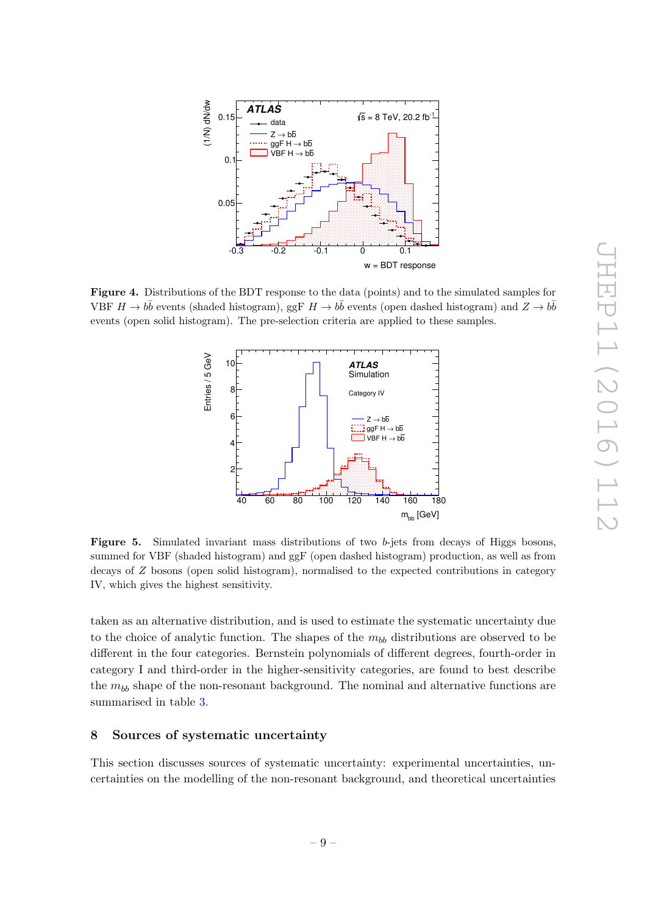<span id="page-9-1"></span>

<span id="page-9-2"></span>Figure 4. Distributions of the BDT response to the data (points) and to the simulated samples for VBF  $H \to b\bar{b}$  events (shaded histogram), ggF  $H \to b\bar{b}$  events (open dashed histogram) and  $Z \to b\bar{b}$ events (open solid histogram). The pre-selection criteria are applied to these samples.



Figure 5. Simulated invariant mass distributions of two b-jets from decays of Higgs bosons, summed for VBF (shaded histogram) and ggF (open dashed histogram) production, as well as from decays of Z bosons (open solid histogram), normalised to the expected contributions in category IV, which gives the highest sensitivity.

taken as an alternative distribution, and is used to estimate the systematic uncertainty due to the choice of analytic function. The shapes of the  $m_{bb}$  distributions are observed to be different in the four categories. Bernstein polynomials of different degrees, fourth-order in category I and third-order in the higher-sensitivity categories, are found to best describe the  $m_{bb}$  shape of the non-resonant background. The nominal and alternative functions are summarised in table [3.](#page-10-3)

# <span id="page-9-0"></span>8 Sources of systematic uncertainty

This section discusses sources of systematic uncertainty: experimental uncertainties, uncertainties on the modelling of the non-resonant background, and theoretical uncertainties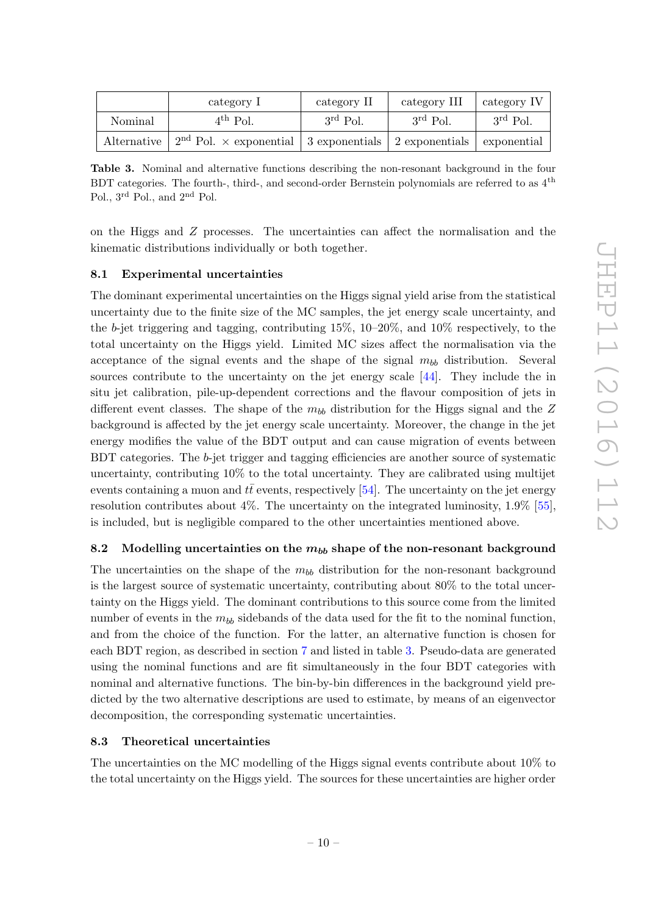<span id="page-10-3"></span>

|         | category I                                                                                                                      | category II       | category III      | category IV       |
|---------|---------------------------------------------------------------------------------------------------------------------------------|-------------------|-------------------|-------------------|
| Nominal | $4^{\text{th}}$ Pol.                                                                                                            | $3^{\rm rd}$ Pol. | $3^{\rm rd}$ Pol. | $3^{\rm rd}$ Pol. |
|         | Alternative $\vert$ 2 <sup>nd</sup> Pol. $\times$ exponential $\vert$ 3 exponentials $\vert$ 2 exponentials $\vert$ exponential |                   |                   |                   |

Table 3. Nominal and alternative functions describing the non-resonant background in the four BDT categories. The fourth-, third-, and second-order Bernstein polynomials are referred to as  $4<sup>th</sup>$ Pol., 3rd Pol., and 2nd Pol.

on the Higgs and Z processes. The uncertainties can affect the normalisation and the kinematic distributions individually or both together.

## <span id="page-10-0"></span>8.1 Experimental uncertainties

The dominant experimental uncertainties on the Higgs signal yield arise from the statistical uncertainty due to the finite size of the MC samples, the jet energy scale uncertainty, and the b-jet triggering and tagging, contributing  $15\%$ ,  $10-20\%$ , and  $10\%$  respectively, to the total uncertainty on the Higgs yield. Limited MC sizes affect the normalisation via the acceptance of the signal events and the shape of the signal  $m_{bb}$  distribution. Several sources contribute to the uncertainty on the jet energy scale [\[44\]](#page-18-15). They include the in situ jet calibration, pile-up-dependent corrections and the flavour composition of jets in different event classes. The shape of the  $m_{bb}$  distribution for the Higgs signal and the Z background is affected by the jet energy scale uncertainty. Moreover, the change in the jet energy modifies the value of the BDT output and can cause migration of events between BDT categories. The b-jet trigger and tagging efficiencies are another source of systematic uncertainty, contributing 10% to the total uncertainty. They are calibrated using multijet events containing a muon and  $t\bar{t}$  events, respectively [\[54\]](#page-19-6). The uncertainty on the jet energy resolution contributes about  $4\%$ . The uncertainty on the integrated luminosity,  $1.9\%$  [\[55\]](#page-19-7), is included, but is negligible compared to the other uncertainties mentioned above.

#### <span id="page-10-1"></span>8.2 Modelling uncertainties on the  $m_{bb}$  shape of the non-resonant background

The uncertainties on the shape of the  $m_{bb}$  distribution for the non-resonant background is the largest source of systematic uncertainty, contributing about 80% to the total uncertainty on the Higgs yield. The dominant contributions to this source come from the limited number of events in the  $m_{bb}$  sidebands of the data used for the fit to the nominal function, and from the choice of the function. For the latter, an alternative function is chosen for each BDT region, as described in section [7](#page-6-0) and listed in table [3.](#page-10-3) Pseudo-data are generated using the nominal functions and are fit simultaneously in the four BDT categories with nominal and alternative functions. The bin-by-bin differences in the background yield predicted by the two alternative descriptions are used to estimate, by means of an eigenvector decomposition, the corresponding systematic uncertainties.

# <span id="page-10-2"></span>8.3 Theoretical uncertainties

The uncertainties on the MC modelling of the Higgs signal events contribute about 10% to the total uncertainty on the Higgs yield. The sources for these uncertainties are higher order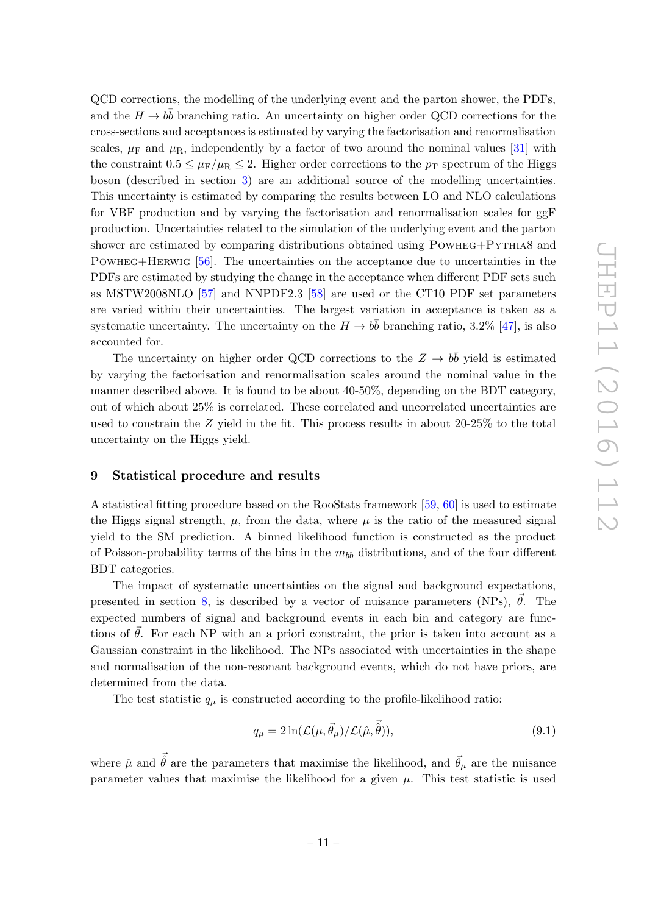QCD corrections, the modelling of the underlying event and the parton shower, the PDFs, and the  $H \to b\bar{b}$  branching ratio. An uncertainty on higher order QCD corrections for the cross-sections and acceptances is estimated by varying the factorisation and renormalisation scales,  $\mu_F$  and  $\mu_R$ , independently by a factor of two around the nominal values [\[31\]](#page-18-2) with the constraint  $0.5 \leq \mu$ <sub>F</sub>/ $\mu$ <sub>R</sub>  $\leq$  2. Higher order corrections to the  $p_T$  spectrum of the Higgs boson (described in section [3\)](#page-3-1) are an additional source of the modelling uncertainties. This uncertainty is estimated by comparing the results between LO and NLO calculations for VBF production and by varying the factorisation and renormalisation scales for ggF production. Uncertainties related to the simulation of the underlying event and the parton shower are estimated by comparing distributions obtained using POWHEG+PYTHIA8 and Powheg+Herwig [\[56\]](#page-19-8). The uncertainties on the acceptance due to uncertainties in the PDFs are estimated by studying the change in the acceptance when different PDF sets such as MSTW2008NLO [\[57\]](#page-19-9) and NNPDF2.3 [\[58\]](#page-19-10) are used or the CT10 PDF set parameters are varied within their uncertainties. The largest variation in acceptance is taken as a systematic uncertainty. The uncertainty on the  $H \to b\bar{b}$  branching ratio, 3.2% [\[47\]](#page-18-18), is also accounted for.

The uncertainty on higher order QCD corrections to the  $Z \to b\bar{b}$  yield is estimated by varying the factorisation and renormalisation scales around the nominal value in the manner described above. It is found to be about 40-50%, depending on the BDT category, out of which about 25% is correlated. These correlated and uncorrelated uncertainties are used to constrain the  $Z$  yield in the fit. This process results in about  $20-25\%$  to the total uncertainty on the Higgs yield.

# <span id="page-11-0"></span>9 Statistical procedure and results

A statistical fitting procedure based on the RooStats framework [\[59,](#page-19-11) [60\]](#page-19-12) is used to estimate the Higgs signal strength,  $\mu$ , from the data, where  $\mu$  is the ratio of the measured signal yield to the SM prediction. A binned likelihood function is constructed as the product of Poisson-probability terms of the bins in the  $m_{bb}$  distributions, and of the four different BDT categories.

The impact of systematic uncertainties on the signal and background expectations, presented in section [8,](#page-9-0) is described by a vector of nuisance parameters (NPs),  $\vec{\theta}$ . The expected numbers of signal and background events in each bin and category are functions of  $\vec{\theta}$ . For each NP with an a priori constraint, the prior is taken into account as a Gaussian constraint in the likelihood. The NPs associated with uncertainties in the shape and normalisation of the non-resonant background events, which do not have priors, are determined from the data.

The test statistic  $q_{\mu}$  is constructed according to the profile-likelihood ratio:

$$
q_{\mu} = 2\ln(\mathcal{L}(\mu, \vec{\theta}_{\mu}) / \mathcal{L}(\hat{\mu}, \vec{\hat{\theta}})), \tag{9.1}
$$

where  $\hat{\mu}$  and  $\vec{\hat{\theta}}$  are the parameters that maximise the likelihood, and  $\vec{\theta}_{\mu}$  are the nuisance parameter values that maximise the likelihood for a given  $\mu$ . This test statistic is used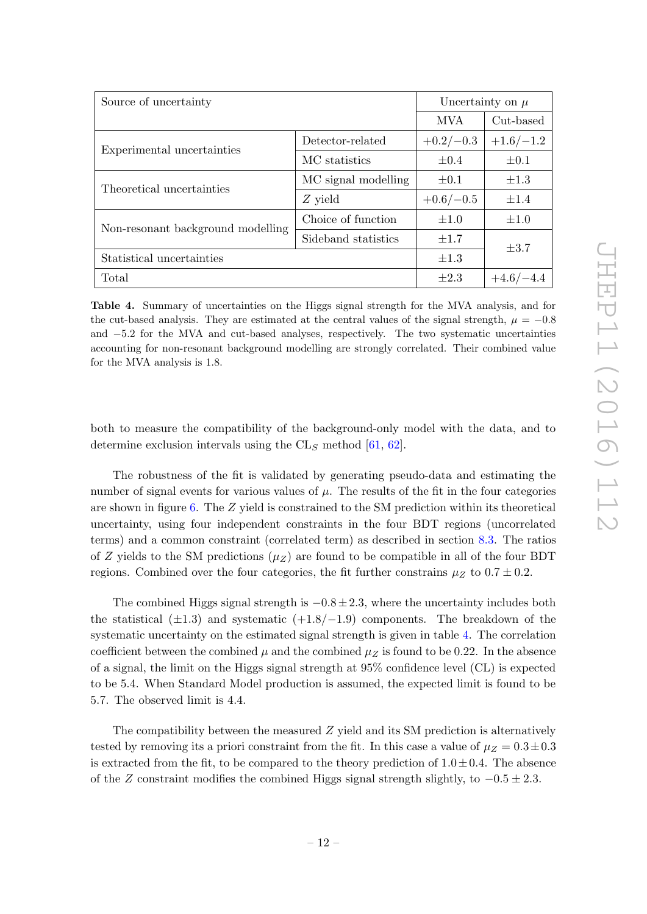<span id="page-12-0"></span>

| Source of uncertainty             | Uncertainty on $\mu$ |             |             |
|-----------------------------------|----------------------|-------------|-------------|
|                                   |                      | <b>MVA</b>  | Cut-based   |
| Experimental uncertainties        | Detector-related     | $+0.2/-0.3$ | $+1.6/-1.2$ |
|                                   | MC statistics        | $\pm 0.4$   | $\pm 0.1$   |
| Theoretical uncertainties         | MC signal modelling  | $\pm 0.1$   | $\pm 1.3$   |
|                                   | $Z$ yield            | $+0.6/-0.5$ | $\pm 1.4$   |
|                                   | Choice of function   | $\pm 1.0$   | $\pm 1.0$   |
| Non-resonant background modelling | Sideband statistics  | $\pm 1.7$   | $\pm 3.7$   |
| Statistical uncertainties         | $\pm 1.3$            |             |             |
| Total                             | $\pm 2.3$            | $+4.6/-4.4$ |             |

Table 4. Summary of uncertainties on the Higgs signal strength for the MVA analysis, and for the cut-based analysis. They are estimated at the central values of the signal strength,  $\mu = -0.8$ and −5.2 for the MVA and cut-based analyses, respectively. The two systematic uncertainties accounting for non-resonant background modelling are strongly correlated. Their combined value for the MVA analysis is 1.8.

both to measure the compatibility of the background-only model with the data, and to determine exclusion intervals using the  $CL<sub>S</sub>$  method [\[61,](#page-19-13) [62\]](#page-19-14).

The robustness of the fit is validated by generating pseudo-data and estimating the number of signal events for various values of  $\mu$ . The results of the fit in the four categories are shown in figure [6.](#page-13-1) The Z yield is constrained to the SM prediction within its theoretical uncertainty, using four independent constraints in the four BDT regions (uncorrelated terms) and a common constraint (correlated term) as described in section [8.3.](#page-10-2) The ratios of Z yields to the SM predictions  $(\mu_Z)$  are found to be compatible in all of the four BDT regions. Combined over the four categories, the fit further constrains  $\mu_Z$  to  $0.7 \pm 0.2$ .

The combined Higgs signal strength is  $-0.8 \pm 2.3$ , where the uncertainty includes both the statistical  $(\pm 1.3)$  and systematic  $(+1.8/-1.9)$  components. The breakdown of the systematic uncertainty on the estimated signal strength is given in table [4.](#page-12-0) The correlation coefficient between the combined  $\mu$  and the combined  $\mu_Z$  is found to be 0.22. In the absence of a signal, the limit on the Higgs signal strength at 95% confidence level (CL) is expected to be 5.4. When Standard Model production is assumed, the expected limit is found to be 5.7. The observed limit is 4.4.

The compatibility between the measured  $Z$  yield and its SM prediction is alternatively tested by removing its a priori constraint from the fit. In this case a value of  $\mu_Z = 0.3 \pm 0.3$ is extracted from the fit, to be compared to the theory prediction of  $1.0 \pm 0.4$ . The absence of the Z constraint modifies the combined Higgs signal strength slightly, to  $-0.5 \pm 2.3$ .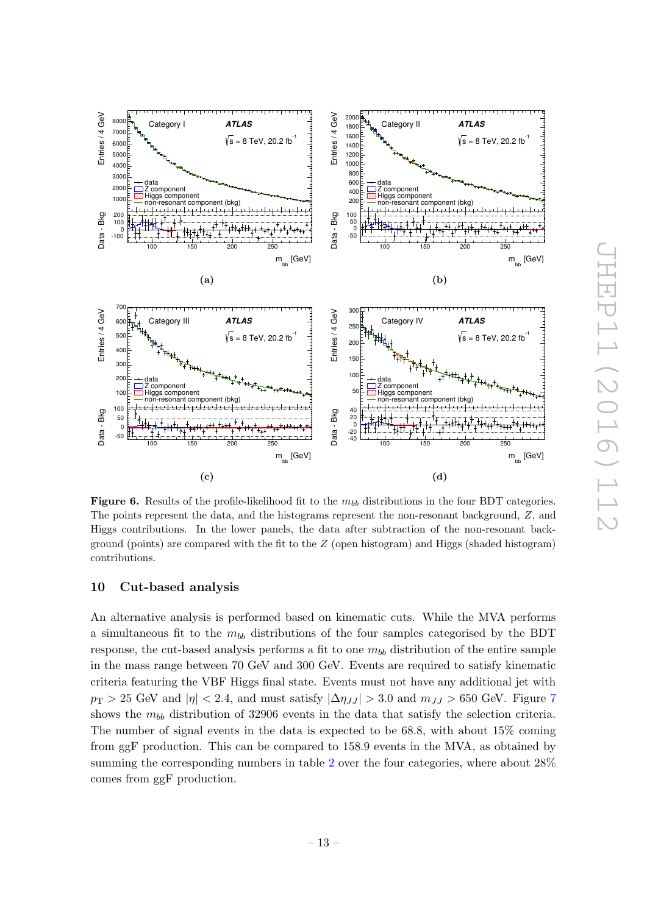<span id="page-13-1"></span>

Figure 6. Results of the profile-likelihood fit to the  $m_{bb}$  distributions in the four BDT categories. The points represent the data, and the histograms represent the non-resonant background, Z, and Higgs contributions. In the lower panels, the data after subtraction of the non-resonant background (points) are compared with the fit to the Z (open histogram) and Higgs (shaded histogram) contributions.

# <span id="page-13-0"></span>10 Cut-based analysis

An alternative analysis is performed based on kinematic cuts. While the MVA performs a simultaneous fit to the  $m_{bb}$  distributions of the four samples categorised by the BDT response, the cut-based analysis performs a fit to one  $m_{bb}$  distribution of the entire sample in the mass range between 70 GeV and 300 GeV. Events are required to satisfy kinematic criteria featuring the VBF Higgs final state. Events must not have any additional jet with  $p_T > 25$  GeV and  $|\eta| < 2.4$ , and must satisfy  $|\Delta \eta_{JJ}| > 3.0$  and  $m_{JJ} > 650$  GeV. Figure [7](#page-14-0) shows the  $m_{bb}$  distribution of 32906 events in the data that satisfy the selection criteria. The number of signal events in the data is expected to be 68.8, with about 15% coming from ggF production. This can be compared to 158.9 events in the MVA, as obtained by summing the corresponding numbers in table [2](#page-7-1) over the four categories, where about 28% comes from ggF production.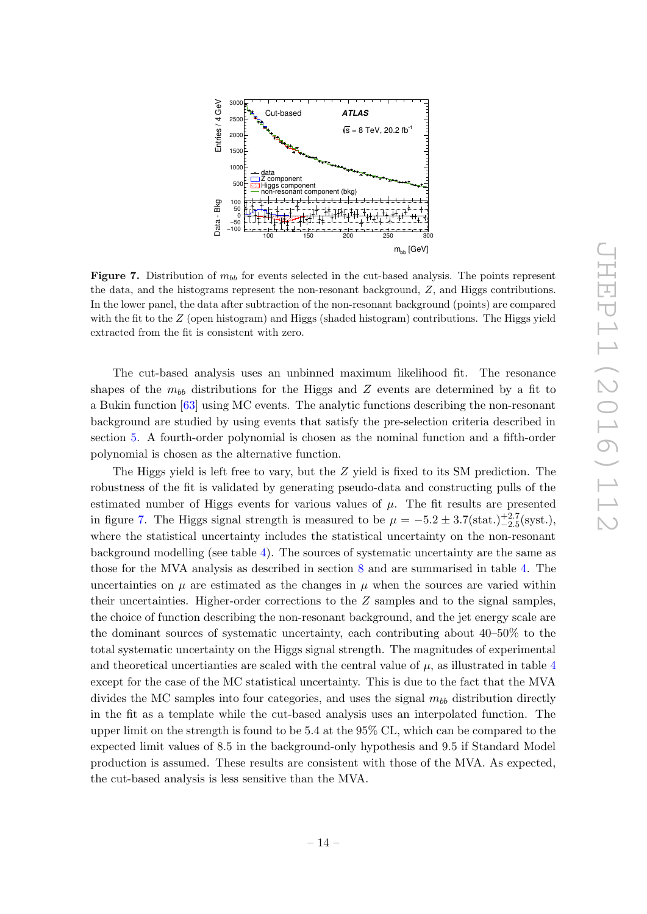<span id="page-14-0"></span>

Figure 7. Distribution of  $m_{bb}$  for events selected in the cut-based analysis. The points represent the data, and the histograms represent the non-resonant background, Z, and Higgs contributions. In the lower panel, the data after subtraction of the non-resonant background (points) are compared with the fit to the Z (open histogram) and Higgs (shaded histogram) contributions. The Higgs yield extracted from the fit is consistent with zero.

The cut-based analysis uses an unbinned maximum likelihood fit. The resonance shapes of the  $m_{bb}$  distributions for the Higgs and Z events are determined by a fit to a Bukin function [\[63\]](#page-19-15) using MC events. The analytic functions describing the non-resonant background are studied by using events that satisfy the pre-selection criteria described in section [5.](#page-5-0) A fourth-order polynomial is chosen as the nominal function and a fifth-order polynomial is chosen as the alternative function.

The Higgs yield is left free to vary, but the Z yield is fixed to its SM prediction. The robustness of the fit is validated by generating pseudo-data and constructing pulls of the estimated number of Higgs events for various values of  $\mu$ . The fit results are presented in figure [7.](#page-14-0) The Higgs signal strength is measured to be  $\mu = -5.2 \pm 3.7(\text{stat.})^{+2.7}_{-2.5}$  $^{+2.7}_{-2.5}$ (syst.), where the statistical uncertainty includes the statistical uncertainty on the non-resonant background modelling (see table [4\)](#page-12-0). The sources of systematic uncertainty are the same as those for the MVA analysis as described in section [8](#page-9-0) and are summarised in table [4.](#page-12-0) The uncertainties on  $\mu$  are estimated as the changes in  $\mu$  when the sources are varied within their uncertainties. Higher-order corrections to the  $Z$  samples and to the signal samples, the choice of function describing the non-resonant background, and the jet energy scale are the dominant sources of systematic uncertainty, each contributing about 40–50% to the total systematic uncertainty on the Higgs signal strength. The magnitudes of experimental and theoretical uncertianties are scaled with the central value of  $\mu$ , as illustrated in table [4](#page-12-0) except for the case of the MC statistical uncertainty. This is due to the fact that the MVA divides the MC samples into four categories, and uses the signal  $m_{bb}$  distribution directly in the fit as a template while the cut-based analysis uses an interpolated function. The upper limit on the strength is found to be 5.4 at the 95% CL, which can be compared to the expected limit values of 8.5 in the background-only hypothesis and 9.5 if Standard Model production is assumed. These results are consistent with those of the MVA. As expected, the cut-based analysis is less sensitive than the MVA.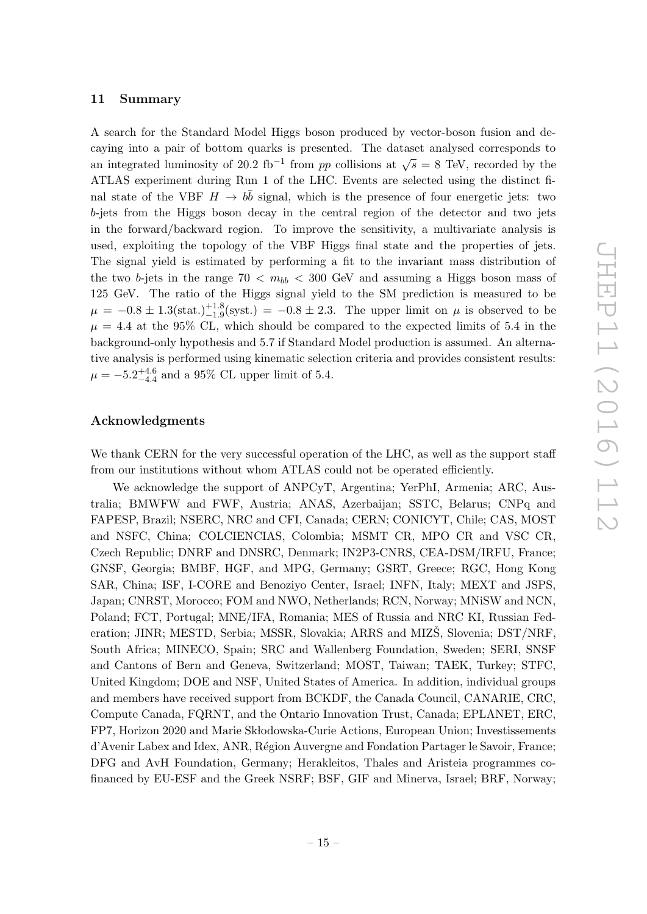#### <span id="page-15-0"></span>11 Summary

A search for the Standard Model Higgs boson produced by vector-boson fusion and decaying into a pair of bottom quarks is presented. The dataset analysed corresponds to an integrated luminosity of 20.2 fb<sup>-1</sup> from pp collisions at  $\sqrt{s} = 8$  TeV, recorded by the ATLAS experiment during Run 1 of the LHC. Events are selected using the distinct final state of the VBF  $H \to b\bar{b}$  signal, which is the presence of four energetic jets: two b-jets from the Higgs boson decay in the central region of the detector and two jets in the forward/backward region. To improve the sensitivity, a multivariate analysis is used, exploiting the topology of the VBF Higgs final state and the properties of jets. The signal yield is estimated by performing a fit to the invariant mass distribution of the two b-jets in the range  $70 < m_{bb} < 300$  GeV and assuming a Higgs boson mass of 125 GeV. The ratio of the Higgs signal yield to the SM prediction is measured to be  $\mu = -0.8 \pm 1.3 \text{(stat.)}^{+1.8}_{-1.9}$  $^{+1.8}_{-1.9}$ (syst.) = -0.8 ± 2.3. The upper limit on  $\mu$  is observed to be  $\mu = 4.4$  at the 95% CL, which should be compared to the expected limits of 5.4 in the background-only hypothesis and 5.7 if Standard Model production is assumed. An alternative analysis is performed using kinematic selection criteria and provides consistent results:  $\mu = -5.2^{+4.6}_{-4.4}$  and a 95% CL upper limit of 5.4.

# Acknowledgments

We thank CERN for the very successful operation of the LHC, as well as the support staff from our institutions without whom ATLAS could not be operated efficiently.

We acknowledge the support of ANPCyT, Argentina; YerPhI, Armenia; ARC, Australia; BMWFW and FWF, Austria; ANAS, Azerbaijan; SSTC, Belarus; CNPq and FAPESP, Brazil; NSERC, NRC and CFI, Canada; CERN; CONICYT, Chile; CAS, MOST and NSFC, China; COLCIENCIAS, Colombia; MSMT CR, MPO CR and VSC CR, Czech Republic; DNRF and DNSRC, Denmark; IN2P3-CNRS, CEA-DSM/IRFU, France; GNSF, Georgia; BMBF, HGF, and MPG, Germany; GSRT, Greece; RGC, Hong Kong SAR, China; ISF, I-CORE and Benoziyo Center, Israel; INFN, Italy; MEXT and JSPS, Japan; CNRST, Morocco; FOM and NWO, Netherlands; RCN, Norway; MNiSW and NCN, Poland; FCT, Portugal; MNE/IFA, Romania; MES of Russia and NRC KI, Russian Federation; JINR; MESTD, Serbia; MSSR, Slovakia; ARRS and MIZŠ, Slovenia; DST/NRF, South Africa; MINECO, Spain; SRC and Wallenberg Foundation, Sweden; SERI, SNSF and Cantons of Bern and Geneva, Switzerland; MOST, Taiwan; TAEK, Turkey; STFC, United Kingdom; DOE and NSF, United States of America. In addition, individual groups and members have received support from BCKDF, the Canada Council, CANARIE, CRC, Compute Canada, FQRNT, and the Ontario Innovation Trust, Canada; EPLANET, ERC, FP7, Horizon 2020 and Marie Skłodowska-Curie Actions, European Union; Investissements d'Avenir Labex and Idex, ANR, R´egion Auvergne and Fondation Partager le Savoir, France; DFG and AvH Foundation, Germany; Herakleitos, Thales and Aristeia programmes cofinanced by EU-ESF and the Greek NSRF; BSF, GIF and Minerva, Israel; BRF, Norway;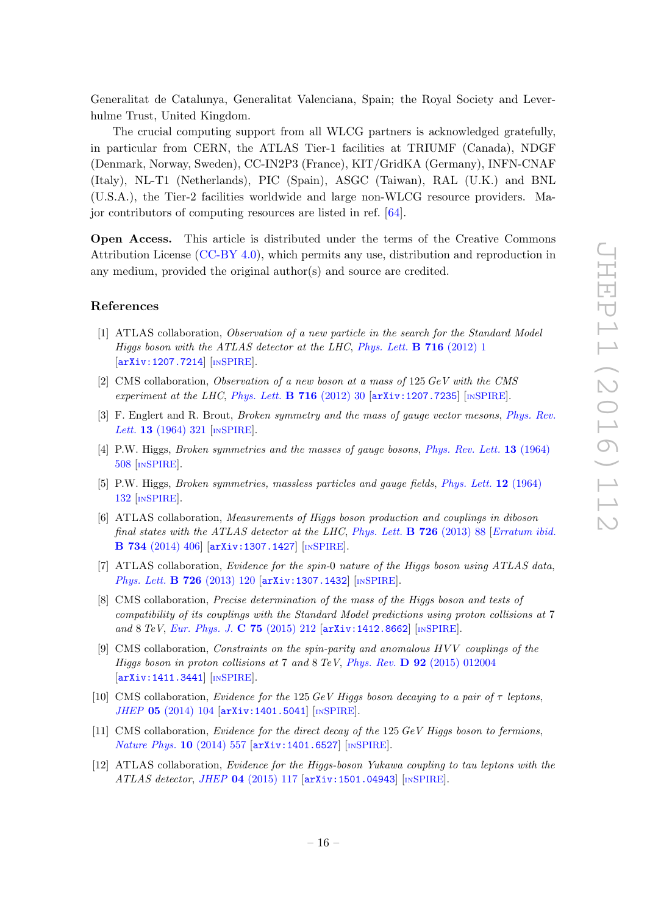Generalitat de Catalunya, Generalitat Valenciana, Spain; the Royal Society and Leverhulme Trust, United Kingdom.

The crucial computing support from all WLCG partners is acknowledged gratefully, in particular from CERN, the ATLAS Tier-1 facilities at TRIUMF (Canada), NDGF (Denmark, Norway, Sweden), CC-IN2P3 (France), KIT/GridKA (Germany), INFN-CNAF (Italy), NL-T1 (Netherlands), PIC (Spain), ASGC (Taiwan), RAL (U.K.) and BNL (U.S.A.), the Tier-2 facilities worldwide and large non-WLCG resource providers. Major contributors of computing resources are listed in ref. [\[64\]](#page-19-16).

Open Access. This article is distributed under the terms of the Creative Commons Attribution License [\(CC-BY 4.0\)](http://creativecommons.org/licenses/by/4.0/), which permits any use, distribution and reproduction in any medium, provided the original author(s) and source are credited.

# References

- <span id="page-16-0"></span>[1] ATLAS collaboration, Observation of a new particle in the search for the Standard Model Higgs boson with the ATLAS detector at the LHC, [Phys. Lett.](http://dx.doi.org/10.1016/j.physletb.2012.08.020)  $\bf{B}$  716 (2012) 1  $\left[$ [arXiv:1207.7214](https://arxiv.org/abs/1207.7214) $\right]$  $\left[$ IN[SPIRE](http://inspirehep.net/search?p=find+EPRINT+arXiv:1207.7214) $\right]$ .
- <span id="page-16-1"></span>[2] CMS collaboration, Observation of a new boson at a mass of 125 GeV with the CMS experiment at the LHC, [Phys. Lett.](http://dx.doi.org/10.1016/j.physletb.2012.08.021) **B** 716 (2012) 30  $\left[\text{arXiv:1207.7235}\right]$  $\left[\text{arXiv:1207.7235}\right]$  $\left[\text{arXiv:1207.7235}\right]$   $\left[\text{insPIRE}\right]$ .
- <span id="page-16-2"></span>[3] F. Englert and R. Brout, Broken symmetry and the mass of gauge vector mesons, [Phys. Rev.](http://dx.doi.org/10.1103/PhysRevLett.13.321) Lett. **13** [\(1964\) 321](http://dx.doi.org/10.1103/PhysRevLett.13.321) [IN[SPIRE](http://inspirehep.net/search?p=find+J+%22Phys.Rev.Lett.,13,321%22)].
- [4] P.W. Higgs, *Broken symmetries and the masses of gauge bosons, [Phys. Rev. Lett.](http://dx.doi.org/10.1103/PhysRevLett.13.508)* **13** (1964) [508](http://dx.doi.org/10.1103/PhysRevLett.13.508) [IN[SPIRE](http://inspirehep.net/search?p=find+J+%22Phys.Rev.Lett.,13,508%22)].
- <span id="page-16-3"></span>[5] P.W. Higgs, Broken symmetries, massless particles and gauge fields, [Phys. Lett.](http://dx.doi.org/10.1016/0031-9163(64)91136-9) 12 (1964) [132](http://dx.doi.org/10.1016/0031-9163(64)91136-9) [IN[SPIRE](http://inspirehep.net/search?p=find+J+%22Phys.Lett.,12,132%22)].
- <span id="page-16-4"></span>[6] ATLAS collaboration, Measurements of Higgs boson production and couplings in diboson final states with the ATLAS detector at the LHC, [Phys. Lett.](http://dx.doi.org/10.1016/j.physletb.2013.08.010) **B 726** (2013) 88 [[Erratum ibid.](http://dx.doi.org/10.1016/j.physletb.2014.05.011) B 734 [\(2014\) 406\]](http://dx.doi.org/10.1016/j.physletb.2014.05.011) [[arXiv:1307.1427](https://arxiv.org/abs/1307.1427)] [IN[SPIRE](http://inspirehep.net/search?p=find+EPRINT+arXiv:1307.1427)].
- [7] ATLAS collaboration, *Evidence for the spin-*0 nature of the Higgs boson using ATLAS data, [Phys. Lett.](http://dx.doi.org/10.1016/j.physletb.2013.08.026) **B 726** (2013) 120 [[arXiv:1307.1432](https://arxiv.org/abs/1307.1432)] [IN[SPIRE](http://inspirehep.net/search?p=find+EPRINT+arXiv:1307.1432)].
- [8] CMS collaboration, Precise determination of the mass of the Higgs boson and tests of compatibility of its couplings with the Standard Model predictions using proton collisions at 7 and 8 TeV, [Eur. Phys. J.](http://dx.doi.org/10.1140/epjc/s10052-015-3351-7) C 75 (2015) 212  $\text{arXiv:1412.8662}$  $\text{arXiv:1412.8662}$  $\text{arXiv:1412.8662}$  [IN[SPIRE](http://inspirehep.net/search?p=find+EPRINT+arXiv:1412.8662)].
- <span id="page-16-5"></span>[9] CMS collaboration, *Constraints on the spin-parity and anomalous HVV couplings of the* Higgs boson in proton collisions at 7 and 8 TeV, Phys. Rev.  $\bf{D}$  92 [\(2015\) 012004](http://dx.doi.org/10.1103/PhysRevD.92.012004) [[arXiv:1411.3441](https://arxiv.org/abs/1411.3441)] [IN[SPIRE](http://inspirehep.net/search?p=find+EPRINT+arXiv:1411.3441)].
- <span id="page-16-6"></span>[10] CMS collaboration, Evidence for the 125 GeV Higgs boson decaying to a pair of  $\tau$  leptons, JHEP 05 [\(2014\) 104](http://dx.doi.org/10.1007/JHEP05(2014)104) [[arXiv:1401.5041](https://arxiv.org/abs/1401.5041)] [IN[SPIRE](http://inspirehep.net/search?p=find+EPRINT+arXiv:1401.5041)].
- [11] CMS collaboration, *Evidence for the direct decay of the 125 GeV Higgs boson to fermions*, [Nature Phys.](http://dx.doi.org/10.1038/nphys3005) 10 (2014) 557 [[arXiv:1401.6527](https://arxiv.org/abs/1401.6527)] [IN[SPIRE](http://inspirehep.net/search?p=find+EPRINT+arXiv:1401.6527)].
- <span id="page-16-7"></span>[12] ATLAS collaboration, Evidence for the Higgs-boson Yukawa coupling to tau leptons with the ATLAS detector, JHEP 04 [\(2015\) 117](http://dx.doi.org/10.1007/JHEP04(2015)117) [[arXiv:1501.04943](https://arxiv.org/abs/1501.04943)] [IN[SPIRE](http://inspirehep.net/search?p=find+EPRINT+arXiv:1501.04943)].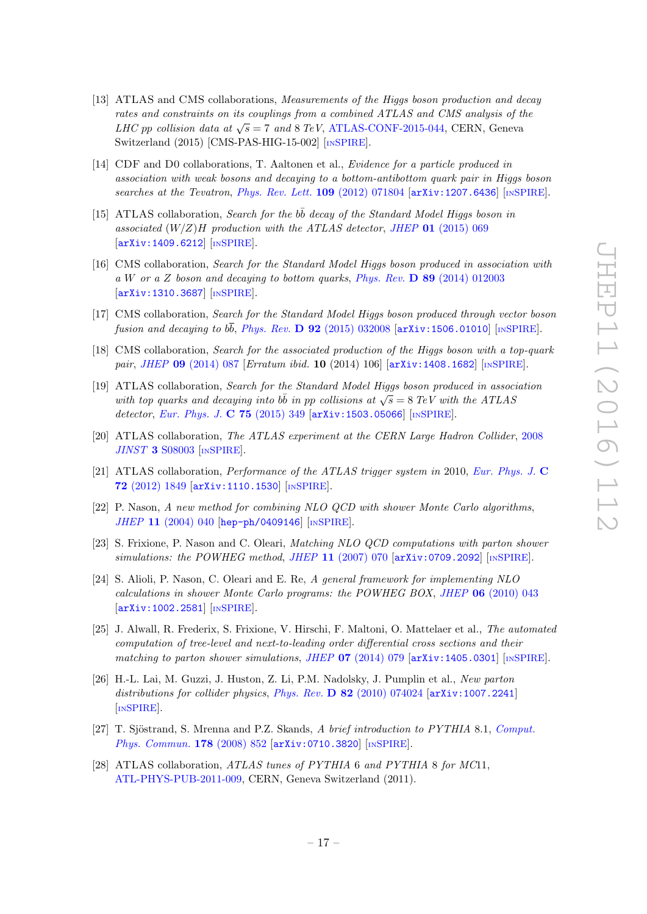- <span id="page-17-0"></span>[13] ATLAS and CMS collaborations, Measurements of the Higgs boson production and decay rates and constraints on its couplings from a combined ATLAS and CMS analysis of the LHC pp collision data at  $\sqrt{s} = 7$  and 8 TeV, [ATLAS-CONF-2015-044,](http://cds.cern.ch/record/2052552) CERN, Geneva Switzerland (2015) [CMS-PAS-HIG-15-002] [IN[SPIRE](http://inspirehep.net/search?p=find+R+ATLAS-CONF-2015-044)].
- <span id="page-17-1"></span>[14] CDF and D0 collaborations, T. Aaltonen et al., Evidence for a particle produced in association with weak bosons and decaying to a bottom-antibottom quark pair in Higgs boson searches at the Tevatron, *[Phys. Rev. Lett.](http://dx.doi.org/10.1103/PhysRevLett.109.071804)* **109** (2012) 071804 [[arXiv:1207.6436](https://arxiv.org/abs/1207.6436)] [IN[SPIRE](http://inspirehep.net/search?p=find+EPRINT+arXiv:1207.6436)].
- <span id="page-17-3"></span>[15] ATLAS collaboration, Search for the  $b\bar{b}$  decay of the Standard Model Higgs boson in associated  $(W/Z)H$  production with the ATLAS detector, JHEP 01 [\(2015\) 069](http://dx.doi.org/10.1007/JHEP01(2015)069) [[arXiv:1409.6212](https://arxiv.org/abs/1409.6212)] [IN[SPIRE](http://inspirehep.net/search?p=find+EPRINT+arXiv:1409.6212)].
- [16] CMS collaboration, Search for the Standard Model Higgs boson produced in association with a W or a Z boson and decaying to bottom quarks, Phys. Rev.  $\bf{D}$  89 [\(2014\) 012003](http://dx.doi.org/10.1103/PhysRevD.89.012003) [[arXiv:1310.3687](https://arxiv.org/abs/1310.3687)] [IN[SPIRE](http://inspirehep.net/search?p=find+EPRINT+arXiv:1310.3687)].
- [17] CMS collaboration, Search for the Standard Model Higgs boson produced through vector boson fusion and decaying to  $b\bar{b}$ , Phys. Rev. **D** 92 [\(2015\) 032008](http://dx.doi.org/10.1103/PhysRevD.92.032008) [[arXiv:1506.01010](https://arxiv.org/abs/1506.01010)] [IN[SPIRE](http://inspirehep.net/search?p=find+J+%22Phys.Rev.,D92,032008%22)].
- [18] CMS collaboration, Search for the associated production of the Higgs boson with a top-quark pair, JHEP 09 [\(2014\) 087](http://dx.doi.org/10.1007/JHEP09(2014)087) [Erratum ibid. 10 (2014) 106] [[arXiv:1408.1682](https://arxiv.org/abs/1408.1682)] [IN[SPIRE](http://inspirehep.net/search?p=find+EPRINT+arXiv:1408.1682)].
- <span id="page-17-2"></span>[19] ATLAS collaboration, Search for the Standard Model Higgs boson produced in association with top quarks and decaying into  $b\bar{b}$  in pp collisions at  $\sqrt{s} = 8 \text{ TeV}$  with the ATLAS detector, [Eur. Phys. J.](http://dx.doi.org/10.1140/epjc/s10052-015-3543-1) C 75 (2015) 349 [[arXiv:1503.05066](https://arxiv.org/abs/1503.05066)] [IN[SPIRE](http://inspirehep.net/search?p=find+EPRINT+arXiv:1503.05066)].
- <span id="page-17-4"></span>[20] ATLAS collaboration, The ATLAS experiment at the CERN Large Hadron Collider, [2008](http://dx.doi.org/10.1088/1748-0221/3/08/S08003) JINST 3 [S08003](http://dx.doi.org/10.1088/1748-0221/3/08/S08003) [IN[SPIRE](http://inspirehep.net/search?p=find+J+%22JINST,3,S08003%22)].
- <span id="page-17-5"></span>[21] ATLAS collaboration, Performance of the ATLAS trigger system in 2010, [Eur. Phys. J.](http://dx.doi.org/10.1140/epjc/s10052-011-1849-1) C 72 [\(2012\) 1849](http://dx.doi.org/10.1140/epjc/s10052-011-1849-1) [[arXiv:1110.1530](https://arxiv.org/abs/1110.1530)] [IN[SPIRE](http://inspirehep.net/search?p=find+EPRINT+arXiv:1110.1530)].
- <span id="page-17-6"></span>[22] P. Nason, A new method for combining NLO QCD with shower Monte Carlo algorithms, JHEP 11 [\(2004\) 040](http://dx.doi.org/10.1088/1126-6708/2004/11/040) [[hep-ph/0409146](https://arxiv.org/abs/hep-ph/0409146)] [IN[SPIRE](http://inspirehep.net/search?p=find+EPRINT+hep-ph/0409146)].
- [23] S. Frixione, P. Nason and C. Oleari, Matching NLO QCD computations with parton shower simulations: the POWHEG method, JHEP 11 [\(2007\) 070](http://dx.doi.org/10.1088/1126-6708/2007/11/070)  $\left[$ [arXiv:0709.2092](https://arxiv.org/abs/0709.2092) $\right]$   $\left[$ IN[SPIRE](http://inspirehep.net/search?p=find+EPRINT+arXiv:0709.2092) $\right]$ .
- <span id="page-17-7"></span>[24] S. Alioli, P. Nason, C. Oleari and E. Re, A general framework for implementing NLO calculations in shower Monte Carlo programs: the POWHEG BOX, JHEP 06 [\(2010\) 043](http://dx.doi.org/10.1007/JHEP06(2010)043) [[arXiv:1002.2581](https://arxiv.org/abs/1002.2581)] [IN[SPIRE](http://inspirehep.net/search?p=find+EPRINT+arXiv:1002.2581)].
- <span id="page-17-8"></span>[25] J. Alwall, R. Frederix, S. Frixione, V. Hirschi, F. Maltoni, O. Mattelaer et al., The automated computation of tree-level and next-to-leading order differential cross sections and their matching to parton shower simulations, JHEP  $07$  [\(2014\) 079](http://dx.doi.org/10.1007/JHEP07(2014)079) [[arXiv:1405.0301](https://arxiv.org/abs/1405.0301)] [IN[SPIRE](http://inspirehep.net/search?p=find+EPRINT+arXiv:1405.0301)].
- <span id="page-17-9"></span>[26] H.-L. Lai, M. Guzzi, J. Huston, Z. Li, P.M. Nadolsky, J. Pumplin et al., New parton distributions for collider physics, Phys. Rev. D 82 [\(2010\) 074024](http://dx.doi.org/10.1103/PhysRevD.82.074024) [[arXiv:1007.2241](https://arxiv.org/abs/1007.2241)] [IN[SPIRE](http://inspirehep.net/search?p=find+EPRINT+arXiv:1007.2241)].
- <span id="page-17-10"></span>[27] T. Sjöstrand, S. Mrenna and P.Z. Skands, A brief introduction to PYTHIA 8.1, [Comput.](http://dx.doi.org/10.1016/j.cpc.2008.01.036) [Phys. Commun.](http://dx.doi.org/10.1016/j.cpc.2008.01.036) 178 (2008) 852 [[arXiv:0710.3820](https://arxiv.org/abs/0710.3820)] [IN[SPIRE](http://inspirehep.net/search?p=find+EPRINT+arXiv:0710.3820)].
- <span id="page-17-11"></span>[28] ATLAS collaboration, ATLAS tunes of PYTHIA 6 and PYTHIA 8 for MC11, [ATL-PHYS-PUB-2011-009,](http://cds.cern.ch/record/1363300) CERN, Geneva Switzerland (2011).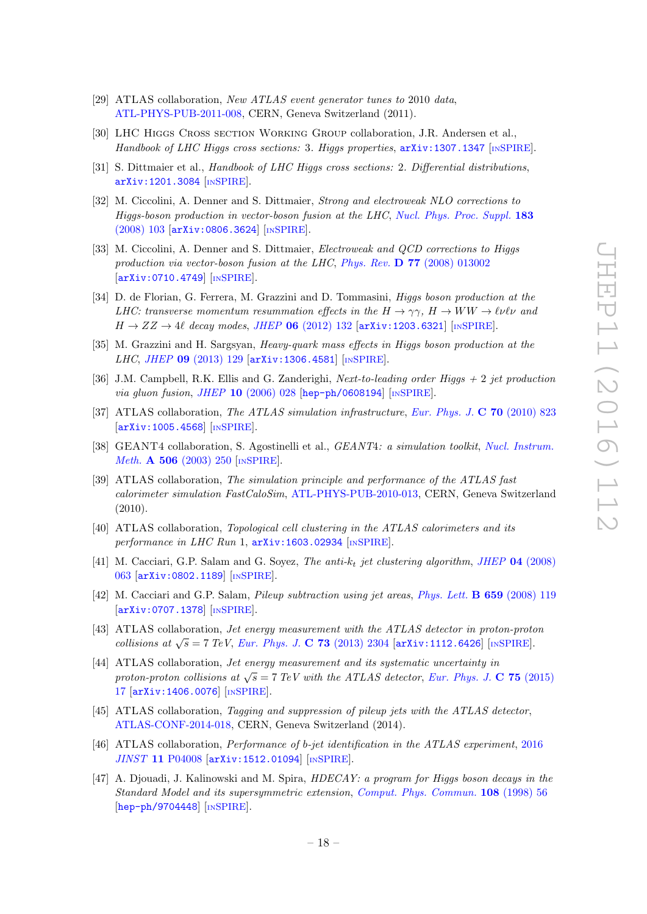- <span id="page-18-0"></span>[29] ATLAS collaboration, New ATLAS event generator tunes to 2010 data, [ATL-PHYS-PUB-2011-008,](http://cds.cern.ch/record/1345343) CERN, Geneva Switzerland (2011).
- <span id="page-18-1"></span>[30] LHC Higgs Cross section Working Group collaboration, J.R. Andersen et al., Handbook of LHC Higgs cross sections: 3. Higgs properties, [arXiv:1307.1347](https://arxiv.org/abs/1307.1347) [IN[SPIRE](http://inspirehep.net/search?p=find+EPRINT+arXiv:1307.1347)].
- <span id="page-18-2"></span>[31] S. Dittmaier et al., Handbook of LHC Higgs cross sections: 2. Differential distributions, [arXiv:1201.3084](https://arxiv.org/abs/1201.3084) [IN[SPIRE](http://inspirehep.net/search?p=find+EPRINT+arXiv:1201.3084)].
- <span id="page-18-3"></span>[32] M. Ciccolini, A. Denner and S. Dittmaier, *Strong and electroweak NLO corrections to* Higgs-boson production in vector-boson fusion at the LHC, [Nucl. Phys. Proc. Suppl.](http://dx.doi.org/10.1016/j.nuclphysBPS.2008.09.090) 183 [\(2008\) 103](http://dx.doi.org/10.1016/j.nuclphysBPS.2008.09.090) [[arXiv:0806.3624](https://arxiv.org/abs/0806.3624)] [IN[SPIRE](http://inspirehep.net/search?p=find+EPRINT+arXiv:0806.3624)].
- <span id="page-18-4"></span>[33] M. Ciccolini, A. Denner and S. Dittmaier, *Electroweak and QCD corrections to Higgs* production via vector-boson fusion at the LHC, Phys. Rev.  $\bf{D}$  77 [\(2008\) 013002](http://dx.doi.org/10.1103/PhysRevD.77.013002) [[arXiv:0710.4749](https://arxiv.org/abs/0710.4749)] [IN[SPIRE](http://inspirehep.net/search?p=find+EPRINT+arXiv:0710.4749)].
- <span id="page-18-5"></span>[34] D. de Florian, G. Ferrera, M. Grazzini and D. Tommasini, Higgs boson production at the LHC: transverse momentum resummation effects in the  $H \to \gamma \gamma$ ,  $H \to WW \to \ell \nu \ell \nu$  and  $H \rightarrow ZZ \rightarrow 4\ell$  decay modes, JHEP 06 [\(2012\) 132](http://dx.doi.org/10.1007/JHEP06(2012)132) [[arXiv:1203.6321](https://arxiv.org/abs/1203.6321)] [IN[SPIRE](http://inspirehep.net/search?p=find+EPRINT+arXiv:1203.6321)].
- <span id="page-18-6"></span>[35] M. Grazzini and H. Sargsyan, Heavy-quark mass effects in Higgs boson production at the LHC, JHEP 09 [\(2013\) 129](http://dx.doi.org/10.1007/JHEP09(2013)129) [[arXiv:1306.4581](https://arxiv.org/abs/1306.4581)] [IN[SPIRE](http://inspirehep.net/search?p=find+EPRINT+arXiv:1306.4581)].
- <span id="page-18-7"></span>[36] J.M. Campbell, R.K. Ellis and G. Zanderighi, Next-to-leading order Higgs + 2 jet production via gluon fusion, JHEP 10 [\(2006\) 028](http://dx.doi.org/10.1088/1126-6708/2006/10/028) [[hep-ph/0608194](https://arxiv.org/abs/hep-ph/0608194)] [IN[SPIRE](http://inspirehep.net/search?p=find+EPRINT+hep-ph/0608194)].
- <span id="page-18-8"></span>[37] ATLAS collaboration, The ATLAS simulation infrastructure, [Eur. Phys. J.](http://dx.doi.org/10.1140/epjc/s10052-010-1429-9) C 70 (2010) 823 [[arXiv:1005.4568](https://arxiv.org/abs/1005.4568)] [IN[SPIRE](http://inspirehep.net/search?p=find+EPRINT+arXiv:1005.4568)].
- <span id="page-18-9"></span>[38] GEANT4 collaboration, S. Agostinelli et al., GEANT4: a simulation toolkit, [Nucl. Instrum.](http://dx.doi.org/10.1016/S0168-9002(03)01368-8) Meth. A 506 [\(2003\) 250](http://dx.doi.org/10.1016/S0168-9002(03)01368-8) [IN[SPIRE](http://inspirehep.net/search?p=find+J+%22Nucl.Instrum.Meth.,A506,250%22)].
- <span id="page-18-10"></span>[39] ATLAS collaboration, The simulation principle and performance of the ATLAS fast calorimeter simulation FastCaloSim, [ATL-PHYS-PUB-2010-013,](http://cds.cern.ch/record/1300517) CERN, Geneva Switzerland (2010).
- <span id="page-18-11"></span>[40] ATLAS collaboration, Topological cell clustering in the ATLAS calorimeters and its performance in LHC Run 1,  $arXiv:1603.02934$  [IN[SPIRE](http://inspirehep.net/search?p=find+EPRINT+arXiv:1603.02934)].
- <span id="page-18-12"></span>[41] M. Cacciari, G.P. Salam and G. Soyez, The anti- $k_t$  jet clustering algorithm, JHEP 04 [\(2008\)](http://dx.doi.org/10.1088/1126-6708/2008/04/063) [063](http://dx.doi.org/10.1088/1126-6708/2008/04/063) [[arXiv:0802.1189](https://arxiv.org/abs/0802.1189)] [IN[SPIRE](http://inspirehep.net/search?p=find+EPRINT+arXiv:0802.1189)].
- <span id="page-18-13"></span>[42] M. Cacciari and G.P. Salam, Pileup subtraction using jet areas, [Phys. Lett.](http://dx.doi.org/10.1016/j.physletb.2007.09.077) B 659 (2008) 119 [[arXiv:0707.1378](https://arxiv.org/abs/0707.1378)] [IN[SPIRE](http://inspirehep.net/search?p=find+EPRINT+arXiv:0707.1378)].
- <span id="page-18-14"></span>[43] ATLAS collaboration, Jet energy measurement with the ATLAS detector in proton-proton collisions at  $\sqrt{s} = 7$  TeV, [Eur. Phys. J.](http://dx.doi.org/10.1140/epjc/s10052-013-2304-2) C 73 (2013) 2304 [[arXiv:1112.6426](https://arxiv.org/abs/1112.6426)] [IN[SPIRE](http://inspirehep.net/search?p=find+EPRINT+arXiv:1112.6426)].
- <span id="page-18-15"></span>[44] ATLAS collaboration, Jet energy measurement and its systematic uncertainty in proton-proton collisions at  $\sqrt{s} = 7$  TeV with the ATLAS detector, [Eur. Phys. J.](http://dx.doi.org/10.1140/epjc/s10052-014-3190-y) C 75 (2015) [17](http://dx.doi.org/10.1140/epjc/s10052-014-3190-y) [[arXiv:1406.0076](https://arxiv.org/abs/1406.0076)] [IN[SPIRE](http://inspirehep.net/search?p=find+EPRINT+arXiv:1406.0076)].
- <span id="page-18-16"></span>[45] ATLAS collaboration, Tagging and suppression of pileup jets with the ATLAS detector, [ATLAS-CONF-2014-018,](http://cds.cern.ch/record/1700870) CERN, Geneva Switzerland (2014).
- <span id="page-18-17"></span>[46] ATLAS collaboration, Performance of b-jet identification in the ATLAS experiment, [2016](http://dx.doi.org/10.1088/1748-0221/11/04/P04008) JINST 11 [P04008](http://dx.doi.org/10.1088/1748-0221/11/04/P04008) [[arXiv:1512.01094](https://arxiv.org/abs/1512.01094)] [IN[SPIRE](http://inspirehep.net/search?p=find+EPRINT+arXiv:1512.01094)].
- <span id="page-18-18"></span>[47] A. Djouadi, J. Kalinowski and M. Spira, HDECAY: a program for Higgs boson decays in the Standard Model and its supersymmetric extension, [Comput. Phys. Commun.](http://dx.doi.org/10.1016/S0010-4655(97)00123-9) 108 (1998) 56 [[hep-ph/9704448](https://arxiv.org/abs/hep-ph/9704448)] [IN[SPIRE](http://inspirehep.net/search?p=find+EPRINT+hep-ph/9704448)].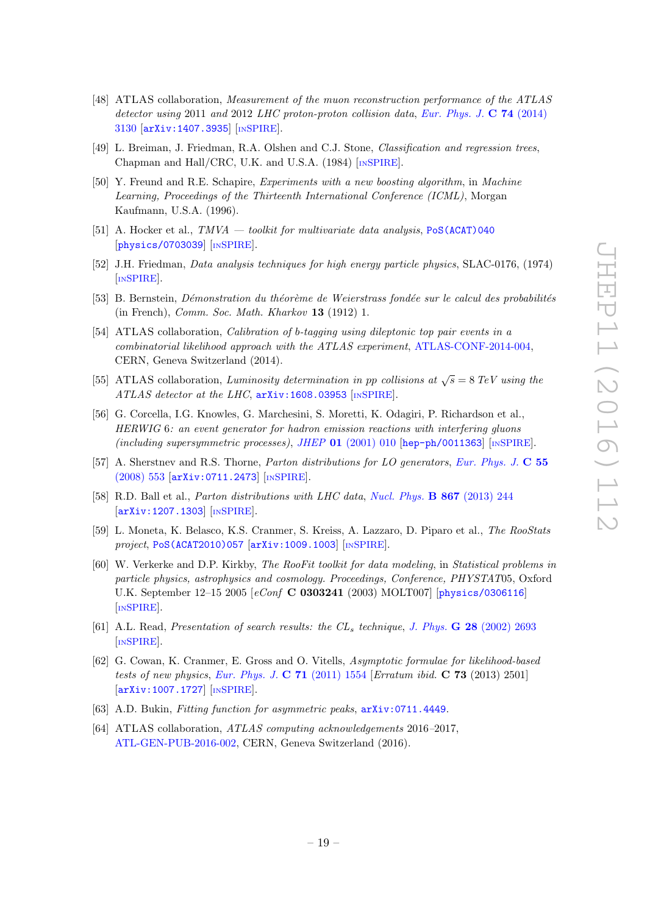- <span id="page-19-0"></span>[48] ATLAS collaboration, Measurement of the muon reconstruction performance of the ATLAS detector using 2011 and 2012 LHC proton-proton collision data, [Eur. Phys. J.](http://dx.doi.org/10.1140/epjc/s10052-014-3130-x) C 74 (2014) [3130](http://dx.doi.org/10.1140/epjc/s10052-014-3130-x) [[arXiv:1407.3935](https://arxiv.org/abs/1407.3935)] [IN[SPIRE](http://inspirehep.net/search?p=find+EPRINT+arXiv:1407.3935)].
- <span id="page-19-1"></span>[49] L. Breiman, J. Friedman, R.A. Olshen and C.J. Stone, Classification and regression trees, Chapman and Hall/CRC, U.K. and U.S.A. (1984) [IN[SPIRE](http://inspirehep.net/search?p=find+recid+1382689)].
- <span id="page-19-2"></span>[50] Y. Freund and R.E. Schapire, Experiments with a new boosting algorithm, in Machine Learning, Proceedings of the Thirteenth International Conference (ICML), Morgan Kaufmann, U.S.A. (1996).
- <span id="page-19-3"></span>[51] A. Hocker et al.,  $TMVA - toolkit$  for multivariate data analysis, [PoS\(ACAT\)040](http://pos.sissa.it/cgi-bin/reader/contribution.cgi?id=PoS(ACAT)040) [[physics/0703039](https://arxiv.org/abs/physics/0703039)] [IN[SPIRE](http://inspirehep.net/search?p=find+EPRINT+physics/0703039)].
- <span id="page-19-4"></span>[52] J.H. Friedman, Data analysis techniques for high energy particle physics, SLAC-0176, (1974) [IN[SPIRE](http://inspirehep.net/search?p=find+R+SLAC-0176)].
- <span id="page-19-5"></span>[53] B. Bernstein, Démonstration du théorème de Weierstrass fondée sur le calcul des probabilités (in French), Comm. Soc. Math. Kharkov 13 (1912) 1.
- <span id="page-19-6"></span>[54] ATLAS collaboration, *Calibration of b-tagging using dileptonic top pair events in a* combinatorial likelihood approach with the ATLAS experiment, [ATLAS-CONF-2014-004,](http://cds.cern.ch/record/1664335) CERN, Geneva Switzerland (2014).
- <span id="page-19-7"></span>[55] ATLAS collaboration, Luminosity determination in pp collisions at  $\sqrt{s} = 8$  TeV using the ATLAS detector at the LHC,  $arXiv:1608.03953$  [IN[SPIRE](http://inspirehep.net/search?p=find+EPRINT+arXiv:1608.03953)].
- <span id="page-19-8"></span>[56] G. Corcella, I.G. Knowles, G. Marchesini, S. Moretti, K. Odagiri, P. Richardson et al., HERWIG 6: an event generator for hadron emission reactions with interfering gluons (including supersymmetric processes), JHEP  $01$  [\(2001\) 010](http://dx.doi.org/10.1088/1126-6708/2001/01/010) [[hep-ph/0011363](https://arxiv.org/abs/hep-ph/0011363)] [IN[SPIRE](http://inspirehep.net/search?p=find+EPRINT+hep-ph/0011363)].
- <span id="page-19-9"></span>[57] A. Sherstnev and R.S. Thorne, *Parton distributions for LO generators, [Eur. Phys. J.](http://dx.doi.org/10.1140/epjc/s10052-008-0610-x)* C 55 [\(2008\) 553](http://dx.doi.org/10.1140/epjc/s10052-008-0610-x) [[arXiv:0711.2473](https://arxiv.org/abs/0711.2473)] [IN[SPIRE](http://inspirehep.net/search?p=find+EPRINT+arXiv:0711.2473)].
- <span id="page-19-10"></span>[58] R.D. Ball et al., Parton distributions with LHC data, [Nucl. Phys.](http://dx.doi.org/10.1016/j.nuclphysb.2012.10.003) B 867 (2013) 244 [[arXiv:1207.1303](https://arxiv.org/abs/1207.1303)] [IN[SPIRE](http://inspirehep.net/search?p=find+EPRINT+arXiv:1207.1303)].
- <span id="page-19-11"></span>[59] L. Moneta, K. Belasco, K.S. Cranmer, S. Kreiss, A. Lazzaro, D. Piparo et al., The RooStats project, [PoS\(ACAT2010\)057](http://pos.sissa.it/cgi-bin/reader/contribution.cgi?id=PoS(ACAT2010)057) [[arXiv:1009.1003](https://arxiv.org/abs/1009.1003)] [IN[SPIRE](http://inspirehep.net/search?p=find+EPRINT+arXiv:1009.1003)].
- <span id="page-19-12"></span>[60] W. Verkerke and D.P. Kirkby, The RooFit toolkit for data modeling, in Statistical problems in particle physics, astrophysics and cosmology. Proceedings, Conference, PHYSTAT05, Oxford U.K. September 12–15 2005 [eConf C 0303241 (2003) MOLT007] [[physics/0306116](https://arxiv.org/abs/physics/0306116)] [IN[SPIRE](http://inspirehep.net/search?p=find+EPRINT+physics/0306116)].
- <span id="page-19-13"></span>[61] A.L. Read, Presentation of search results: the  $CL<sub>s</sub>$  technique, J. Phys. **G 28** [\(2002\) 2693](http://dx.doi.org/10.1088/0954-3899/28/10/313) [IN[SPIRE](http://inspirehep.net/search?p=find+J+%22J.Phys.,G28,2693%22)].
- <span id="page-19-14"></span>[62] G. Cowan, K. Cranmer, E. Gross and O. Vitells, Asymptotic formulae for likelihood-based tests of new physics, [Eur. Phys. J.](http://dx.doi.org/10.1140/epjc/s10052-011-1554-0) C 71 (2011) 1554 [Erratum ibid. C 73 (2013) 2501] [[arXiv:1007.1727](https://arxiv.org/abs/1007.1727)] [IN[SPIRE](http://inspirehep.net/search?p=find+EPRINT+arXiv:1007.1727)].
- <span id="page-19-15"></span>[63] A.D. Bukin, Fitting function for asymmetric peaks, [arXiv:0711.4449](https://arxiv.org/abs/0711.4449).
- <span id="page-19-16"></span>[64] ATLAS collaboration, *ATLAS computing acknowledgements* 2016–2017, [ATL-GEN-PUB-2016-002,](http://cds.cern.ch/record/2202407) CERN, Geneva Switzerland (2016).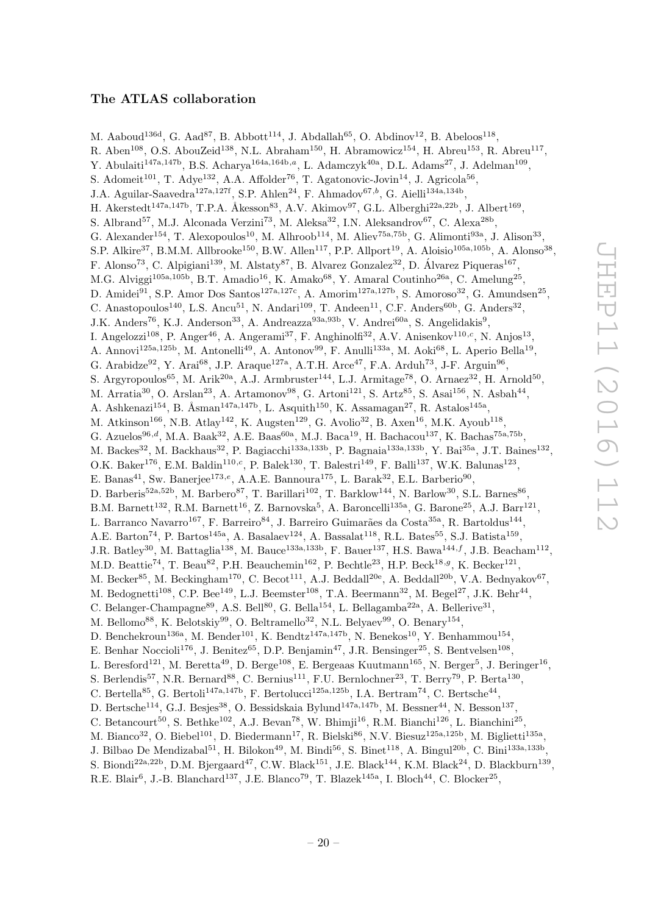# The ATLAS collaboration

<span id="page-20-0"></span>M. Aaboud<sup>136d</sup>, G. Aad<sup>87</sup>, B. Abbott<sup>114</sup>, J. Abdallah<sup>65</sup>, O. Abdinov<sup>12</sup>, B. Abeloos<sup>118</sup>, R. Aben<sup>108</sup>, O.S. AbouZeid<sup>138</sup>, N.L. Abraham<sup>150</sup>, H. Abramowicz<sup>154</sup>, H. Abreu<sup>153</sup>, R. Abreu<sup>117</sup>, Y. Abulaiti<sup>147a,147b</sup>, B.S. Acharya<sup>164a,164b,a</sup>, L. Adamczyk<sup>40a</sup>, D.L. Adams<sup>27</sup>, J. Adelman<sup>109</sup>, S. Adomeit<sup>101</sup>, T. Adye<sup>132</sup>, A.A. Affolder<sup>76</sup>, T. Agatonovic-Jovin<sup>14</sup>, J. Agricola<sup>56</sup>, J.A. Aguilar-Saavedra<sup>127a,127f</sup>, S.P. Ahlen<sup>24</sup>, F. Ahmadov<sup>67,b</sup>, G. Aielli<sup>134a,134b</sup>, H. Akerstedt<sup>147a,147b</sup>, T.P.A. Åkesson<sup>83</sup>, A.V. Akimov<sup>97</sup>, G.L. Alberghi<sup>22a,22b</sup>, J. Albert<sup>169</sup>, S. Albrand<sup>57</sup>, M.J. Alconada Verzini<sup>73</sup>, M. Aleksa<sup>32</sup>, I.N. Aleksandrov<sup>67</sup>, C. Alexa<sup>28b</sup>, G. Alexander<sup>154</sup>, T. Alexopoulos<sup>10</sup>, M. Alhroob<sup>114</sup>, M. Aliev<sup>75a,75b</sup>, G. Alimonti<sup>93a</sup>, J. Alison<sup>33</sup>, S.P. Alkire<sup>37</sup>, B.M.M. Allbrooke<sup>150</sup>, B.W. Allen<sup>117</sup>, P.P. Allport<sup>19</sup>, A. Aloisio<sup>105a,105b</sup>, A. Alonso<sup>38</sup>, F. Alonso<sup>73</sup>, C. Alpigiani<sup>139</sup>, M. Alstaty<sup>87</sup>, B. Alvarez Gonzalez<sup>32</sup>, D. Álvarez Piqueras<sup>167</sup>, M.G. Alviggi<sup>105a,105b</sup>, B.T. Amadio<sup>16</sup>, K. Amako<sup>68</sup>, Y. Amaral Coutinho<sup>26a</sup>, C. Amelung<sup>25</sup>, D. Amidei<sup>91</sup>, S.P. Amor Dos Santos<sup>127a,127c</sup>, A. Amorim<sup>127a,127b</sup>, S. Amoroso<sup>32</sup>, G. Amundsen<sup>25</sup>, C. Anastopoulos<sup>140</sup>, L.S. Ancu<sup>51</sup>, N. Andari<sup>109</sup>, T. Andeen<sup>11</sup>, C.F. Anders<sup>60b</sup>, G. Anders<sup>32</sup>, J.K. Anders<sup>76</sup>, K.J. Anderson<sup>33</sup>, A. Andreazza<sup>93a,93b</sup>, V. Andrei<sup>60a</sup>, S. Angelidakis<sup>9</sup>, I. Angelozzi<sup>108</sup>, P. Anger<sup>46</sup>, A. Angerami<sup>37</sup>, F. Anghinolfi<sup>32</sup>, A.V. Anisenkov<sup>110,*c*</sup>, N. Anjos<sup>13</sup>, A. Annovi<sup>125a,125b</sup>, M. Antonelli<sup>49</sup>, A. Antonov<sup>99</sup>, F. Anulli<sup>133a</sup>, M. Aoki<sup>68</sup>, L. Aperio Bella<sup>19</sup>, G. Arabidze<sup>92</sup>, Y. Arai<sup>68</sup>, J.P. Araque<sup>127a</sup>, A.T.H. Arce<sup>47</sup>, F.A. Arduh<sup>73</sup>, J-F. Arguin<sup>96</sup>, S. Argyropoulos<sup>65</sup>, M. Arik<sup>20a</sup>, A.J. Armbruster<sup>144</sup>, L.J. Armitage<sup>78</sup>, O. Arnaez<sup>32</sup>, H. Arnold<sup>50</sup>, M. Arratia $^{30}$ , O. Arslan $^{23}$ , A. Artamonov $^{98}$ , G. Artoni $^{121}$ , S. Artz $^{85}$ , S. Asai $^{156}$ , N. Asbah $^{44}$ , A. Ashkenazi<sup>154</sup>, B. Åsman<sup>147a,147b</sup>, L. Asquith<sup>150</sup>, K. Assamagan<sup>27</sup>, R. Astalos<sup>145a</sup>, M. Atkinson<sup>166</sup>, N.B. Atlay<sup>142</sup>, K. Augsten<sup>129</sup>, G. Avolio<sup>32</sup>, B. Axen<sup>16</sup>, M.K. Ayoub<sup>118</sup>, G. Azuelos<sup>96,d</sup>, M.A. Baak<sup>32</sup>, A.E. Baas<sup>60a</sup>, M.J. Baca<sup>19</sup>, H. Bachacou<sup>137</sup>, K. Bachas<sup>75a,75b</sup>, M. Backes<sup>32</sup>, M. Backhaus<sup>32</sup>, P. Bagiacchi<sup>133a,133b</sup>, P. Bagnaia<sup>133a,133b</sup>, Y. Bai<sup>35a</sup>, J.T. Baines<sup>132</sup>, O.K. Baker<sup>176</sup>, E.M. Baldin<sup>110,c</sup>, P. Balek<sup>130</sup>, T. Balestri<sup>149</sup>, F. Balli<sup>137</sup>, W.K. Balunas<sup>123</sup>, E. Banas<sup>41</sup>, Sw. Banerjee<sup>173,e</sup>, A.A.E. Bannoura<sup>175</sup>, L. Barak<sup>32</sup>, E.L. Barberio<sup>90</sup>, D. Barberis<sup>52a,52b</sup>, M. Barbero<sup>87</sup>, T. Barillari<sup>102</sup>, T. Barklow<sup>144</sup>, N. Barlow<sup>30</sup>, S.L. Barnes<sup>86</sup>, B.M. Barnett<sup>132</sup>, R.M. Barnett<sup>16</sup>, Z. Barnovska<sup>5</sup>, A. Baroncelli<sup>135a</sup>, G. Barone<sup>25</sup>, A.J. Barr<sup>121</sup>, L. Barranco Navarro<sup>167</sup>, F. Barreiro<sup>84</sup>, J. Barreiro Guimarães da Costa<sup>35a</sup>, R. Bartoldus<sup>144</sup>, A.E. Barton<sup>74</sup>, P. Bartos<sup>145a</sup>, A. Basalaev<sup>124</sup>, A. Bassalat<sup>118</sup>, R.L. Bates<sup>55</sup>, S.J. Batista<sup>159</sup>, J.R. Batley<sup>30</sup>, M. Battaglia<sup>138</sup>, M. Bauce<sup>133a,133b</sup>, F. Bauer<sup>137</sup>, H.S. Bawa<sup>144,f</sup>, J.B. Beacham<sup>112</sup>, M.D. Beattie<sup>74</sup>, T. Beau<sup>82</sup>, P.H. Beauchemin<sup>162</sup>, P. Bechtle<sup>23</sup>, H.P. Beck<sup>18,g</sup>, K. Becker<sup>121</sup>, M. Becker<sup>85</sup>, M. Beckingham<sup>170</sup>, C. Becot<sup>111</sup>, A.J. Beddall<sup>20e</sup>, A. Beddall<sup>20b</sup>, V.A. Bednyakov<sup>67</sup>, M. Bedognetti<sup>108</sup>, C.P. Bee<sup>149</sup>, L.J. Beemster<sup>108</sup>, T.A. Beermann<sup>32</sup>, M. Begel<sup>27</sup>, J.K. Behr<sup>44</sup>, C. Belanger-Champagne<sup>89</sup>, A.S. Bell<sup>80</sup>, G. Bella<sup>154</sup>, L. Bellagamba<sup>22a</sup>, A. Bellerive<sup>31</sup>, M. Bellomo<sup>88</sup>, K. Belotskiy<sup>99</sup>, O. Beltramello<sup>32</sup>, N.L. Belyaev<sup>99</sup>, O. Benary<sup>154</sup>, D. Benchekroun<sup>136a</sup>, M. Bender<sup>101</sup>, K. Bendtz<sup>147a,147b</sup>, N. Benekos<sup>10</sup>, Y. Benhammou<sup>154</sup>, E. Benhar Noccioli<sup>176</sup>, J. Benitez<sup>65</sup>, D.P. Benjamin<sup>47</sup>, J.R. Bensinger<sup>25</sup>, S. Bentvelsen<sup>108</sup>, L. Beresford<sup>121</sup>, M. Beretta<sup>49</sup>, D. Berge<sup>108</sup>, E. Bergeaas Kuutmann<sup>165</sup>, N. Berger<sup>5</sup>, J. Beringer<sup>16</sup>, S. Berlendis<sup>57</sup>, N.R. Bernard<sup>88</sup>, C. Bernius<sup>111</sup>, F.U. Bernlochner<sup>23</sup>, T. Berry<sup>79</sup>, P. Berta<sup>130</sup>, C. Bertella<sup>85</sup>, G. Bertoli<sup>147a,147b</sup>, F. Bertolucci<sup>125a,125b</sup>, I.A. Bertram<sup>74</sup>, C. Bertsche<sup>44</sup>, D. Bertsche<sup>114</sup>, G.J. Besjes<sup>38</sup>, O. Bessidskaia Bylund<sup>147a,147b</sup>, M. Bessner<sup>44</sup>, N. Besson<sup>137</sup>, C. Betancourt<sup>50</sup>, S. Bethke<sup>102</sup>, A.J. Bevan<sup>78</sup>, W. Bhimji<sup>16</sup>, R.M. Bianchi<sup>126</sup>, L. Bianchini<sup>25</sup>, M. Bianco<sup>32</sup>, O. Biebel<sup>101</sup>, D. Biedermann<sup>17</sup>, R. Bielski<sup>86</sup>, N.V. Biesuz<sup>125a,125b</sup>, M. Biglietti<sup>135a</sup>, J. Bilbao De Mendizabal<sup>51</sup>, H. Bilokon<sup>49</sup>, M. Bindi<sup>56</sup>, S. Binet<sup>118</sup>, A. Bingul<sup>20b</sup>, C. Bini<sup>133a,133b</sup>, S. Biondi<sup>22a,22b</sup>, D.M. Bjergaard<sup>47</sup>, C.W. Black<sup>151</sup>, J.E. Black<sup>144</sup>, K.M. Black<sup>24</sup>, D. Blackburn<sup>139</sup>,

R.E. Blair<sup>6</sup>, J.-B. Blanchard<sup>137</sup>, J.E. Blanco<sup>79</sup>, T. Blazek<sup>145a</sup>, I. Bloch<sup>44</sup>, C. Blocker<sup>25</sup>,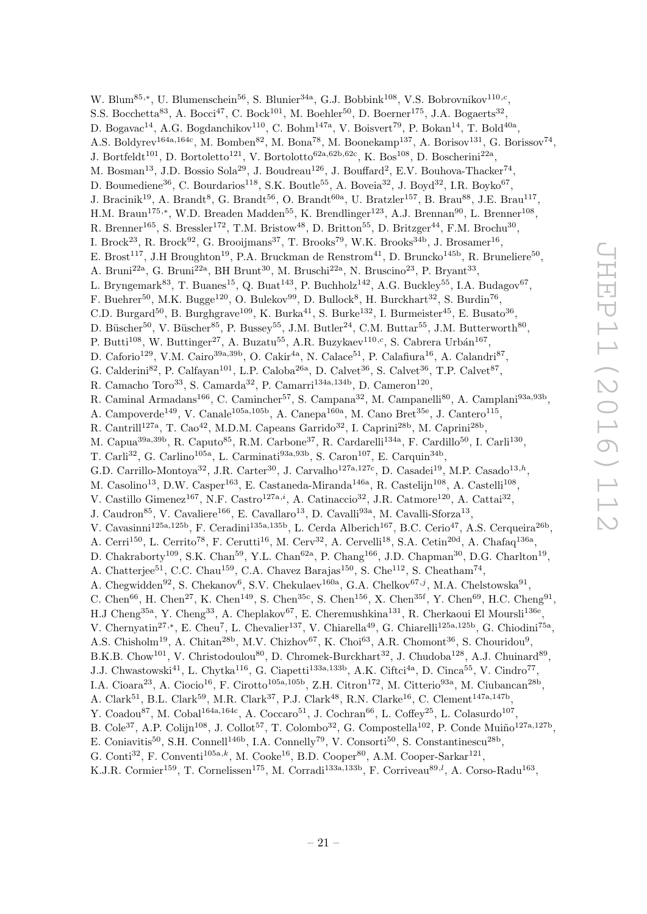W. Blum<sup>85,\*</sup>, U. Blumenschein<sup>56</sup>, S. Blunier<sup>34a</sup>, G.J. Bobbink<sup>108</sup>, V.S. Bobrovnikov<sup>110,c</sup>, S.S. Bocchetta<sup>83</sup>, A. Bocci<sup>47</sup>, C. Bock<sup>101</sup>, M. Boehler<sup>50</sup>, D. Boerner<sup>175</sup>, J.A. Bogaerts<sup>32</sup>, D. Bogavac<sup>14</sup>, A.G. Bogdanchikov<sup>110</sup>, C. Bohm<sup>147a</sup>, V. Boisvert<sup>79</sup>, P. Bokan<sup>14</sup>, T. Bold<sup>40a</sup>, A.S. Boldyrev<sup>164a,164c</sup>, M. Bomben<sup>82</sup>, M. Bona<sup>78</sup>, M. Boonekamp<sup>137</sup>, A. Borisov<sup>131</sup>, G. Borissov<sup>74</sup>, J. Bortfeldt<sup>101</sup>, D. Bortoletto<sup>121</sup>, V. Bortolotto<sup>62a,62b,62c</sup>, K. Bos<sup>108</sup>, D. Boscherini<sup>22a</sup>, M. Bosman<sup>13</sup>, J.D. Bossio Sola<sup>29</sup>, J. Boudreau<sup>126</sup>, J. Bouffard<sup>2</sup>, E.V. Bouhova-Thacker<sup>74</sup>, D. Boumediene<sup>36</sup>, C. Bourdarios<sup>118</sup>, S.K. Boutle<sup>55</sup>, A. Boveia<sup>32</sup>, J. Boyd<sup>32</sup>, I.R. Boyko<sup>67</sup>, J. Bracinik<sup>19</sup>, A. Brandt<sup>8</sup>, G. Brandt<sup>56</sup>, O. Brandt<sup>60a</sup>, U. Bratzler<sup>157</sup>, B. Brau<sup>88</sup>, J.E. Brau<sup>117</sup>, H.M. Braun<sup>175,\*</sup>, W.D. Breaden Madden<sup>55</sup>, K. Brendlinger<sup>123</sup>, A.J. Brennan<sup>90</sup>, L. Brenner<sup>108</sup>, R. Brenner<sup>165</sup>, S. Bressler<sup>172</sup>, T.M. Bristow<sup>48</sup>, D. Britton<sup>55</sup>, D. Britzger<sup>44</sup>, F.M. Brochu<sup>30</sup>, I. Brock<sup>23</sup>, R. Brock<sup>92</sup>, G. Brooijmans<sup>37</sup>, T. Brooks<sup>79</sup>, W.K. Brooks<sup>34b</sup>, J. Brosamer<sup>16</sup>, E. Brost<sup>117</sup>, J.H Broughton<sup>19</sup>, P.A. Bruckman de Renstrom<sup>41</sup>, D. Bruncko<sup>145b</sup>, R. Bruneliere<sup>50</sup>, A. Bruni<sup>22a</sup>, G. Bruni<sup>22a</sup>, BH Brunt<sup>30</sup>, M. Bruschi<sup>22a</sup>, N. Bruscino<sup>23</sup>, P. Bryant<sup>33</sup>, L. Bryngemark<sup>83</sup>, T. Buanes<sup>15</sup>, Q. Buat<sup>143</sup>, P. Buchholz<sup>142</sup>, A.G. Buckley<sup>55</sup>, I.A. Budagov<sup>67</sup>, F. Buehrer<sup>50</sup>, M.K. Bugge<sup>120</sup>, O. Bulekov<sup>99</sup>, D. Bullock<sup>8</sup>, H. Burckhart<sup>32</sup>, S. Burdin<sup>76</sup>, C.D. Burgard<sup>50</sup>, B. Burghgrave<sup>109</sup>, K. Burka<sup>41</sup>, S. Burke<sup>132</sup>, I. Burmeister<sup>45</sup>, E. Busato<sup>36</sup>, D. Büscher<sup>50</sup>, V. Büscher<sup>85</sup>, P. Bussey<sup>55</sup>, J.M. Butler<sup>24</sup>, C.M. Buttar<sup>55</sup>, J.M. Butterworth<sup>80</sup>, P. Butti<sup>108</sup>, W. Buttinger<sup>27</sup>, A. Buzatu<sup>55</sup>, A.R. Buzykaev<sup>110,c</sup>, S. Cabrera Urbán<sup>167</sup>, D. Caforio<sup>129</sup>, V.M. Cairo<sup>39a,39b</sup>, O. Cakir<sup>4a</sup>, N. Calace<sup>51</sup>, P. Calafiura<sup>16</sup>, A. Calandri<sup>87</sup>, G. Calderini<sup>82</sup>, P. Calfayan<sup>101</sup>, L.P. Caloba<sup>26a</sup>, D. Calvet<sup>36</sup>, S. Calvet<sup>36</sup>, T.P. Calvet<sup>87</sup>, R. Camacho Toro<sup>33</sup>, S. Camarda<sup>32</sup>, P. Camarri<sup>134a,134b</sup>, D. Cameron<sup>120</sup>, R. Caminal Armadans<sup>166</sup>, C. Camincher<sup>57</sup>, S. Campana<sup>32</sup>, M. Campanelli<sup>80</sup>, A. Camplani<sup>93a,93b</sup>, A. Campoverde<sup>149</sup>, V. Canale<sup>105a, 105b</sup>, A. Canepa<sup>160a</sup>, M. Cano Bret<sup>35e</sup>, J. Cantero<sup>115</sup>, R. Cantrill<sup>127a</sup>, T. Cao<sup>42</sup>, M.D.M. Capeans Garrido<sup>32</sup>, I. Caprini<sup>28b</sup>, M. Caprini<sup>28b</sup>, M. Capua<sup>39a,39b</sup>, R. Caputo<sup>85</sup>, R.M. Carbone<sup>37</sup>, R. Cardarelli<sup>134a</sup>, F. Cardillo<sup>50</sup>, I. Carli<sup>130</sup>, T. Carli<sup>32</sup>, G. Carlino<sup>105a</sup>, L. Carminati<sup>93a, 93b</sup>, S. Caron<sup>107</sup>, E. Carquin<sup>34b</sup>, G.D. Carrillo-Montoya<sup>32</sup>, J.R. Carter<sup>30</sup>, J. Carvalho<sup>127a,127c</sup>, D. Casadei<sup>19</sup>, M.P. Casado<sup>13,h</sup>, M. Casolino<sup>13</sup>, D.W. Casper<sup>163</sup>, E. Castaneda-Miranda<sup>146a</sup>, R. Castelijn<sup>108</sup>, A. Castelli<sup>108</sup>, V. Castillo Gimenez<sup>167</sup>, N.F. Castro<sup>127a,i</sup>, A. Catinaccio<sup>32</sup>, J.R. Catmore<sup>120</sup>, A. Cattai<sup>32</sup>, J. Caudron<sup>85</sup>, V. Cavaliere<sup>166</sup>, E. Cavallaro<sup>13</sup>, D. Cavalli<sup>93a</sup>, M. Cavalli-Sforza<sup>13</sup>, V. Cavasinni<sup>125a,125b</sup>, F. Ceradini<sup>135a,135b</sup>, L. Cerda Alberich<sup>167</sup>, B.C. Cerio<sup>47</sup>, A.S. Cerqueira<sup>26b</sup>, A. Cerri<sup>150</sup>, L. Cerrito<sup>78</sup>, F. Cerutti<sup>16</sup>, M. Cerv<sup>32</sup>, A. Cervelli<sup>18</sup>, S.A. Cetin<sup>20d</sup>, A. Chafaq<sup>136a</sup>, D. Chakraborty<sup>109</sup>, S.K. Chan<sup>59</sup>, Y.L. Chan<sup>62a</sup>, P. Chang<sup>166</sup>, J.D. Chapman<sup>30</sup>, D.G. Charlton<sup>19</sup>, A. Chatterjee<sup>51</sup>, C.C. Chau<sup>159</sup>, C.A. Chavez Barajas<sup>150</sup>, S. Che<sup>112</sup>, S. Cheatham<sup>74</sup>, A. Chegwidden<sup>92</sup>, S. Chekanov<sup>6</sup>, S.V. Chekulaev<sup>160a</sup>, G.A. Chelkov<sup>67,j</sup>, M.A. Chelstowska<sup>91</sup>, C. Chen<sup>66</sup>, H. Chen<sup>27</sup>, K. Chen<sup>149</sup>, S. Chen<sup>35c</sup>, S. Chen<sup>156</sup>, X. Chen<sup>35f</sup>, Y. Chen<sup>69</sup>, H.C. Cheng<sup>91</sup>, H.J Cheng<sup>35a</sup>, Y. Cheng<sup>33</sup>, A. Cheplakov<sup>67</sup>, E. Cheremushkina<sup>131</sup>, R. Cherkaoui El Moursli<sup>136e</sup>, V. Chernyatin<sup>27,\*</sup>, E. Cheu<sup>7</sup>, L. Chevalier<sup>137</sup>, V. Chiarella<sup>49</sup>, G. Chiarelli<sup>125a,125b</sup>, G. Chiodini<sup>75a</sup>, A.S. Chisholm<sup>19</sup>, A. Chitan<sup>28b</sup>, M.V. Chizhov<sup>67</sup>, K. Choi<sup>63</sup>, A.R. Chomont<sup>36</sup>, S. Chouridou<sup>9</sup>, B.K.B. Chow<sup>101</sup>, V. Christodoulou<sup>80</sup>, D. Chromek-Burckhart<sup>32</sup>, J. Chudoba<sup>128</sup>, A.J. Chuinard<sup>89</sup>, J.J. Chwastowski<sup>41</sup>, L. Chytka<sup>116</sup>, G. Ciapetti<sup>133a,133b</sup>, A.K. Ciftci<sup>4a</sup>, D. Cinca<sup>55</sup>, V. Cindro<sup>77</sup>, I.A. Cioara<sup>23</sup>, A. Ciocio<sup>16</sup>, F. Cirotto<sup>105a,105b</sup>, Z.H. Citron<sup>172</sup>, M. Citterio<sup>93a</sup>, M. Ciubancan<sup>28b</sup>, A. Clark<sup>51</sup>, B.L. Clark<sup>59</sup>, M.R. Clark<sup>37</sup>, P.J. Clark<sup>48</sup>, R.N. Clarke<sup>16</sup>, C. Clement<sup>147a,147b</sup>, Y. Coadou<sup>87</sup>, M. Cobal<sup>164a,164c</sup>, A. Coccaro<sup>51</sup>, J. Cochran<sup>66</sup>, L. Coffey<sup>25</sup>, L. Colasurdo<sup>107</sup>, B. Cole<sup>37</sup>, A.P. Colijn<sup>108</sup>, J. Collot<sup>57</sup>, T. Colombo<sup>32</sup>, G. Compostella<sup>102</sup>, P. Conde Muiño<sup>127a,127b</sup>, E. Coniavitis<sup>50</sup>, S.H. Connell<sup>146b</sup>, I.A. Connelly<sup>79</sup>, V. Consorti<sup>50</sup>, S. Constantinescu<sup>28b</sup>,

- G. Conti<sup>32</sup>, F. Conventi<sup>105a,k</sup>, M. Cooke<sup>16</sup>, B.D. Cooper<sup>80</sup>, A.M. Cooper-Sarkar<sup>121</sup>,
- K.J.R. Cormier<sup>159</sup>, T. Cornelissen<sup>175</sup>, M. Corradi<sup>133a,133b</sup>, F. Corriveau<sup>89,*l*</sup>, A. Corso-Radu<sup>163</sup>,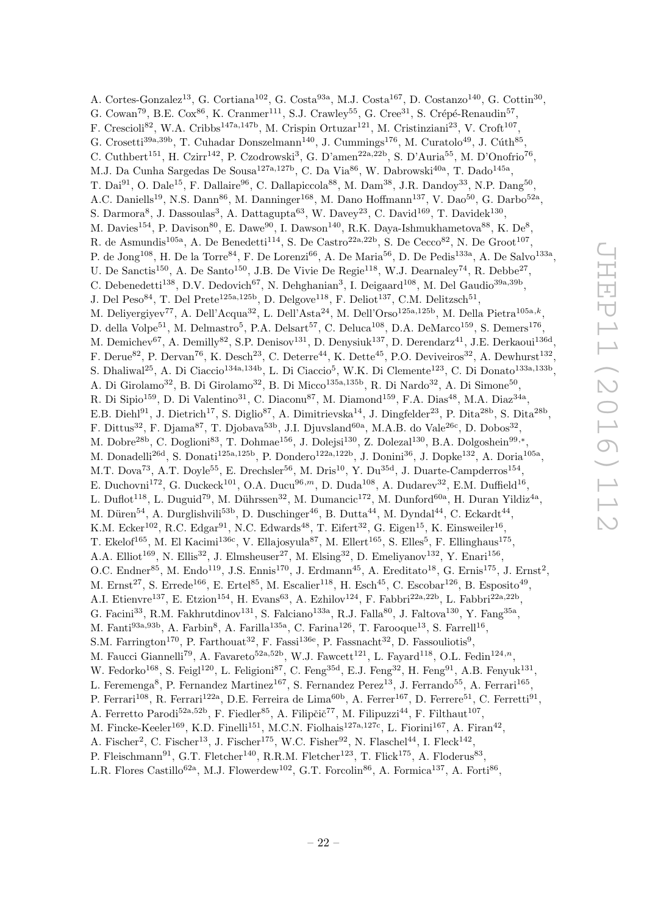A. Cortes-Gonzalez<sup>13</sup>, G. Cortiana<sup>102</sup>, G. Costa<sup>93a</sup>, M.J. Costa<sup>167</sup>, D. Costanzo<sup>140</sup>, G. Cottin<sup>30</sup>, G. Cowan<sup>79</sup>, B.E. Cox<sup>86</sup>, K. Cranmer<sup>111</sup>, S.J. Crawley<sup>55</sup>, G. Cree<sup>31</sup>, S. Crépé-Renaudin<sup>57</sup>, F. Crescioli<sup>82</sup>, W.A. Cribbs<sup>147a,147b</sup>, M. Crispin Ortuzar<sup>121</sup>, M. Cristinziani<sup>23</sup>, V. Croft<sup>107</sup>, G. Crosetti<sup>39a, 39b</sup>, T. Cuhadar Donszelmann<sup>140</sup>, J. Cummings<sup>176</sup>, M. Curatolo<sup>49</sup>, J. Cúth<sup>85</sup>, C. Cuthbert<sup>151</sup>, H. Czirr<sup>142</sup>, P. Czodrowski<sup>3</sup>, G. D'amen<sup>22a,22b</sup>, S. D'Auria<sup>55</sup>, M. D'Onofrio<sup>76</sup>, M.J. Da Cunha Sargedas De Sousa<sup>127a,127b</sup>, C. Da Via<sup>86</sup>, W. Dabrowski<sup>40a</sup>, T. Dado<sup>145a</sup>, T. Dai<sup>91</sup>, O. Dale<sup>15</sup>, F. Dallaire<sup>96</sup>, C. Dallapiccola<sup>88</sup>, M. Dam<sup>38</sup>, J.R. Dandoy<sup>33</sup>, N.P. Dang<sup>50</sup>, A.C. Daniells<sup>19</sup>, N.S. Dann<sup>86</sup>, M. Danninger<sup>168</sup>, M. Dano Hoffmann<sup>137</sup>, V. Dao<sup>50</sup>, G. Darbo<sup>52a</sup>, S. Darmora<sup>8</sup>, J. Dassoulas<sup>3</sup>, A. Dattagupta<sup>63</sup>, W. Davey<sup>23</sup>, C. David<sup>169</sup>, T. Davidek<sup>130</sup>, M. Davies<sup>154</sup>, P. Davison<sup>80</sup>, E. Dawe<sup>90</sup>, I. Dawson<sup>140</sup>, R.K. Daya-Ishmukhametova<sup>88</sup>, K. De<sup>8</sup>, R. de Asmundis<sup>105a</sup>, A. De Benedetti<sup>114</sup>, S. De Castro<sup>22a, 22b</sup>, S. De Cecco<sup>82</sup>, N. De Groot<sup>107</sup>, P. de Jong<sup>108</sup>, H. De la Torre<sup>84</sup>, F. De Lorenzi<sup>66</sup>, A. De Maria<sup>56</sup>, D. De Pedis<sup>133a</sup>, A. De Salvo<sup>133a</sup>, U. De Sanctis<sup>150</sup>, A. De Santo<sup>150</sup>, J.B. De Vivie De Regie<sup>118</sup>, W.J. Dearnaley<sup>74</sup>, R. Debbe<sup>27</sup>, C. Debenedetti<sup>138</sup>, D.V. Dedovich<sup>67</sup>, N. Dehghanian<sup>3</sup>, I. Deigaard<sup>108</sup>, M. Del Gaudio<sup>39a,39b</sup>, J. Del Peso<sup>84</sup>, T. Del Prete<sup>125a,125b</sup>, D. Delgove<sup>118</sup>, F. Deliot<sup>137</sup>, C.M. Delitzsch<sup>51</sup>, M. Deliyergiyev<sup>77</sup>, A. Dell'Acqua<sup>32</sup>, L. Dell'Asta<sup>24</sup>, M. Dell'Orso<sup>125a,125b</sup>, M. Della Pietra<sup>105a,k</sup>, D. della Volpe<sup>51</sup>, M. Delmastro<sup>5</sup>, P.A. Delsart<sup>57</sup>, C. Deluca<sup>108</sup>, D.A. DeMarco<sup>159</sup>, S. Demers<sup>176</sup>, M. Demichev<sup>67</sup>, A. Demilly<sup>82</sup>, S.P. Denisov<sup>131</sup>, D. Denysiuk<sup>137</sup>, D. Derendarz<sup>41</sup>, J.E. Derkaoui<sup>136d</sup>, F. Derue<sup>82</sup>, P. Dervan<sup>76</sup>, K. Desch<sup>23</sup>, C. Deterre<sup>44</sup>, K. Dette<sup>45</sup>, P.O. Deviveiros<sup>32</sup>, A. Dewhurst<sup>132</sup>, S. Dhaliwal<sup>25</sup>, A. Di Ciaccio<sup>134a,134b</sup>, L. Di Ciaccio<sup>5</sup>, W.K. Di Clemente<sup>123</sup>, C. Di Donato<sup>133a,133b</sup>, A. Di Girolamo<sup>32</sup>, B. Di Girolamo<sup>32</sup>, B. Di Micco<sup>135a,135b</sup>, R. Di Nardo<sup>32</sup>, A. Di Simone<sup>50</sup>, R. Di Sipio<sup>159</sup>, D. Di Valentino<sup>31</sup>, C. Diaconu<sup>87</sup>, M. Diamond<sup>159</sup>, F.A. Dias<sup>48</sup>, M.A. Diaz<sup>34a</sup>, E.B. Diehl<sup>91</sup>, J. Dietrich<sup>17</sup>, S. Diglio<sup>87</sup>, A. Dimitrievska<sup>14</sup>, J. Dingfelder<sup>23</sup>, P. Dita<sup>28b</sup>, S. Dita<sup>28b</sup>, F. Dittus<sup>32</sup>, F. Djama<sup>87</sup>, T. Djobava<sup>53b</sup>, J.I. Djuvsland<sup>60a</sup>, M.A.B. do Vale<sup>26c</sup>, D. Dobos<sup>32</sup>, M. Dobre<sup>28b</sup>, C. Doglioni<sup>83</sup>, T. Dohmae<sup>156</sup>, J. Dolejsi<sup>130</sup>, Z. Dolezal<sup>130</sup>, B.A. Dolgoshein<sup>99,\*</sup>, M. Donadelli<sup>26d</sup>, S. Donati<sup>125a,125b</sup>, P. Dondero<sup>122a,122b</sup>, J. Donini<sup>36</sup>, J. Dopke<sup>132</sup>, A. Doria<sup>105a</sup>, M.T. Dova<sup>73</sup>, A.T. Doyle<sup>55</sup>, E. Drechsler<sup>56</sup>, M. Dris<sup>10</sup>, Y. Du<sup>35d</sup>, J. Duarte-Campderros<sup>154</sup>, E. Duchovni<sup>172</sup>, G. Duckeck<sup>101</sup>, O.A. Ducu<sup>96,*m*</sup>, D. Duda<sup>108</sup>, A. Dudarev<sup>32</sup>, E.M. Duffield<sup>16</sup>, L. Duflot<sup>118</sup>, L. Duguid<sup>79</sup>, M. Dührssen<sup>32</sup>, M. Dumancic<sup>172</sup>, M. Dunford<sup>60a</sup>, H. Duran Yildiz<sup>4a</sup>, M. Düren<sup>54</sup>, A. Durglishvili<sup>53b</sup>, D. Duschinger<sup>46</sup>, B. Dutta<sup>44</sup>, M. Dyndal<sup>44</sup>, C. Eckardt<sup>44</sup>, K.M. Ecker<sup>102</sup>, R.C. Edgar<sup>91</sup>, N.C. Edwards<sup>48</sup>, T. Eifert<sup>32</sup>, G. Eigen<sup>15</sup>, K. Einsweiler<sup>16</sup>, T. Ekelof<sup>165</sup>, M. El Kacimi<sup>136c</sup>, V. Ellajosyula<sup>87</sup>, M. Ellert<sup>165</sup>, S. Elles<sup>5</sup>, F. Ellinghaus<sup>175</sup>, A.A. Elliot<sup>169</sup>, N. Ellis<sup>32</sup>, J. Elmsheuser<sup>27</sup>, M. Elsing<sup>32</sup>, D. Emeliyanov<sup>132</sup>, Y. Enari<sup>156</sup>, O.C. Endner<sup>85</sup>, M. Endo<sup>119</sup>, J.S. Ennis<sup>170</sup>, J. Erdmann<sup>45</sup>, A. Ereditato<sup>18</sup>, G. Ernis<sup>175</sup>, J. Ernst<sup>2</sup>, M. Ernst<sup>27</sup>, S. Errede<sup>166</sup>, E. Ertel<sup>85</sup>, M. Escalier<sup>118</sup>, H. Esch<sup>45</sup>, C. Escobar<sup>126</sup>, B. Esposito<sup>49</sup>, A.I. Etienvre<sup>137</sup>, E. Etzion<sup>154</sup>, H. Evans<sup>63</sup>, A. Ezhilov<sup>124</sup>, F. Fabbri<sup>22a,22b</sup>, L. Fabbri<sup>22a,22b</sup>, G. Facini<sup>33</sup>, R.M. Fakhrutdinov<sup>131</sup>, S. Falciano<sup>133a</sup>, R.J. Falla<sup>80</sup>, J. Faltova<sup>130</sup>, Y. Fang<sup>35a</sup>, M. Fanti<sup>93a,93b</sup>, A. Farbin<sup>8</sup>, A. Farilla<sup>135a</sup>, C. Farina<sup>126</sup>, T. Farooque<sup>13</sup>, S. Farrell<sup>16</sup>, S.M. Farrington<sup>170</sup>, P. Farthouat<sup>32</sup>, F. Fassi<sup>136e</sup>, P. Fassnacht<sup>32</sup>, D. Fassouliotis<sup>9</sup>, M. Faucci Giannelli<sup>79</sup>, A. Favareto<sup>52a, 52b</sup>, W.J. Fawcett<sup>121</sup>, L. Fayard<sup>118</sup>, O.L. Fedin<sup>124,n</sup>, W. Fedorko<sup>168</sup>, S. Feigl<sup>120</sup>, L. Feligioni<sup>87</sup>, C. Feng<sup>35d</sup>, E.J. Feng<sup>32</sup>, H. Feng<sup>91</sup>, A.B. Fenyuk<sup>131</sup>, L. Feremenga<sup>8</sup>, P. Fernandez Martinez<sup>167</sup>, S. Fernandez Perez<sup>13</sup>, J. Ferrando<sup>55</sup>, A. Ferrari<sup>165</sup>, P. Ferrari<sup>108</sup>, R. Ferrari<sup>122a</sup>, D.E. Ferreira de Lima<sup>60b</sup>, A. Ferrer<sup>167</sup>, D. Ferrere<sup>51</sup>, C. Ferretti<sup>91</sup>, A. Ferretto Parodi<sup>52a,52b</sup>, F. Fiedler<sup>85</sup>, A. Filipčič<sup>77</sup>, M. Filipuzzi<sup>44</sup>, F. Filthaut<sup>107</sup>, M. Fincke-Keeler<sup>169</sup>, K.D. Finelli<sup>151</sup>, M.C.N. Fiolhais<sup>127a,127c</sup>, L. Fiorini<sup>167</sup>, A. Firan<sup>42</sup>, A. Fischer<sup>2</sup>, C. Fischer<sup>13</sup>, J. Fischer<sup>175</sup>, W.C. Fisher<sup>92</sup>, N. Flaschel<sup>44</sup>, I. Fleck<sup>142</sup>, P. Fleischmann<sup>91</sup>, G.T. Fletcher<sup>140</sup>, R.R.M. Fletcher<sup>123</sup>, T. Flick<sup>175</sup>, A. Floderus<sup>83</sup>,

L.R. Flores Castillo<sup>62a</sup>, M.J. Flowerdew<sup>102</sup>, G.T. Forcolin<sup>86</sup>, A. Formica<sup>137</sup>, A. Forti<sup>86</sup>,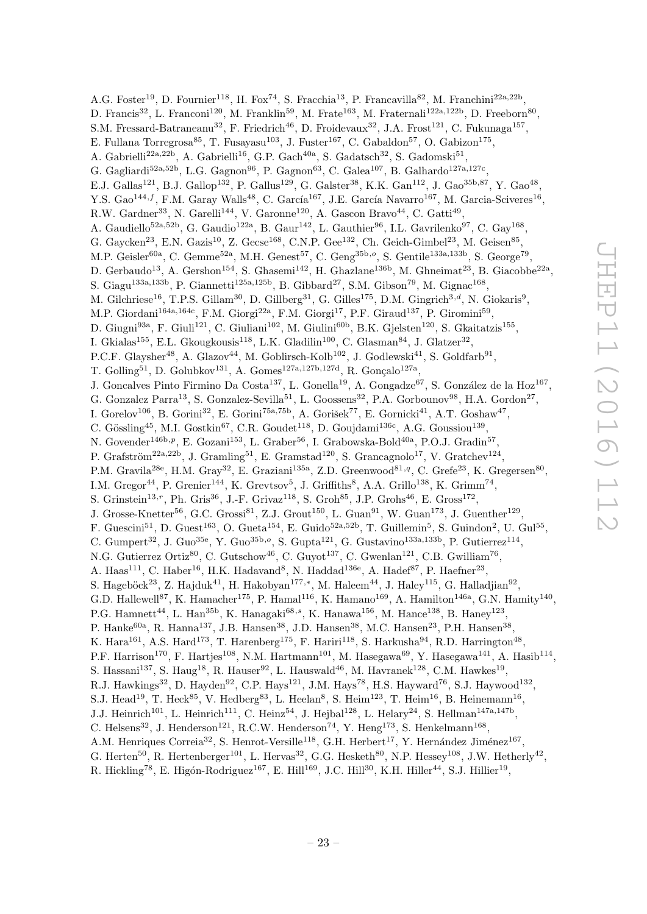A.G. Foster<sup>19</sup>, D. Fournier<sup>118</sup>, H. Fox<sup>74</sup>, S. Fracchia<sup>13</sup>, P. Francavilla<sup>82</sup>, M. Franchini<sup>22a,22b</sup>, D. Francis<sup>32</sup>, L. Franconi<sup>120</sup>, M. Franklin<sup>59</sup>, M. Frate<sup>163</sup>, M. Fraternali<sup>122a,122b</sup>, D. Freeborn<sup>80</sup>, S.M. Fressard-Batraneanu<sup>32</sup>, F. Friedrich<sup>46</sup>, D. Froidevaux<sup>32</sup>, J.A. Frost<sup>121</sup>, C. Fukunaga<sup>157</sup>, E. Fullana Torregrosa<sup>85</sup>, T. Fusayasu<sup>103</sup>, J. Fuster<sup>167</sup>, C. Gabaldon<sup>57</sup>, O. Gabizon<sup>175</sup>, A. Gabrielli<sup>22a, 22b</sup>, A. Gabrielli<sup>16</sup>, G.P. Gach<sup>40a</sup>, S. Gadatsch<sup>32</sup>, S. Gadomski<sup>51</sup>, G. Gagliardi<sup>52a,52b</sup>, L.G. Gagnon<sup>96</sup>, P. Gagnon<sup>63</sup>, C. Galea<sup>107</sup>, B. Galhardo<sup>127a,127c</sup>, E.J. Gallas<sup>121</sup>, B.J. Gallop<sup>132</sup>, P. Gallus<sup>129</sup>, G. Galster<sup>38</sup>, K.K. Gan<sup>112</sup>, J. Gao<sup>35b,87</sup>, Y. Gao<sup>48</sup>, Y.S. Gao $^{144,f}$ , F.M. Garay Walls<sup>48</sup>, C. García<sup>167</sup>, J.E. García Navarro<sup>167</sup>, M. Garcia-Sciveres<sup>16</sup>, R.W. Gardner<sup>33</sup>, N. Garelli<sup>144</sup>, V. Garonne<sup>120</sup>, A. Gascon Bravo<sup>44</sup>, C. Gatti<sup>49</sup>, A. Gaudiello<sup>52a,52b</sup>, G. Gaudio<sup>122a</sup>, B. Gaur<sup>142</sup>, L. Gauthier<sup>96</sup>, I.L. Gavrilenko<sup>97</sup>, C. Gay<sup>168</sup>, G. Gaycken<sup>23</sup>, E.N. Gazis<sup>10</sup>, Z. Gecse<sup>168</sup>, C.N.P. Gee<sup>132</sup>, Ch. Geich-Gimbel<sup>23</sup>, M. Geisen<sup>85</sup>, M.P. Geisler<sup>60a</sup>, C. Gemme<sup>52a</sup>, M.H. Genest<sup>57</sup>, C. Geng<sup>35b,o</sup>, S. Gentile<sup>133a,133b</sup>, S. George<sup>79</sup>, D. Gerbaudo<sup>13</sup>, A. Gershon<sup>154</sup>, S. Ghasemi<sup>142</sup>, H. Ghazlane<sup>136b</sup>, M. Ghneimat<sup>23</sup>, B. Giacobbe<sup>22a</sup>, S. Giagu<sup>133a,133b</sup>, P. Giannetti<sup>125a,125b</sup>, B. Gibbard<sup>27</sup>, S.M. Gibson<sup>79</sup>, M. Gignac<sup>168</sup>, M. Gilchriese<sup>16</sup>, T.P.S. Gillam<sup>30</sup>, D. Gillberg<sup>31</sup>, G. Gilles<sup>175</sup>, D.M. Gingrich<sup>3,d</sup>, N. Giokaris<sup>9</sup>, M.P. Giordani<sup>164a,164c</sup>, F.M. Giorgi<sup>22a</sup>, F.M. Giorgi<sup>17</sup>, P.F. Giraud<sup>137</sup>, P. Giromini<sup>59</sup>, D. Giugni<sup>93a</sup>, F. Giuli<sup>121</sup>, C. Giuliani<sup>102</sup>, M. Giulini<sup>60b</sup>, B.K. Gjelsten<sup>120</sup>, S. Gkaitatzis<sup>155</sup>, I. Gkialas<sup>155</sup>, E.L. Gkougkousis<sup>118</sup>, L.K. Gladilin<sup>100</sup>, C. Glasman<sup>84</sup>, J. Glatzer<sup>32</sup>, P.C.F. Glaysher<sup>48</sup>, A. Glazov<sup>44</sup>, M. Goblirsch-Kolb<sup>102</sup>, J. Godlewski<sup>41</sup>, S. Goldfarb<sup>91</sup>, T. Golling<sup>51</sup>, D. Golubkov<sup>131</sup>, A. Gomes<sup>127a,127b,127d</sup>, R. Gonçalo<sup>127a</sup>, J. Goncalves Pinto Firmino Da Costa<sup>137</sup>, L. Gonella<sup>19</sup>, A. Gongadze<sup>67</sup>, S. González de la Hoz<sup>167</sup>, G. Gonzalez Parra<sup>13</sup>, S. Gonzalez-Sevilla<sup>51</sup>, L. Goossens<sup>32</sup>, P.A. Gorbounov<sup>98</sup>, H.A. Gordon<sup>27</sup>, I. Gorelov<sup>106</sup>, B. Gorini<sup>32</sup>, E. Gorini<sup>75a,75b</sup>, A. Gorišek<sup>77</sup>, E. Gornicki<sup>41</sup>, A.T. Goshaw<sup>47</sup>, C. Gössling<sup>45</sup>, M.I. Gostkin<sup>67</sup>, C.R. Goudet<sup>118</sup>, D. Goujdami<sup>136c</sup>, A.G. Goussiou<sup>139</sup>, N. Govender<sup>146b,p</sup>, E. Gozani<sup>153</sup>, L. Graber<sup>56</sup>, I. Grabowska-Bold<sup>40a</sup>, P.O.J. Gradin<sup>57</sup>, P. Grafström<sup>22a,22b</sup>, J. Gramling<sup>51</sup>, E. Gramstad<sup>120</sup>, S. Grancagnolo<sup>17</sup>, V. Gratchev<sup>124</sup>, P.M. Gravila<sup>28e</sup>, H.M. Gray<sup>32</sup>, E. Graziani<sup>135a</sup>, Z.D. Greenwood<sup>81,q</sup>, C. Grefe<sup>23</sup>, K. Gregersen<sup>80</sup>, I.M. Gregor<sup>44</sup>, P. Grenier<sup>144</sup>, K. Grevtsov<sup>5</sup>, J. Griffiths<sup>8</sup>, A.A. Grillo<sup>138</sup>, K. Grimm<sup>74</sup>, S. Grinstein<sup>13,r</sup>, Ph. Gris<sup>36</sup>, J.-F. Grivaz<sup>118</sup>, S. Groh<sup>85</sup>, J.P. Grohs<sup>46</sup>, E. Gross<sup>172</sup>, J. Grosse-Knetter<sup>56</sup>, G.C. Grossi<sup>81</sup>, Z.J. Grout<sup>150</sup>, L. Guan<sup>91</sup>, W. Guan<sup>173</sup>, J. Guenther<sup>129</sup>, F. Guescini<sup>51</sup>, D. Guest<sup>163</sup>, O. Gueta<sup>154</sup>, E. Guido<sup>52a,52b</sup>, T. Guillemin<sup>5</sup>, S. Guindon<sup>2</sup>, U. Gul<sup>55</sup>, C. Gumpert<sup>32</sup>, J. Guo<sup>35e</sup>, Y. Guo<sup>35b,o</sup>, S. Gupta<sup>121</sup>, G. Gustavino<sup>133a,133b</sup>, P. Gutierrez<sup>114</sup>, N.G. Gutierrez Ortiz<sup>80</sup>, C. Gutschow<sup>46</sup>, C. Guyot<sup>137</sup>, C. Gwenlan<sup>121</sup>, C.B. Gwilliam<sup>76</sup>, A. Haas<sup>111</sup>, C. Haber<sup>16</sup>, H.K. Hadavand<sup>8</sup>, N. Haddad<sup>136e</sup>, A. Hadef<sup>87</sup>, P. Haefner<sup>23</sup>, S. Hageböck<sup>23</sup>, Z. Hajduk<sup>41</sup>, H. Hakobyan<sup>177,\*</sup>, M. Haleem<sup>44</sup>, J. Haley<sup>115</sup>, G. Halladjian<sup>92</sup>, G.D. Hallewell<sup>87</sup>, K. Hamacher<sup>175</sup>, P. Hamal<sup>116</sup>, K. Hamano<sup>169</sup>, A. Hamilton<sup>146a</sup>, G.N. Hamity<sup>140</sup>, P.G. Hamnett<sup>44</sup>, L. Han<sup>35b</sup>, K. Hanagaki<sup>68,s</sup>, K. Hanawa<sup>156</sup>, M. Hance<sup>138</sup>, B. Haney<sup>123</sup>, P. Hanke $^{60a}$ , R. Hanna<sup>137</sup>, J.B. Hansen<sup>38</sup>, J.D. Hansen<sup>38</sup>, M.C. Hansen<sup>23</sup>, P.H. Hansen<sup>38</sup>, K. Hara<sup>161</sup>, A.S. Hard<sup>173</sup>, T. Harenberg<sup>175</sup>, F. Hariri<sup>118</sup>, S. Harkusha<sup>94</sup>, R.D. Harrington<sup>48</sup>, P.F. Harrison<sup>170</sup>, F. Hartjes<sup>108</sup>, N.M. Hartmann<sup>101</sup>, M. Hasegawa<sup>69</sup>, Y. Hasegawa<sup>141</sup>, A. Hasib<sup>114</sup>, S. Hassani<sup>137</sup>, S. Haug<sup>18</sup>, R. Hauser<sup>92</sup>, L. Hauswald<sup>46</sup>, M. Havranek<sup>128</sup>, C.M. Hawkes<sup>19</sup>, R.J. Hawkings<sup>32</sup>, D. Hayden<sup>92</sup>, C.P. Hays<sup>121</sup>, J.M. Hays<sup>78</sup>, H.S. Hayward<sup>76</sup>, S.J. Haywood<sup>132</sup>, S.J. Head<sup>19</sup>, T. Heck<sup>85</sup>, V. Hedberg<sup>83</sup>, L. Heelan<sup>8</sup>, S. Heim<sup>123</sup>, T. Heim<sup>16</sup>, B. Heinemann<sup>16</sup>, J.J. Heinrich<sup>101</sup>, L. Heinrich<sup>111</sup>, C. Heinz<sup>54</sup>, J. Hejbal<sup>128</sup>, L. Helary<sup>24</sup>, S. Hellman<sup>147a,147b</sup>, C. Helsens<sup>32</sup>, J. Henderson<sup>121</sup>, R.C.W. Henderson<sup>74</sup>, Y. Heng<sup>173</sup>, S. Henkelmann<sup>168</sup>, A.M. Henriques Correia<sup>32</sup>, S. Henrot-Versille<sup>118</sup>, G.H. Herbert<sup>17</sup>, Y. Hernández Jiménez<sup>167</sup>, G. Herten<sup>50</sup>, R. Hertenberger<sup>101</sup>, L. Hervas<sup>32</sup>, G.G. Hesketh<sup>80</sup>, N.P. Hessey<sup>108</sup>, J.W. Hetherly<sup>42</sup>,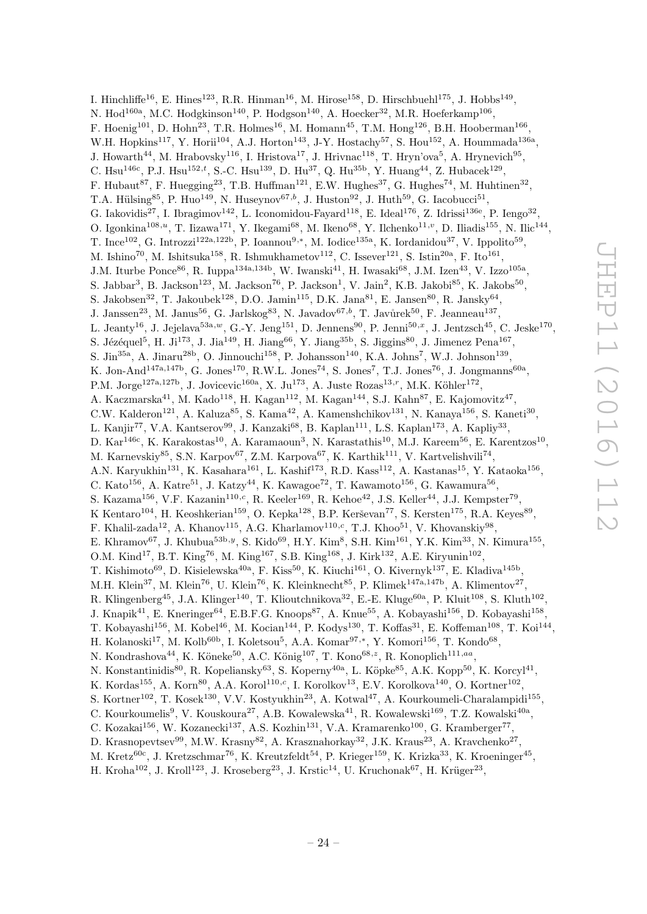I. Hinchliffe<sup>16</sup>, E. Hines<sup>123</sup>, R.R. Hinman<sup>16</sup>, M. Hirose<sup>158</sup>, D. Hirschbuehl<sup>175</sup>, J. Hobbs<sup>149</sup>, N. Hod<sup>160a</sup>, M.C. Hodgkinson<sup>140</sup>, P. Hodgson<sup>140</sup>, A. Hoecker<sup>32</sup>, M.R. Hoeferkamp<sup>106</sup>, F. Hoenig<sup>101</sup>, D. Hohn<sup>23</sup>, T.R. Holmes<sup>16</sup>, M. Homann<sup>45</sup>, T.M. Hong<sup>126</sup>, B.H. Hooberman<sup>166</sup>, W.H. Hopkins<sup>117</sup>, Y. Horii<sup>104</sup>, A.J. Horton<sup>143</sup>, J-Y. Hostachy<sup>57</sup>, S. Hou<sup>152</sup>, A. Hoummada<sup>136a</sup>, J. Howarth<sup>44</sup>, M. Hrabovsky<sup>116</sup>, I. Hristova<sup>17</sup>, J. Hrivnac<sup>118</sup>, T. Hryn'ova<sup>5</sup>, A. Hrynevich<sup>95</sup>, C. Hsu<sup>146c</sup>, P.J. Hsu<sup>152,*t*</sup>, S.-C. Hsu<sup>139</sup>, D. Hu<sup>37</sup>, Q. Hu<sup>35b</sup>, Y. Huang<sup>44</sup>, Z. Hubacek<sup>129</sup>, F. Hubaut<sup>87</sup>, F. Huegging<sup>23</sup>, T.B. Huffman<sup>121</sup>, E.W. Hughes<sup>37</sup>, G. Hughes<sup>74</sup>, M. Huhtinen<sup>32</sup>, T.A. Hülsing<sup>85</sup>, P. Huo<sup>149</sup>, N. Huseynov<sup>67,b</sup>, J. Huston<sup>92</sup>, J. Huth<sup>59</sup>, G. Iacobucci<sup>51</sup>, G. Iakovidis<sup>27</sup>, I. Ibragimov<sup>142</sup>, L. Iconomidou-Fayard<sup>118</sup>, E. Ideal<sup>176</sup>, Z. Idrissi<sup>136e</sup>, P. Iengo<sup>32</sup>, O. Igonkina<sup>108,*u*</sup>, T. Iizawa<sup>171</sup>, Y. Ikegami<sup>68</sup>, M. Ikeno<sup>68</sup>, Y. Ilchenko<sup>11,*v*</sup>, D. Iliadis<sup>155</sup>, N. Ilic<sup>144</sup>, T. Ince<sup>102</sup>, G. Introzzi<sup>122a,122b</sup>, P. Ioannou<sup>9,\*</sup>, M. Iodice<sup>135a</sup>, K. Iordanidou<sup>37</sup>, V. Ippolito<sup>59</sup>, M. Ishino<sup>70</sup>, M. Ishitsuka<sup>158</sup>, R. Ishmukhametov<sup>112</sup>, C. Issever<sup>121</sup>, S. Istin<sup>20a</sup>, F. Ito<sup>161</sup>, J.M. Iturbe Ponce<sup>86</sup>, R. Iuppa<sup>134a,134b</sup>, W. Iwanski<sup>41</sup>, H. Iwasaki<sup>68</sup>, J.M. Izen<sup>43</sup>, V. Izzo<sup>105a</sup>, S. Jabbar<sup>3</sup>, B. Jackson<sup>123</sup>, M. Jackson<sup>76</sup>, P. Jackson<sup>1</sup>, V. Jain<sup>2</sup>, K.B. Jakobi<sup>85</sup>, K. Jakobs<sup>50</sup>, S. Jakobsen<sup>32</sup>, T. Jakoubek<sup>128</sup>, D.O. Jamin<sup>115</sup>, D.K. Jana<sup>81</sup>, E. Jansen<sup>80</sup>, R. Jansky<sup>64</sup>, J. Janssen<sup>23</sup>, M. Janus<sup>56</sup>, G. Jarlskog<sup>83</sup>, N. Javadov<sup>67,b</sup>, T. Javůrek<sup>50</sup>, F. Jeanneau<sup>137</sup>, L. Jeanty<sup>16</sup>, J. Jejelava<sup>53a,w</sup>, G.-Y. Jeng<sup>151</sup>, D. Jennens<sup>90</sup>, P. Jenni<sup>50,x</sup>, J. Jentzsch<sup>45</sup>, C. Jeske<sup>170</sup>, S. Jézéquel<sup>5</sup>, H. Ji<sup>173</sup>, J. Jia<sup>149</sup>, H. Jiang<sup>66</sup>, Y. Jiang<sup>35b</sup>, S. Jiggins<sup>80</sup>, J. Jimenez Pena<sup>167</sup>, S. Jin<sup>35a</sup>, A. Jinaru<sup>28b</sup>, O. Jinnouchi<sup>158</sup>, P. Johansson<sup>140</sup>, K.A. Johns<sup>7</sup>, W.J. Johnson<sup>139</sup>, K. Jon-And<sup>147a,147b</sup>, G. Jones<sup>170</sup>, R.W.L. Jones<sup>74</sup>, S. Jones<sup>7</sup>, T.J. Jones<sup>76</sup>, J. Jongmanns<sup>60a</sup>, P.M. Jorge<sup>127a,127b</sup>, J. Jovicevic<sup>160a</sup>, X. Ju<sup>173</sup>, A. Juste Rozas<sup>13,r</sup>, M.K. Köhler<sup>172</sup>, A. Kaczmarska<sup>41</sup>, M. Kado<sup>118</sup>, H. Kagan<sup>112</sup>, M. Kagan<sup>144</sup>, S.J. Kahn<sup>87</sup>, E. Kajomovitz<sup>47</sup>, C.W. Kalderon<sup>121</sup>, A. Kaluza<sup>85</sup>, S. Kama<sup>42</sup>, A. Kamenshchikov<sup>131</sup>, N. Kanaya<sup>156</sup>, S. Kaneti<sup>30</sup>, L. Kanjir<sup>77</sup>, V.A. Kantserov<sup>99</sup>, J. Kanzaki<sup>68</sup>, B. Kaplan<sup>111</sup>, L.S. Kaplan<sup>173</sup>, A. Kapliy<sup>33</sup>, D. Kar<sup>146c</sup>, K. Karakostas<sup>10</sup>, A. Karamaoun<sup>3</sup>, N. Karastathis<sup>10</sup>, M.J. Kareem<sup>56</sup>, E. Karentzos<sup>10</sup>, M. Karnevskiy<sup>85</sup>, S.N. Karpov<sup>67</sup>, Z.M. Karpova<sup>67</sup>, K. Karthik<sup>111</sup>, V. Kartvelishvili<sup>74</sup>, A.N. Karyukhin<sup>131</sup>, K. Kasahara<sup>161</sup>, L. Kashif<sup>173</sup>, R.D. Kass<sup>112</sup>, A. Kastanas<sup>15</sup>, Y. Kataoka<sup>156</sup>, C. Kato<sup>156</sup>, A. Katre<sup>51</sup>, J. Katzy<sup>44</sup>, K. Kawagoe<sup>72</sup>, T. Kawamoto<sup>156</sup>, G. Kawamura<sup>56</sup>, S. Kazama<sup>156</sup>, V.F. Kazanin<sup>110,c</sup>, R. Keeler<sup>169</sup>, R. Kehoe<sup>42</sup>, J.S. Keller<sup>44</sup>, J.J. Kempster<sup>79</sup>, K Kentaro<sup>104</sup>, H. Keoshkerian<sup>159</sup>, O. Kepka<sup>128</sup>, B.P. Kerševan<sup>77</sup>, S. Kersten<sup>175</sup>, R.A. Keyes<sup>89</sup>, F. Khalil-zada<sup>12</sup>, A. Khanov<sup>115</sup>, A.G. Kharlamov<sup>110,c</sup>, T.J. Khoo<sup>51</sup>, V. Khovanskiy<sup>98</sup>, E. Khramov<sup>67</sup>, J. Khubua<sup>53b, y</sup>, S. Kido<sup>69</sup>, H.Y. Kim<sup>8</sup>, S.H. Kim<sup>161</sup>, Y.K. Kim<sup>33</sup>, N. Kimura<sup>155</sup>, O.M. Kind<sup>17</sup>, B.T. King<sup>76</sup>, M. King<sup>167</sup>, S.B. King<sup>168</sup>, J. Kirk<sup>132</sup>, A.E. Kiryunin<sup>102</sup>, T. Kishimoto<sup>69</sup>, D. Kisielewska<sup>40a</sup>, F. Kiss<sup>50</sup>, K. Kiuchi<sup>161</sup>, O. Kivernyk<sup>137</sup>, E. Kladiva<sup>145b</sup>, M.H. Klein<sup>37</sup>, M. Klein<sup>76</sup>, U. Klein<sup>76</sup>, K. Kleinknecht<sup>85</sup>, P. Klimek<sup>147a,147b</sup>, A. Klimentov<sup>27</sup>, R. Klingenberg<sup>45</sup>, J.A. Klinger<sup>140</sup>, T. Klioutchnikova<sup>32</sup>, E.-E. Kluge<sup>60a</sup>, P. Kluit<sup>108</sup>, S. Kluth<sup>102</sup>, J. Knapik<sup>41</sup>, E. Kneringer<sup>64</sup>, E.B.F.G. Knoops<sup>87</sup>, A. Knue<sup>55</sup>, A. Kobayashi<sup>156</sup>, D. Kobayashi<sup>158</sup>, T. Kobayashi<sup>156</sup>, M. Kobel<sup>46</sup>, M. Kocian<sup>144</sup>, P. Kodys<sup>130</sup>, T. Koffas<sup>31</sup>, E. Koffeman<sup>108</sup>, T. Koi<sup>144</sup>, H. Kolanoski<sup>17</sup>, M. Kolb<sup>60b</sup>, I. Koletsou<sup>5</sup>, A.A. Komar<sup>97,\*</sup>, Y. Komori<sup>156</sup>, T. Kondo<sup>68</sup>, N. Kondrashova<sup>44</sup>, K. Köneke<sup>50</sup>, A.C. König<sup>107</sup>, T. Kono<sup>68,*z*</sup>, R. Konoplich<sup>111,aa</sup>, N. Konstantinidis<sup>80</sup>, R. Kopeliansky<sup>63</sup>, S. Koperny<sup>40a</sup>, L. Köpke<sup>85</sup>, A.K. Kopp<sup>50</sup>, K. Korcyl<sup>41</sup>, K. Kordas<sup>155</sup>, A. Korn<sup>80</sup>, A.A. Korol<sup>110,c</sup>, I. Korolkov<sup>13</sup>, E.V. Korolkova<sup>140</sup>, O. Kortner<sup>102</sup>, S. Kortner<sup>102</sup>, T. Kosek<sup>130</sup>, V.V. Kostyukhin<sup>23</sup>, A. Kotwal<sup>47</sup>, A. Kourkoumeli-Charalampidi<sup>155</sup>, C. Kourkoumelis<sup>9</sup>, V. Kouskoura<sup>27</sup>, A.B. Kowalewska<sup>41</sup>, R. Kowalewski<sup>169</sup>, T.Z. Kowalski<sup>40a</sup>, C. Kozakai<sup>156</sup>, W. Kozanecki<sup>137</sup>, A.S. Kozhin<sup>131</sup>, V.A. Kramarenko<sup>100</sup>, G. Kramberger<sup>77</sup>, D. Krasnopevtsev $^{99}$ , M.W. Krasny $^{82}$ , A. Krasznahorkay $^{32}$ , J.K. Kraus $^{23}$ , A. Kravchenko $^{27}$ ,

- M. Kretz<sup>60c</sup>, J. Kretzschmar<sup>76</sup>, K. Kreutzfeldt<sup>54</sup>, P. Krieger<sup>159</sup>, K. Krizka<sup>33</sup>, K. Kroeninger<sup>45</sup>,
- H. Kroha<sup>102</sup>, J. Kroll<sup>123</sup>, J. Kroseberg<sup>23</sup>, J. Krstic<sup>14</sup>, U. Kruchonak<sup>67</sup>, H. Krüger<sup>23</sup>,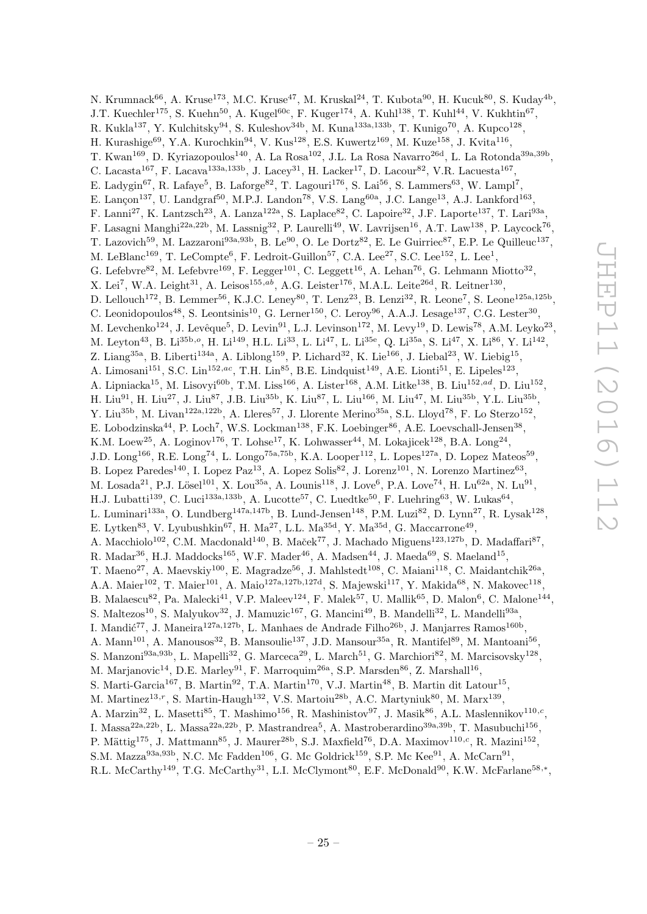N. Krumnack $^{66}$ , A. Kruse $^{173}$ , M.C. Kruse $^{47}$ , M. Kruskal $^{24}$ , T. Kubota $^{90}$ , H. Kucuk $^{80}$ , S. Kuday $^{4b}$ , J.T. Kuechler<sup>175</sup>, S. Kuehn<sup>50</sup>, A. Kugel<sup>60c</sup>, F. Kuger<sup>174</sup>, A. Kuhl<sup>138</sup>, T. Kuhl<sup>44</sup>, V. Kukhtin<sup>67</sup>, R. Kukla<sup>137</sup>, Y. Kulchitsky<sup>94</sup>, S. Kuleshov<sup>34b</sup>, M. Kuna<sup>133a,133b</sup>, T. Kunigo<sup>70</sup>, A. Kupco<sup>128</sup>, H. Kurashige $^{69}$ , Y.A. Kurochkin $^{94}$ , V. Kus $^{128}$ , E.S. Kuwertz $^{169}$ , M. Kuze $^{158}$ , J. Kvita $^{116}$ , T. Kwan<sup>169</sup>, D. Kyriazopoulos<sup>140</sup>, A. La Rosa<sup>102</sup>, J.L. La Rosa Navarro<sup>26d</sup>, L. La Rotonda<sup>39a,39b</sup>, C. Lacasta<sup>167</sup>, F. Lacava<sup>133a,133b</sup>, J. Lacey<sup>31</sup>, H. Lacker<sup>17</sup>, D. Lacour<sup>82</sup>, V.R. Lacuesta<sup>167</sup>, E. Ladygin<sup>67</sup>, R. Lafaye<sup>5</sup>, B. Laforge<sup>82</sup>, T. Lagouri<sup>176</sup>, S. Lai<sup>56</sup>, S. Lammers<sup>63</sup>, W. Lampl<sup>7</sup>, E. Lançon<sup>137</sup>, U. Landgraf<sup>50</sup>, M.P.J. Landon<sup>78</sup>, V.S. Lang<sup>60a</sup>, J.C. Lange<sup>13</sup>, A.J. Lankford<sup>163</sup>, F. Lanni<sup>27</sup>, K. Lantzsch<sup>23</sup>, A. Lanza<sup>122a</sup>, S. Laplace<sup>82</sup>, C. Lapoire<sup>32</sup>, J.F. Laporte<sup>137</sup>, T. Lari<sup>93a</sup>, F. Lasagni Manghi<sup>22a,22b</sup>, M. Lassnig<sup>32</sup>, P. Laurelli<sup>49</sup>, W. Lavrijsen<sup>16</sup>, A.T. Law<sup>138</sup>, P. Laycock<sup>76</sup>, T. Lazovich<sup>59</sup>, M. Lazzaroni<sup>93a,93b</sup>, B. Le<sup>90</sup>, O. Le Dortz<sup>82</sup>, E. Le Guirriec<sup>87</sup>, E.P. Le Quilleuc<sup>137</sup>, M. LeBlanc<sup>169</sup>, T. LeCompte<sup>6</sup>, F. Ledroit-Guillon<sup>57</sup>, C.A. Lee<sup>27</sup>, S.C. Lee<sup>152</sup>, L. Lee<sup>1</sup>, G. Lefebvre<sup>82</sup>, M. Lefebvre<sup>169</sup>, F. Legger<sup>101</sup>, C. Leggett<sup>16</sup>, A. Lehan<sup>76</sup>, G. Lehmann Miotto<sup>32</sup>, X. Lei<sup>7</sup>, W.A. Leight<sup>31</sup>, A. Leisos<sup>155,ab</sup>, A.G. Leister<sup>176</sup>, M.A.L. Leite<sup>26d</sup>, R. Leitner<sup>130</sup>, D. Lellouch<sup>172</sup>, B. Lemmer<sup>56</sup>, K.J.C. Leney<sup>80</sup>, T. Lenz<sup>23</sup>, B. Lenzi<sup>32</sup>, R. Leone<sup>7</sup>, S. Leone<sup>125a,125b</sup>, C. Leonidopoulos<sup>48</sup>, S. Leontsinis<sup>10</sup>, G. Lerner<sup>150</sup>, C. Leroy<sup>96</sup>, A.A.J. Lesage<sup>137</sup>, C.G. Lester<sup>30</sup>, M. Levchenko<sup>124</sup>, J. Levêque<sup>5</sup>, D. Levin<sup>91</sup>, L.J. Levinson<sup>172</sup>, M. Levy<sup>19</sup>, D. Lewis<sup>78</sup>, A.M. Leyko<sup>23</sup>, M. Leyton<sup>43</sup>, B. Li<sup>35b,o</sup>, H. Li<sup>149</sup>, H.L. Li<sup>33</sup>, L. Li<sup>47</sup>, L. Li<sup>35</sup>e, Q. Li<sup>35a</sup>, S. Li<sup>47</sup>, X. Li<sup>86</sup>, Y. Li<sup>142</sup>, Z. Liang<sup>35a</sup>, B. Liberti<sup>134a</sup>, A. Liblong<sup>159</sup>, P. Lichard<sup>32</sup>, K. Lie<sup>166</sup>, J. Liebal<sup>23</sup>, W. Liebig<sup>15</sup>, A. Limosani<sup>151</sup>, S.C. Lin<sup>152,ac</sup>, T.H. Lin<sup>85</sup>, B.E. Lindquist<sup>149</sup>, A.E. Lionti<sup>51</sup>, E. Lipeles<sup>123</sup>, A. Lipniacka<sup>15</sup>, M. Lisovyi<sup>60b</sup>, T.M. Liss<sup>166</sup>, A. Lister<sup>168</sup>, A.M. Litke<sup>138</sup>, B. Liu<sup>152,ad</sup>, D. Liu<sup>152</sup>, H. Liu<sup>91</sup>, H. Liu<sup>27</sup>, J. Liu<sup>87</sup>, J.B. Liu<sup>35b</sup>, K. Liu<sup>87</sup>, L. Liu<sup>166</sup>, M. Liu<sup>47</sup>, M. Liu<sup>35b</sup>, Y.L. Liu<sup>35b</sup>, Y. Liu<sup>35b</sup>, M. Livan<sup>122a,122b</sup>, A. Lleres<sup>57</sup>, J. Llorente Merino<sup>35a</sup>, S.L. Lloyd<sup>78</sup>, F. Lo Sterzo<sup>152</sup>, E. Lobodzinska<sup>44</sup>, P. Loch<sup>7</sup>, W.S. Lockman<sup>138</sup>, F.K. Loebinger<sup>86</sup>, A.E. Loevschall-Jensen<sup>38</sup>, K.M. Loew<sup>25</sup>, A. Loginov<sup>176</sup>, T. Lohse<sup>17</sup>, K. Lohwasser<sup>44</sup>, M. Lokajicek<sup>128</sup>, B.A. Long<sup>24</sup>, J.D. Long<sup>166</sup>, R.E. Long<sup>74</sup>, L. Longo<sup>75a,75b</sup>, K.A. Looper<sup>112</sup>, L. Lopes<sup>127a</sup>, D. Lopez Mateos<sup>59</sup>, B. Lopez Paredes<sup>140</sup>, I. Lopez Paz<sup>13</sup>, A. Lopez Solis<sup>82</sup>, J. Lorenz<sup>101</sup>, N. Lorenzo Martinez<sup>63</sup>, M. Losada $^{21}$ , P.J. Lösel $^{101}$ , X. Lou $^{35a}$ , A. Lounis $^{118}$ , J. Love $^6$ , P.A. Love $^{74}$ , H. Lu $^{62a}$ , N. Lu $^{91}$ , H.J. Lubatti<sup>139</sup>, C. Luci<sup>133a,133b</sup>, A. Lucotte<sup>57</sup>, C. Luedtke<sup>50</sup>, F. Luehring<sup>63</sup>, W. Lukas<sup>64</sup>, L. Luminari<sup>133a</sup>, O. Lundberg<sup>147a,147b</sup>, B. Lund-Jensen<sup>148</sup>, P.M. Luzi<sup>82</sup>, D. Lynn<sup>27</sup>, R. Lysak<sup>128</sup>, E. Lytken<sup>83</sup>, V. Lyubushkin<sup>67</sup>, H. Ma<sup>27</sup>, L.L. Ma<sup>35d</sup>, Y. Ma<sup>35d</sup>, G. Maccarrone<sup>49</sup>, A. Macchiolo<sup>102</sup>, C.M. Macdonald<sup>140</sup>, B. Maček<sup>77</sup>, J. Machado Miguens<sup>123,127b</sup>, D. Madaffari<sup>87</sup>, R. Madar<sup>36</sup>, H.J. Maddocks<sup>165</sup>, W.F. Mader<sup>46</sup>, A. Madsen<sup>44</sup>, J. Maeda<sup>69</sup>, S. Maeland<sup>15</sup>, T. Maeno<sup>27</sup>, A. Maevskiy<sup>100</sup>, E. Magradze<sup>56</sup>, J. Mahlstedt<sup>108</sup>, C. Maiani<sup>118</sup>, C. Maidantchik<sup>26a</sup>, A.A. Maier<sup>102</sup>, T. Maier<sup>101</sup>, A. Maio<sup>127a,127b,127d</sup>, S. Majewski<sup>117</sup>, Y. Makida<sup>68</sup>, N. Makovec<sup>118</sup>, B. Malaescu<sup>82</sup>, Pa. Malecki<sup>41</sup>, V.P. Maleev<sup>124</sup>, F. Malek<sup>57</sup>, U. Mallik<sup>65</sup>, D. Malon<sup>6</sup>, C. Malone<sup>144</sup>, S. Maltezos<sup>10</sup>, S. Malyukov<sup>32</sup>, J. Mamuzic<sup>167</sup>, G. Mancini<sup>49</sup>, B. Mandelli<sup>32</sup>, L. Mandelli<sup>93a</sup>, I. Mandić<sup>77</sup>, J. Maneira<sup>127a,127b</sup>, L. Manhaes de Andrade Filho<sup>26b</sup>, J. Manjarres Ramos<sup>160b</sup>, A. Mann<sup>101</sup>, A. Manousos<sup>32</sup>, B. Mansoulie<sup>137</sup>, J.D. Mansour<sup>35a</sup>, R. Mantifel<sup>89</sup>, M. Mantoani<sup>56</sup>, S. Manzoni<sup>93a,93b</sup>, L. Mapelli<sup>32</sup>, G. Marceca<sup>29</sup>, L. March<sup>51</sup>, G. Marchiori<sup>82</sup>, M. Marcisovsky<sup>128</sup>, M. Marjanovic<sup>14</sup>, D.E. Marley<sup>91</sup>, F. Marroquim<sup>26a</sup>, S.P. Marsden<sup>86</sup>, Z. Marshall<sup>16</sup>, S. Marti-Garcia<sup>167</sup>, B. Martin<sup>92</sup>, T.A. Martin<sup>170</sup>, V.J. Martin<sup>48</sup>, B. Martin dit Latour<sup>15</sup>, M. Martinez<sup>13,r</sup>, S. Martin-Haugh<sup>132</sup>, V.S. Martoiu<sup>28b</sup>, A.C. Martyniuk<sup>80</sup>, M. Marx<sup>139</sup>, A. Marzin<sup>32</sup>, L. Masetti<sup>85</sup>, T. Mashimo<sup>156</sup>, R. Mashinistov<sup>97</sup>, J. Masik<sup>86</sup>, A.L. Maslennikov<sup>110,*c*</sup>, I. Massa<sup>22a,22b</sup>, L. Massa<sup>22a,22b</sup>, P. Mastrandrea<sup>5</sup>, A. Mastroberardino<sup>39a,39b</sup>, T. Masubuchi<sup>156</sup>, P. Mättig<sup>175</sup>, J. Mattmann<sup>85</sup>, J. Maurer<sup>28b</sup>, S.J. Maxfield<sup>76</sup>, D.A. Maximov<sup>110,c</sup>, R. Mazini<sup>152</sup>, S.M. Mazza<sup>93a,93b</sup>, N.C. Mc Fadden<sup>106</sup>, G. Mc Goldrick<sup>159</sup>, S.P. Mc Kee<sup>91</sup>, A. McCarn<sup>91</sup>,

R.L. McCarthy<sup>149</sup>, T.G. McCarthy<sup>31</sup>, L.I. McClymont<sup>80</sup>, E.F. McDonald<sup>90</sup>, K.W. McFarlane<sup>58,\*</sup>,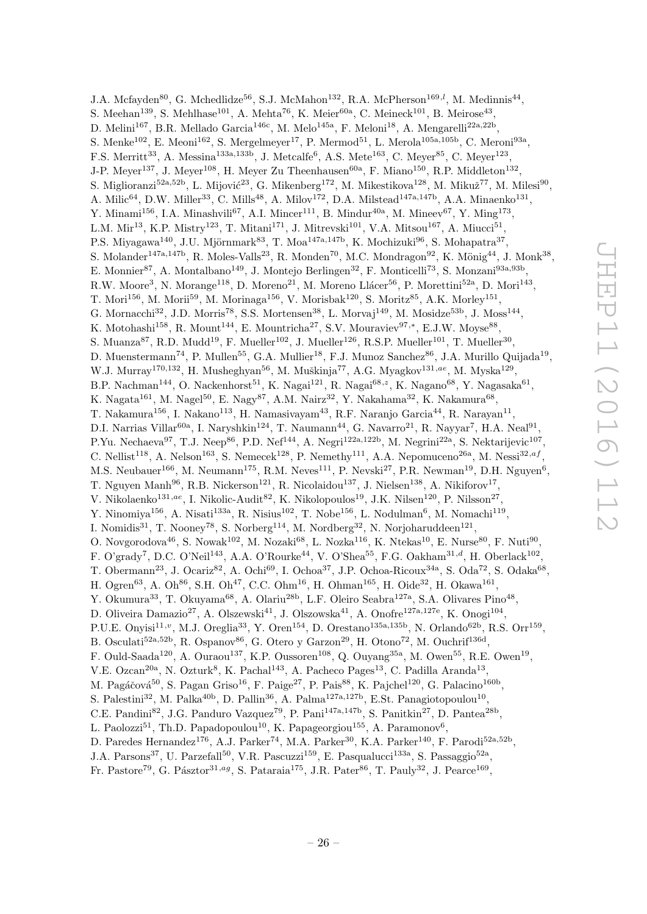J.A. Mcfayden<sup>80</sup>, G. Mchedlidze<sup>56</sup>, S.J. McMahon<sup>132</sup>, R.A. McPherson<sup>169,*l*</sup>, M. Medinnis<sup>44</sup>, S. Meehan<sup>139</sup>, S. Mehlhase<sup>101</sup>, A. Mehta<sup>76</sup>, K. Meier<sup>60a</sup>, C. Meineck<sup>101</sup>, B. Meirose<sup>43</sup>, D. Melini<sup>167</sup>, B.R. Mellado Garcia<sup>146c</sup>, M. Melo<sup>145a</sup>, F. Meloni<sup>18</sup>, A. Mengarelli<sup>22a,22b</sup>, S. Menke<sup>102</sup>, E. Meoni<sup>162</sup>, S. Mergelmeyer<sup>17</sup>, P. Mermod<sup>51</sup>, L. Merola<sup>105a,105b</sup>, C. Meroni<sup>93a</sup>, F.S. Merritt<sup>33</sup>, A. Messina<sup>133a,133b</sup>, J. Metcalfe<sup>6</sup>, A.S. Mete<sup>163</sup>, C. Meyer<sup>85</sup>, C. Meyer<sup>123</sup>, J-P. Meyer<sup>137</sup>, J. Meyer<sup>108</sup>, H. Meyer Zu Theenhausen<sup>60a</sup>, F. Miano<sup>150</sup>, R.P. Middleton<sup>132</sup>, S. Miglioranzi<sup>52a,52b</sup>, L. Mijović<sup>23</sup>, G. Mikenberg<sup>172</sup>, M. Mikestikova<sup>128</sup>, M. Mikuž<sup>77</sup>, M. Milesi<sup>90</sup>, A. Milic<sup>64</sup>, D.W. Miller<sup>33</sup>, C. Mills<sup>48</sup>, A. Milov<sup>172</sup>, D.A. Milstead<sup>147a,147b</sup>, A.A. Minaenko<sup>131</sup>, Y. Minami<sup>156</sup>, I.A. Minashvili<sup>67</sup>, A.I. Mincer<sup>111</sup>, B. Mindur<sup>40a</sup>, M. Mineev<sup>67</sup>, Y. Ming<sup>173</sup>, L.M. Mir<sup>13</sup>, K.P. Mistry<sup>123</sup>, T. Mitani<sup>171</sup>, J. Mitrevski<sup>101</sup>, V.A. Mitsou<sup>167</sup>, A. Miucci<sup>51</sup>, P.S. Miyagawa<sup>140</sup>, J.U. Mjörnmark<sup>83</sup>, T. Moa<sup>147a,147b</sup>, K. Mochizuki<sup>96</sup>, S. Mohapatra<sup>37</sup>, S. Molander<sup>147a,147b</sup>, R. Moles-Valls<sup>23</sup>, R. Monden<sup>70</sup>, M.C. Mondragon<sup>92</sup>, K. Mönig<sup>44</sup>, J. Monk<sup>38</sup>, E. Monnier<sup>87</sup>, A. Montalbano<sup>149</sup>, J. Montejo Berlingen<sup>32</sup>, F. Monticelli<sup>73</sup>, S. Monzani<sup>93a,93b</sup>, R.W. Moore<sup>3</sup>, N. Morange<sup>118</sup>, D. Moreno<sup>21</sup>, M. Moreno Llácer<sup>56</sup>, P. Morettini<sup>52a</sup>, D. Mori<sup>143</sup>, T. Mori<sup>156</sup>, M. Morii<sup>59</sup>, M. Morinaga<sup>156</sup>, V. Morisbak<sup>120</sup>, S. Moritz<sup>85</sup>, A.K. Morley<sup>151</sup>, G. Mornacchi<sup>32</sup>, J.D. Morris<sup>78</sup>, S.S. Mortensen<sup>38</sup>, L. Morvaj<sup>149</sup>, M. Mosidze<sup>53b</sup>, J. Moss<sup>144</sup>, K. Motohashi<sup>158</sup>, R. Mount<sup>144</sup>, E. Mountricha<sup>27</sup>, S.V. Mouraviev<sup>97,\*</sup>, E.J.W. Moyse<sup>88</sup>, S. Muanza<sup>87</sup>, R.D. Mudd<sup>19</sup>, F. Mueller<sup>102</sup>, J. Mueller<sup>126</sup>, R.S.P. Mueller<sup>101</sup>, T. Mueller<sup>30</sup>, D. Muenstermann<sup>74</sup>, P. Mullen<sup>55</sup>, G.A. Mullier<sup>18</sup>, F.J. Munoz Sanchez<sup>86</sup>, J.A. Murillo Quijada<sup>19</sup>, W.J. Murray<sup>170,132</sup>, H. Musheghyan<sup>56</sup>, M. Muškinja<sup>77</sup>, A.G. Myagkov<sup>131,ae</sup>, M. Myska<sup>129</sup>, B.P. Nachman<sup>144</sup>, O. Nackenhorst<sup>51</sup>, K. Nagai<sup>121</sup>, R. Nagai<sup>68, z</sup>, K. Nagano<sup>68</sup>, Y. Nagasaka<sup>61</sup>, K. Nagata $^{161}$ , M. Nagel $^{50}$ , E. Nagy $^{87}$ , A.M. Nairz $^{32}$ , Y. Nakahama $^{32}$ , K. Nakamura $^{68}$ , T. Nakamura<sup>156</sup>, I. Nakano<sup>113</sup>, H. Namasivayam<sup>43</sup>, R.F. Naranjo Garcia<sup>44</sup>, R. Narayan<sup>11</sup>, D.I. Narrias Villar<sup>60a</sup>, I. Naryshkin<sup>124</sup>, T. Naumann<sup>44</sup>, G. Navarro<sup>21</sup>, R. Nayyar<sup>7</sup>, H.A. Neal<sup>91</sup>, P.Yu. Nechaeva<sup>97</sup>, T.J. Neep<sup>86</sup>, P.D. Nef<sup>144</sup>, A. Negri<sup>122a,122b</sup>, M. Negrini<sup>22a</sup>, S. Nektarijevic<sup>107</sup>, C. Nellist<sup>118</sup>, A. Nelson<sup>163</sup>, S. Nemecek<sup>128</sup>, P. Nemethy<sup>111</sup>, A.A. Nepomuceno<sup>26a</sup>, M. Nessi<sup>32,af</sup>, M.S. Neubauer<sup>166</sup>, M. Neumann<sup>175</sup>, R.M. Neves<sup>111</sup>, P. Nevski<sup>27</sup>, P.R. Newman<sup>19</sup>, D.H. Nguyen<sup>6</sup>, T. Nguyen Manh<sup>96</sup>, R.B. Nickerson<sup>121</sup>, R. Nicolaidou<sup>137</sup>, J. Nielsen<sup>138</sup>, A. Nikiforov<sup>17</sup>, V. Nikolaenko<sup>131,ae</sup>, I. Nikolic-Audit<sup>82</sup>, K. Nikolopoulos<sup>19</sup>, J.K. Nilsen<sup>120</sup>, P. Nilsson<sup>27</sup>, Y. Ninomiya<sup>156</sup>, A. Nisati<sup>133a</sup>, R. Nisius<sup>102</sup>, T. Nobe<sup>156</sup>, L. Nodulman<sup>6</sup>, M. Nomachi<sup>119</sup>, I. Nomidis<sup>31</sup>, T. Nooney<sup>78</sup>, S. Norberg<sup>114</sup>, M. Nordberg<sup>32</sup>, N. Norjoharuddeen<sup>121</sup>, O. Novgorodova<sup>46</sup>, S. Nowak<sup>102</sup>, M. Nozaki<sup>68</sup>, L. Nozka<sup>116</sup>, K. Ntekas<sup>10</sup>, E. Nurse<sup>80</sup>, F. Nuti<sup>90</sup>, F. O'grady<sup>7</sup>, D.C. O'Neil<sup>143</sup>, A.A. O'Rourke<sup>44</sup>, V. O'Shea<sup>55</sup>, F.G. Oakham<sup>31,d</sup>, H. Oberlack<sup>102</sup>, T. Obermann<sup>23</sup>, J. Ocariz<sup>82</sup>, A. Ochi<sup>69</sup>, I. Ochoa<sup>37</sup>, J.P. Ochoa-Ricoux<sup>34a</sup>, S. Oda<sup>72</sup>, S. Odaka<sup>68</sup>, H. Ogren<sup>63</sup>, A. Oh<sup>86</sup>, S.H. Oh<sup>47</sup>, C.C. Ohm<sup>16</sup>, H. Ohman<sup>165</sup>, H. Oide<sup>32</sup>, H. Okawa<sup>161</sup>, Y. Okumura<sup>33</sup>, T. Okuyama<sup>68</sup>, A. Olariu<sup>28b</sup>, L.F. Oleiro Seabra<sup>127a</sup>, S.A. Olivares Pino<sup>48</sup>, D. Oliveira Damazio<sup>27</sup>, A. Olszewski<sup>41</sup>, J. Olszowska<sup>41</sup>, A. Onofre<sup>127a,127e</sup>, K. Onogi<sup>104</sup>, P.U.E. Onyisi<sup>11,</sup><sup>v</sup>, M.J. Oreglia<sup>33</sup>, Y. Oren<sup>154</sup>, D. Orestano<sup>135a,135b</sup>, N. Orlando<sup>62b</sup>, R.S. Orr<sup>159</sup>, B. Osculati<sup>52a,52b</sup>, R. Ospanov<sup>86</sup>, G. Otero y Garzon<sup>29</sup>, H. Otono<sup>72</sup>, M. Ouchrif<sup>136d</sup>, F. Ould-Saada<sup>120</sup>, A. Ouraou<sup>137</sup>, K.P. Oussoren<sup>108</sup>, Q. Ouyang<sup>35a</sup>, M. Owen<sup>55</sup>, R.E. Owen<sup>19</sup>, V.E. Ozcan<sup>20a</sup>, N. Ozturk<sup>8</sup>, K. Pachal<sup>143</sup>, A. Pacheco Pages<sup>13</sup>, C. Padilla Aranda<sup>13</sup>, M. Pagáčová<sup>50</sup>, S. Pagan Griso<sup>16</sup>, F. Paige<sup>27</sup>, P. Pais<sup>88</sup>, K. Pajchel<sup>120</sup>, G. Palacino<sup>160b</sup>, S. Palestini<sup>32</sup>, M. Palka<sup>40b</sup>, D. Pallin<sup>36</sup>, A. Palma<sup>127a,127b</sup>, E.St. Panagiotopoulou<sup>10</sup>, C.E. Pandini<sup>82</sup>, J.G. Panduro Vazquez<sup>79</sup>, P. Pani<sup>147a,147b</sup>, S. Panitkin<sup>27</sup>, D. Pantea<sup>28b</sup>, L. Paolozzi<sup>51</sup>, Th.D. Papadopoulou<sup>10</sup>, K. Papageorgiou<sup>155</sup>, A. Paramonov<sup>6</sup>, D. Paredes Hernandez<sup>176</sup>, A.J. Parker<sup>74</sup>, M.A. Parker<sup>30</sup>, K.A. Parker<sup>140</sup>, F. Parodi<sup>52a,52b</sup>, J.A. Parsons<sup>37</sup>, U. Parzefall<sup>50</sup>, V.R. Pascuzzi<sup>159</sup>, E. Pasqualucci<sup>133a</sup>, S. Passaggio<sup>52a</sup>,

Fr. Pastore<sup>79</sup>, G. Pásztor<sup>31,ag</sup>, S. Pataraia<sup>175</sup>, J.R. Pater<sup>86</sup>, T. Pauly<sup>32</sup>, J. Pearce<sup>169</sup>,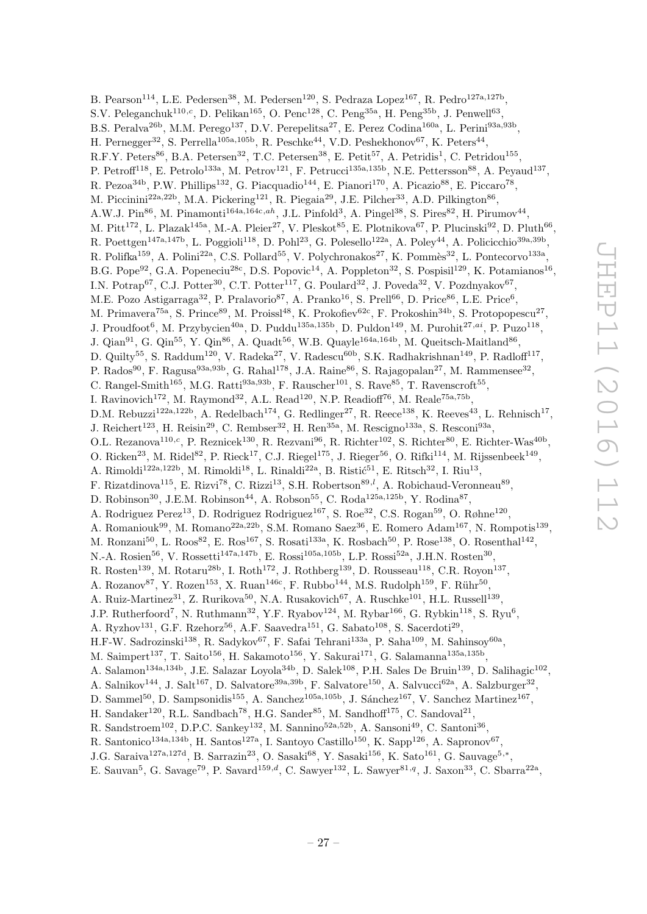B. Pearson<sup>114</sup>, L.E. Pedersen<sup>38</sup>, M. Pedersen<sup>120</sup>, S. Pedraza Lopez<sup>167</sup>, R. Pedro<sup>127a,127b</sup>, S.V. Peleganchuk<sup>110,c</sup>, D. Pelikan<sup>165</sup>, O. Penc<sup>128</sup>, C. Peng<sup>35a</sup>, H. Peng<sup>35b</sup>, J. Penwell<sup>63</sup>, B.S. Peralva<sup>26b</sup>, M.M. Perego<sup>137</sup>, D.V. Perepelitsa<sup>27</sup>, E. Perez Codina<sup>160a</sup>, L. Perini<sup>93a,93b</sup>, H. Pernegger<sup>32</sup>, S. Perrella<sup>105a,105b</sup>, R. Peschke<sup>44</sup>, V.D. Peshekhonov<sup>67</sup>, K. Peters<sup>44</sup>, R.F.Y. Peters<sup>86</sup>, B.A. Petersen<sup>32</sup>, T.C. Petersen<sup>38</sup>, E. Petit<sup>57</sup>, A. Petridis<sup>1</sup>, C. Petridou<sup>155</sup>, P. Petroff<sup>118</sup>, E. Petrolo<sup>133a</sup>, M. Petrov<sup>121</sup>, F. Petrucci<sup>135a,135b</sup>, N.E. Pettersson<sup>88</sup>, A. Peyaud<sup>137</sup>, R. Pezoa<sup>34b</sup>, P.W. Phillips<sup>132</sup>, G. Piacquadio<sup>144</sup>, E. Pianori<sup>170</sup>, A. Picazio<sup>88</sup>, E. Piccaro<sup>78</sup>, M. Piccinini<sup>22a,22b</sup>, M.A. Pickering<sup>121</sup>, R. Piegaia<sup>29</sup>, J.E. Pilcher<sup>33</sup>, A.D. Pilkington<sup>86</sup>, A.W.J. Pin<sup>86</sup>, M. Pinamonti<sup>164a,164c,ah</sup>, J.L. Pinfold<sup>3</sup>, A. Pingel<sup>38</sup>, S. Pires<sup>82</sup>, H. Pirumov<sup>44</sup>, M. Pitt<sup>172</sup>, L. Plazak<sup>145a</sup>, M.-A. Pleier<sup>27</sup>, V. Pleskot<sup>85</sup>, E. Plotnikova<sup>67</sup>, P. Plucinski<sup>92</sup>, D. Pluth<sup>66</sup>, R. Poettgen<sup>147a,147b</sup>, L. Poggioli<sup>118</sup>, D. Pohl<sup>23</sup>, G. Polesello<sup>122a</sup>, A. Poley<sup>44</sup>, A. Policicchio<sup>39a,39b</sup>, R. Polifka<sup>159</sup>, A. Polini<sup>22a</sup>, C.S. Pollard<sup>55</sup>, V. Polychronakos<sup>27</sup>, K. Pommès<sup>32</sup>, L. Pontecorvo<sup>133a</sup>, B.G. Pope<sup>92</sup>, G.A. Popeneciu<sup>28c</sup>, D.S. Popovic<sup>14</sup>, A. Poppleton<sup>32</sup>, S. Pospisil<sup>129</sup>, K. Potamianos<sup>16</sup>, I.N. Potrap<sup>67</sup>, C.J. Potter<sup>30</sup>, C.T. Potter<sup>117</sup>, G. Poulard<sup>32</sup>, J. Poveda<sup>32</sup>, V. Pozdnyakov<sup>67</sup>, M.E. Pozo Astigarraga $^{32}$ , P. Pralavorio $^{87}$ , A. Pranko $^{16}$ , S. Prell $^{66}$ , D. Price $^{86}$ , L.E. Price $^6$ , M. Primavera<sup>75a</sup>, S. Prince<sup>89</sup>, M. Proissl<sup>48</sup>, K. Prokofiev<sup>62c</sup>, F. Prokoshin<sup>34b</sup>, S. Protopopescu<sup>27</sup>, J. Proudfoot<sup>6</sup>, M. Przybycien<sup>40a</sup>, D. Puddu<sup>135a,135b</sup>, D. Puldon<sup>149</sup>, M. Purohit<sup>27,ai</sup>, P. Puzo<sup>118</sup>, J. Qian<sup>91</sup>, G. Qin<sup>55</sup>, Y. Qin<sup>86</sup>, A. Quadt<sup>56</sup>, W.B. Quayle<sup>164a,164b</sup>, M. Queitsch-Maitland<sup>86</sup>, D. Quilty<sup>55</sup>, S. Raddum<sup>120</sup>, V. Radeka<sup>27</sup>, V. Radescu<sup>60b</sup>, S.K. Radhakrishnan<sup>149</sup>, P. Radloff<sup>117</sup>, P. Rados<sup>90</sup>, F. Ragusa<sup>93a,93b</sup>, G. Rahal<sup>178</sup>, J.A. Raine<sup>86</sup>, S. Rajagopalan<sup>27</sup>, M. Rammensee<sup>32</sup>, C. Rangel-Smith<sup>165</sup>, M.G. Ratti<sup>93a,93b</sup>, F. Rauscher<sup>101</sup>, S. Rave<sup>85</sup>, T. Ravenscroft<sup>55</sup>, I. Ravinovich<sup>172</sup>, M. Raymond<sup>32</sup>, A.L. Read<sup>120</sup>, N.P. Readioff<sup>76</sup>, M. Reale<sup>75a,75b</sup>, D.M. Rebuzzi<sup>122a,122b</sup>, A. Redelbach<sup>174</sup>, G. Redlinger<sup>27</sup>, R. Reece<sup>138</sup>, K. Reeves<sup>43</sup>, L. Rehnisch<sup>17</sup>, J. Reichert<sup>123</sup>, H. Reisin<sup>29</sup>, C. Rembser<sup>32</sup>, H. Ren<sup>35a</sup>, M. Rescigno<sup>133a</sup>, S. Resconi<sup>93a</sup>, O.L. Rezanova<sup>110,c</sup>, P. Reznicek<sup>130</sup>, R. Rezvani<sup>96</sup>, R. Richter<sup>102</sup>, S. Richter<sup>80</sup>, E. Richter-Was<sup>40b</sup>, O. Ricken<sup>23</sup>, M. Ridel<sup>82</sup>, P. Rieck<sup>17</sup>, C.J. Riegel<sup>175</sup>, J. Rieger<sup>56</sup>, O. Rifki<sup>114</sup>, M. Rijssenbeek<sup>149</sup>, A. Rimoldi<sup>122a,122b</sup>, M. Rimoldi<sup>18</sup>, L. Rinaldi<sup>22a</sup>, B. Risti $\epsilon^{51}$ , E. Ritsch<sup>32</sup>, I. Riu<sup>13</sup>, F. Rizatdinova<sup>115</sup>, E. Rizvi<sup>78</sup>, C. Rizzi<sup>13</sup>, S.H. Robertson<sup>89,*l*</sup>, A. Robichaud-Veronneau<sup>89</sup>, D. Robinson<sup>30</sup>, J.E.M. Robinson<sup>44</sup>, A. Robson<sup>55</sup>, C. Roda<sup>125a,125b</sup>, Y. Rodina<sup>87</sup>, A. Rodriguez Perez<sup>13</sup>, D. Rodriguez Rodriguez<sup>167</sup>, S. Roe<sup>32</sup>, C.S. Rogan<sup>59</sup>, O. Røhne<sup>120</sup>, A. Romaniouk<sup>99</sup>, M. Romano<sup>22a,22b</sup>, S.M. Romano Saez<sup>36</sup>, E. Romero Adam<sup>167</sup>, N. Rompotis<sup>139</sup>, M. Ronzani<sup>50</sup>, L. Roos<sup>82</sup>, E. Ros<sup>167</sup>, S. Rosati<sup>133a</sup>, K. Rosbach<sup>50</sup>, P. Rose<sup>138</sup>, O. Rosenthal<sup>142</sup>, N.-A. Rosien<sup>56</sup>, V. Rossetti<sup>147a,147b</sup>, E. Rossi<sup>105a,105b</sup>, L.P. Rossi<sup>52a</sup>, J.H.N. Rosten<sup>30</sup>, R. Rosten<sup>139</sup>, M. Rotaru<sup>28b</sup>, I. Roth<sup>172</sup>, J. Rothberg<sup>139</sup>, D. Rousseau<sup>118</sup>, C.R. Royon<sup>137</sup>, A. Rozanov<sup>87</sup>, Y. Rozen<sup>153</sup>, X. Ruan<sup>146c</sup>, F. Rubbo<sup>144</sup>, M.S. Rudolph<sup>159</sup>, F. Rühr<sup>50</sup>, A. Ruiz-Martinez<sup>31</sup>, Z. Rurikova<sup>50</sup>, N.A. Rusakovich<sup>67</sup>, A. Ruschke<sup>101</sup>, H.L. Russell<sup>139</sup>, J.P. Rutherfoord<sup>7</sup>, N. Ruthmann<sup>32</sup>, Y.F. Ryabov<sup>124</sup>, M. Rybar<sup>166</sup>, G. Rybkin<sup>118</sup>, S. Ryu<sup>6</sup>, A. Ryzhov<sup>131</sup>, G.F. Rzehorz<sup>56</sup>, A.F. Saavedra<sup>151</sup>, G. Sabato<sup>108</sup>, S. Sacerdoti<sup>29</sup>, H.F-W. Sadrozinski<sup>138</sup>, R. Sadykov<sup>67</sup>, F. Safai Tehrani<sup>133a</sup>, P. Saha<sup>109</sup>, M. Sahinsoy<sup>60a</sup>, M. Saimpert<sup>137</sup>, T. Saito<sup>156</sup>, H. Sakamoto<sup>156</sup>, Y. Sakurai<sup>171</sup>, G. Salamanna<sup>135a,135b</sup>, A. Salamon<sup>134a,134b</sup>, J.E. Salazar Loyola<sup>34b</sup>, D. Salek<sup>108</sup>, P.H. Sales De Bruin<sup>139</sup>, D. Salihagic<sup>102</sup>, A. Salnikov<sup>144</sup>, J. Salt<sup>167</sup>, D. Salvatore<sup>39a,39b</sup>, F. Salvatore<sup>150</sup>, A. Salvucci<sup>62a</sup>, A. Salzburger<sup>32</sup>, D. Sammel<sup>50</sup>, D. Sampsonidis<sup>155</sup>, A. Sanchez<sup>105a,105b</sup>, J. Sánchez<sup>167</sup>, V. Sanchez Martinez<sup>167</sup>, H. Sandaker<sup>120</sup>, R.L. Sandbach<sup>78</sup>, H.G. Sander<sup>85</sup>, M. Sandhoff<sup>175</sup>, C. Sandoval<sup>21</sup>, R. Sandstroem<sup>102</sup>, D.P.C. Sankey<sup>132</sup>, M. Sannino<sup>52a,52b</sup>, A. Sansoni<sup>49</sup>, C. Santoni<sup>36</sup>, R. Santonico<sup>134a,134b</sup>, H. Santos<sup>127a</sup>, I. Santoyo Castillo<sup>150</sup>, K. Sapp<sup>126</sup>, A. Sapronov<sup>67</sup>, J.G. Saraiva<sup>127a,127d</sup>, B. Sarrazin<sup>23</sup>, O. Sasaki<sup>68</sup>, Y. Sasaki<sup>156</sup>, K. Sato<sup>161</sup>, G. Sauvage<sup>5,\*</sup>,

E. Sauvan<sup>5</sup>, G. Savage<sup>79</sup>, P. Savard<sup>159,d</sup>, C. Sawyer<sup>132</sup>, L. Sawyer<sup>81,q</sup>, J. Saxon<sup>33</sup>, C. Sbarra<sup>22a</sup>,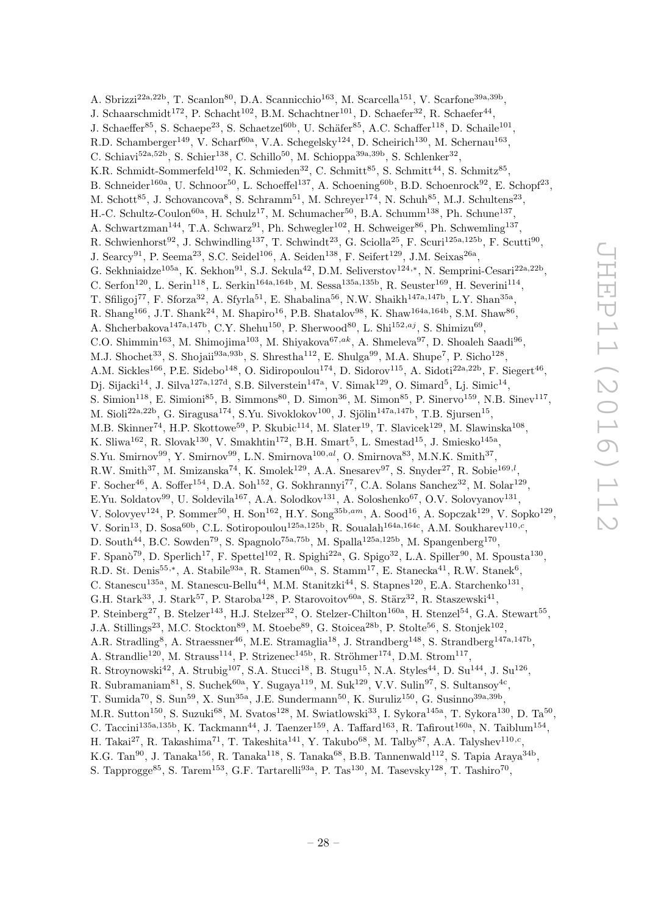A. Sbrizzi<sup>22a,22b</sup>, T. Scanlon<sup>80</sup>, D.A. Scannicchio<sup>163</sup>, M. Scarcella<sup>151</sup>, V. Scarfone<sup>39a,39b</sup>, J. Schaarschmidt<sup>172</sup>, P. Schacht<sup>102</sup>, B.M. Schachtner<sup>101</sup>, D. Schaefer<sup>32</sup>, R. Schaefer<sup>44</sup>, J. Schaeffer<sup>85</sup>, S. Schaepe<sup>23</sup>, S. Schaetzel<sup>60b</sup>, U. Schäfer<sup>85</sup>, A.C. Schaffer<sup>118</sup>, D. Schaile<sup>101</sup>, R.D. Schamberger<sup>149</sup>, V. Scharf<sup>60a</sup>, V.A. Schegelsky<sup>124</sup>, D. Scheirich<sup>130</sup>, M. Schernau<sup>163</sup>, C. Schiavi<sup>52a,52b</sup>, S. Schier<sup>138</sup>, C. Schillo<sup>50</sup>, M. Schioppa<sup>39a,39b</sup>, S. Schlenker<sup>32</sup>, K.R. Schmidt-Sommerfeld<sup>102</sup>, K. Schmieden<sup>32</sup>, C. Schmitt<sup>85</sup>, S. Schmitt<sup>44</sup>, S. Schmitz<sup>85</sup>, B. Schneider<sup>160a</sup>, U. Schnoor<sup>50</sup>, L. Schoeffel<sup>137</sup>, A. Schoening<sup>60b</sup>, B.D. Schoenrock<sup>92</sup>, E. Schopf<sup>23</sup>, M. Schott<sup>85</sup>, J. Schovancova<sup>8</sup>, S. Schramm<sup>51</sup>, M. Schreyer<sup>174</sup>, N. Schuh<sup>85</sup>, M.J. Schultens<sup>23</sup>, H.-C. Schultz-Coulon<sup>60a</sup>, H. Schulz<sup>17</sup>, M. Schumacher<sup>50</sup>, B.A. Schumm<sup>138</sup>, Ph. Schune<sup>137</sup>, A. Schwartzman<sup>144</sup>, T.A. Schwarz<sup>91</sup>, Ph. Schwegler<sup>102</sup>, H. Schweiger<sup>86</sup>, Ph. Schwemling<sup>137</sup>, R. Schwienhorst<sup>92</sup>, J. Schwindling<sup>137</sup>, T. Schwindt<sup>23</sup>, G. Sciolla<sup>25</sup>, F. Scuri<sup>125a,125b</sup>, F. Scutti<sup>90</sup>, J. Searcy<sup>91</sup>, P. Seema<sup>23</sup>, S.C. Seidel<sup>106</sup>, A. Seiden<sup>138</sup>, F. Seifert<sup>129</sup>, J.M. Seixas<sup>26a</sup>, G. Sekhniaidze<sup>105a</sup>, K. Sekhon<sup>91</sup>, S.J. Sekula<sup>42</sup>, D.M. Seliverstov<sup>124,\*</sup>, N. Semprini-Cesari<sup>22a,22b</sup>, C. Serfon<sup>120</sup>, L. Serin<sup>118</sup>, L. Serkin<sup>164a,164b</sup>, M. Sessa<sup>135a,135b</sup>, R. Seuster<sup>169</sup>, H. Severini<sup>114</sup>, T. Sfiligoj<sup>77</sup>, F. Sforza<sup>32</sup>, A. Sfyrla<sup>51</sup>, E. Shabalina<sup>56</sup>, N.W. Shaikh<sup>147a,147b</sup>, L.Y. Shan<sup>35a</sup>, R. Shang<sup>166</sup>, J.T. Shank<sup>24</sup>, M. Shapiro<sup>16</sup>, P.B. Shatalov<sup>98</sup>, K. Shaw<sup>164a,164b</sup>, S.M. Shaw<sup>86</sup>, A. Shcherbakova<sup>147a,147b</sup>, C.Y. Shehu<sup>150</sup>, P. Sherwood<sup>80</sup>, L. Shi<sup>152,aj</sup>, S. Shimizu<sup>69</sup>, C.O. Shimmin<sup>163</sup>, M. Shimojima<sup>103</sup>, M. Shiyakova<sup>67,ak</sup>, A. Shmeleva<sup>97</sup>, D. Shoaleh Saadi<sup>96</sup>, M.J. Shochet<sup>33</sup>, S. Shojaii<sup>93a,93b</sup>, S. Shrestha<sup>112</sup>, E. Shulga<sup>99</sup>, M.A. Shupe<sup>7</sup>, P. Sicho<sup>128</sup>, A.M. Sickles<sup>166</sup>, P.E. Sidebo<sup>148</sup>, O. Sidiropoulou<sup>174</sup>, D. Sidorov<sup>115</sup>, A. Sidoti<sup>22a,22b</sup>, F. Siegert<sup>46</sup>, Dj. Sijacki<sup>14</sup>, J. Silva<sup>127a,127d</sup>, S.B. Silverstein<sup>147a</sup>, V. Simak<sup>129</sup>, O. Simard<sup>5</sup>, Lj. Simic<sup>14</sup>, S. Simion<sup>118</sup>, E. Simioni<sup>85</sup>, B. Simmons<sup>80</sup>, D. Simon<sup>36</sup>, M. Simon<sup>85</sup>, P. Sinervo<sup>159</sup>, N.B. Sinev<sup>117</sup>, M. Sioli $^{22a,22b}$ , G. Siragusa<sup>174</sup>, S.Yu. Sivoklokov<sup>100</sup>, J. Sjölin<sup>147a,147b</sup>, T.B. Sjursen<sup>15</sup>, M.B. Skinner<sup>74</sup>, H.P. Skottowe<sup>59</sup>, P. Skubic<sup>114</sup>, M. Slater<sup>19</sup>, T. Slavicek<sup>129</sup>, M. Slawinska<sup>108</sup>, K. Sliwa<sup>162</sup>, R. Slovak<sup>130</sup>, V. Smakhtin<sup>172</sup>, B.H. Smart<sup>5</sup>, L. Smestad<sup>15</sup>, J. Smiesko<sup>145a</sup>, S.Yu. Smirnov<sup>99</sup>, Y. Smirnov<sup>99</sup>, L.N. Smirnova<sup>100,al</sup>, O. Smirnova<sup>83</sup>, M.N.K. Smith<sup>37</sup>, R.W. Smith<sup>37</sup>, M. Smizanska<sup>74</sup>, K. Smolek<sup>129</sup>, A.A. Snesarev<sup>97</sup>, S. Snyder<sup>27</sup>, R. Sobie<sup>169,*l*</sup>, F. Socher<sup>46</sup>, A. Soffer<sup>154</sup>, D.A. Soh<sup>152</sup>, G. Sokhrannyi<sup>77</sup>, C.A. Solans Sanchez<sup>32</sup>, M. Solar<sup>129</sup>, E.Yu. Soldatov<sup>99</sup>, U. Soldevila<sup>167</sup>, A.A. Solodkov<sup>131</sup>, A. Soloshenko<sup>67</sup>, O.V. Solovyanov<sup>131</sup>, V. Solovyev<sup>124</sup>, P. Sommer<sup>50</sup>, H. Son<sup>162</sup>, H.Y. Song<sup>35b,am</sup>, A. Sood<sup>16</sup>, A. Sopczak<sup>129</sup>, V. Sopko<sup>129</sup>, V. Sorin<sup>13</sup>, D. Sosa<sup>60b</sup>, C.L. Sotiropoulou<sup>125a,125b</sup>, R. Soualah<sup>164a,164c</sup>, A.M. Soukharev<sup>110,c</sup>, D. South<sup>44</sup>, B.C. Sowden<sup>79</sup>, S. Spagnolo<sup>75a,75b</sup>, M. Spalla<sup>125a,125b</sup>, M. Spangenberg<sup>170</sup>, F. Spanò<sup>79</sup>, D. Sperlich<sup>17</sup>, F. Spettel<sup>102</sup>, R. Spighi<sup>22a</sup>, G. Spigo<sup>32</sup>, L.A. Spiller<sup>90</sup>, M. Spousta<sup>130</sup>, R.D. St. Denis<sup>55,\*</sup>, A. Stabile<sup>93a</sup>, R. Stamen<sup>60a</sup>, S. Stamm<sup>17</sup>, E. Stanecka<sup>41</sup>, R.W. Stanek<sup>6</sup>, C. Stanescu<sup>135a</sup>, M. Stanescu-Bellu<sup>44</sup>, M.M. Stanitzki<sup>44</sup>, S. Stapnes<sup>120</sup>, E.A. Starchenko<sup>131</sup>, G.H. Stark<sup>33</sup>, J. Stark<sup>57</sup>, P. Staroba<sup>128</sup>, P. Starovoitov<sup>60a</sup>, S. Stärz<sup>32</sup>, R. Staszewski<sup>41</sup>, P. Steinberg<sup>27</sup>, B. Stelzer<sup>143</sup>, H.J. Stelzer<sup>32</sup>, O. Stelzer-Chilton<sup>160a</sup>, H. Stenzel<sup>54</sup>, G.A. Stewart<sup>55</sup>, J.A. Stillings<sup>23</sup>, M.C. Stockton<sup>89</sup>, M. Stoebe<sup>89</sup>, G. Stoicea<sup>28b</sup>, P. Stolte<sup>56</sup>, S. Stonjek<sup>102</sup>, A.R. Stradling<sup>8</sup>, A. Straessner<sup>46</sup>, M.E. Stramaglia<sup>18</sup>, J. Strandberg<sup>148</sup>, S. Strandberg<sup>147a,147b</sup>, A. Strandlie<sup>120</sup>, M. Strauss<sup>114</sup>, P. Strizenec<sup>145b</sup>, R. Ströhmer<sup>174</sup>, D.M. Strom<sup>117</sup>, R. Stroynowski<sup>42</sup>, A. Strubig<sup>107</sup>, S.A. Stucci<sup>18</sup>, B. Stugu<sup>15</sup>, N.A. Styles<sup>44</sup>, D. Su<sup>144</sup>, J. Su<sup>126</sup>, R. Subramaniam<sup>81</sup>, S. Suchek<sup>60a</sup>, Y. Sugaya<sup>119</sup>, M. Suk<sup>129</sup>, V.V. Sulin<sup>97</sup>, S. Sultansoy<sup>4c</sup>, T. Sumida<sup>70</sup>, S. Sun<sup>59</sup>, X. Sun<sup>35a</sup>, J.E. Sundermann<sup>50</sup>, K. Suruliz<sup>150</sup>, G. Susinno<sup>39a,39b</sup>, M.R. Sutton<sup>150</sup>, S. Suzuki<sup>68</sup>, M. Svatos<sup>128</sup>, M. Swiatlowski<sup>33</sup>, I. Sykora<sup>145a</sup>, T. Sykora<sup>130</sup>, D. Ta<sup>50</sup>, C. Taccini<sup>135a,135b</sup>, K. Tackmann<sup>44</sup>, J. Taenzer<sup>159</sup>, A. Taffard<sup>163</sup>, R. Tafirout<sup>160a</sup>, N. Taiblum<sup>154</sup>, H. Takai<sup>27</sup>, R. Takashima<sup>71</sup>, T. Takeshita<sup>141</sup>, Y. Takubo<sup>68</sup>, M. Talby<sup>87</sup>, A.A. Talyshev<sup>110,c</sup>, K.G. Tan $^{90}$ , J. Tanaka $^{156}$ , R. Tanaka $^{118}$ , S. Tanaka $^{68}$ , B.B. Tannenwald $^{112}$ , S. Tapia Araya $^{34b}$ , S. Tapprogge<sup>85</sup>, S. Tarem<sup>153</sup>, G.F. Tartarelli<sup>93a</sup>, P. Tas<sup>130</sup>, M. Tasevsky<sup>128</sup>, T. Tashiro<sup>70</sup>,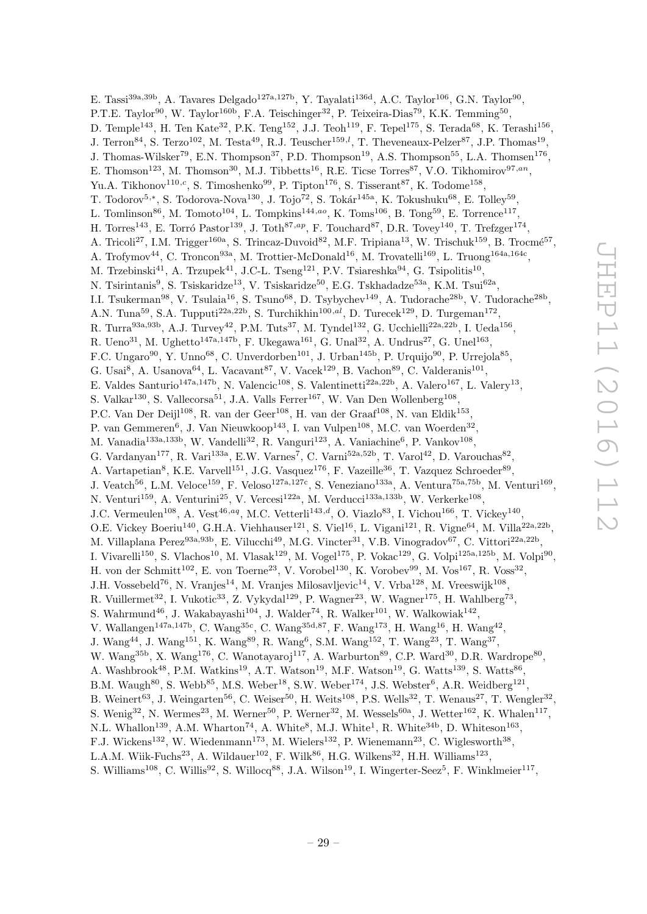E. Tassi<sup>39a,39b</sup>, A. Tavares Delgado<sup>127a,127b</sup>, Y. Tayalati<sup>136d</sup>, A.C. Taylor<sup>106</sup>, G.N. Taylor<sup>90</sup>, P.T.E. Taylor<sup>90</sup>, W. Taylor<sup>160b</sup>, F.A. Teischinger<sup>32</sup>, P. Teixeira-Dias<sup>79</sup>, K.K. Temming<sup>50</sup>, D. Temple<sup>143</sup>, H. Ten Kate<sup>32</sup>, P.K. Teng<sup>152</sup>, J.J. Teoh<sup>119</sup>, F. Tepel<sup>175</sup>, S. Terada<sup>68</sup>, K. Terashi<sup>156</sup>, J. Terron<sup>84</sup>, S. Terzo<sup>102</sup>, M. Testa<sup>49</sup>, R.J. Teuscher<sup>159,*l*</sup>, T. Theveneaux-Pelzer<sup>87</sup>, J.P. Thomas<sup>19</sup>, J. Thomas-Wilsker<sup>79</sup>, E.N. Thompson<sup>37</sup>, P.D. Thompson<sup>19</sup>, A.S. Thompson<sup>55</sup>, L.A. Thomsen<sup>176</sup>, E. Thomson<sup>123</sup>, M. Thomson<sup>30</sup>, M.J. Tibbetts<sup>16</sup>, R.E. Ticse Torres<sup>87</sup>, V.O. Tikhomirov<sup>97,*an*</sup>, Yu.A. Tikhonov<sup>110,c</sup>, S. Timoshenko<sup>99</sup>, P. Tipton<sup>176</sup>, S. Tisserant<sup>87</sup>, K. Todome<sup>158</sup>, T. Todorov<sup>5,\*</sup>, S. Todorova-Nova<sup>130</sup>, J. Tojo<sup>72</sup>, S. Tokár<sup>145a</sup>, K. Tokushuku<sup>68</sup>, E. Tolley<sup>59</sup>, L. Tomlinson<sup>86</sup>, M. Tomoto<sup>104</sup>, L. Tompkins<sup>144,ao</sup>, K. Toms<sup>106</sup>, B. Tong<sup>59</sup>, E. Torrence<sup>117</sup>, H. Torres<sup>143</sup>, E. Torró Pastor<sup>139</sup>, J. Toth<sup>87,ap</sup>, F. Touchard<sup>87</sup>, D.R. Tovey<sup>140</sup>, T. Trefzger<sup>174</sup>, A. Tricoli<sup>27</sup>, I.M. Trigger<sup>160a</sup>, S. Trincaz-Duvoid<sup>82</sup>, M.F. Tripiana<sup>13</sup>, W. Trischuk<sup>159</sup>, B. Trocmé<sup>57</sup>, A. Trofymov<sup>44</sup>, C. Troncon<sup>93a</sup>, M. Trottier-McDonald<sup>16</sup>, M. Trovatelli<sup>169</sup>, L. Truong<sup>164a,164c</sup>, M. Trzebinski<sup>41</sup>, A. Trzupek<sup>41</sup>, J.C-L. Tseng<sup>121</sup>, P.V. Tsiareshka<sup>94</sup>, G. Tsipolitis<sup>10</sup>, N. Tsirintanis<sup>9</sup>, S. Tsiskaridze<sup>13</sup>, V. Tsiskaridze<sup>50</sup>, E.G. Tskhadadze<sup>53a</sup>, K.M. Tsui<sup>62a</sup>, I.I. Tsukerman<sup>98</sup>, V. Tsulaia<sup>16</sup>, S. Tsuno<sup>68</sup>, D. Tsybychev<sup>149</sup>, A. Tudorache<sup>28b</sup>, V. Tudorache<sup>28b</sup>, A.N. Tuna<sup>59</sup>, S.A. Tupputi<sup>22a,22b</sup>, S. Turchikhin<sup>100,al</sup>, D. Turecek<sup>129</sup>, D. Turgeman<sup>172</sup>, R. Turra<sup>93a,93b</sup>, A.J. Turvey<sup>42</sup>, P.M. Tuts<sup>37</sup>, M. Tyndel<sup>132</sup>, G. Ucchielli<sup>22a,22b</sup>, I. Ueda<sup>156</sup>, R. Ueno<sup>31</sup>, M. Ughetto<sup>147a,147b</sup>, F. Ukegawa<sup>161</sup>, G. Unal<sup>32</sup>, A. Undrus<sup>27</sup>, G. Unel<sup>163</sup>, F.C. Ungaro<sup>90</sup>, Y. Unno<sup>68</sup>, C. Unverdorben<sup>101</sup>, J. Urban<sup>145b</sup>, P. Urquijo<sup>90</sup>, P. Urrejola<sup>85</sup>, G. Usai<sup>8</sup>, A. Usanova<sup>64</sup>, L. Vacavant<sup>87</sup>, V. Vacek<sup>129</sup>, B. Vachon<sup>89</sup>, C. Valderanis<sup>101</sup>, E. Valdes Santurio<sup>147a,147b</sup>, N. Valencic<sup>108</sup>, S. Valentinetti<sup>22a,22b</sup>, A. Valero<sup>167</sup>, L. Valery<sup>13</sup>, S. Valkar<sup>130</sup>, S. Vallecorsa<sup>51</sup>, J.A. Valls Ferrer<sup>167</sup>, W. Van Den Wollenberg<sup>108</sup>, P.C. Van Der Deijl<sup>108</sup>, R. van der Geer<sup>108</sup>, H. van der Graaf<sup>108</sup>, N. van Eldik<sup>153</sup>, P. van Gemmeren<sup>6</sup>, J. Van Nieuwkoop<sup>143</sup>, I. van Vulpen<sup>108</sup>, M.C. van Woerden<sup>32</sup>, M. Vanadia<sup>133a,133b</sup>, W. Vandelli<sup>32</sup>, R. Vanguri<sup>123</sup>, A. Vaniachine<sup>6</sup>, P. Vankov<sup>108</sup>, G. Vardanyan<sup>177</sup>, R. Vari<sup>133a</sup>, E.W. Varnes<sup>7</sup>, C. Varni<sup>52a,52b</sup>, T. Varol<sup>42</sup>, D. Varouchas<sup>82</sup>, A. Vartapetian<sup>8</sup>, K.E. Varvell<sup>151</sup>, J.G. Vasquez<sup>176</sup>, F. Vazeille<sup>36</sup>, T. Vazquez Schroeder<sup>89</sup>, J. Veatch<sup>56</sup>, L.M. Veloce<sup>159</sup>, F. Veloso<sup>127a,127c</sup>, S. Veneziano<sup>133a</sup>, A. Ventura<sup>75a,75b</sup>, M. Venturi<sup>169</sup>, N. Venturi<sup>159</sup>, A. Venturini<sup>25</sup>, V. Vercesi<sup>122a</sup>, M. Verducci<sup>133a,133b</sup>, W. Verkerke<sup>108</sup>, J.C. Vermeulen<sup>108</sup>, A. Vest<sup>46,aq</sup>, M.C. Vetterli<sup>143,d</sup>, O. Viazlo<sup>83</sup>, I. Vichou<sup>166</sup>, T. Vickey<sup>140</sup>, O.E. Vickey Boeriu<sup>140</sup>, G.H.A. Viehhauser<sup>121</sup>, S. Viel<sup>16</sup>, L. Vigani<sup>121</sup>, R. Vigne<sup>64</sup>, M. Villa<sup>22a,22b</sup>, M. Villaplana Perez<sup>93a,93b</sup>, E. Vilucchi<sup>49</sup>, M.G. Vincter<sup>31</sup>, V.B. Vinogradov<sup>67</sup>, C. Vittori<sup>22a,22b</sup>, I. Vivarelli<sup>150</sup>, S. Vlachos<sup>10</sup>, M. Vlasak<sup>129</sup>, M. Vogel<sup>175</sup>, P. Vokac<sup>129</sup>, G. Volpi<sup>125a,125b</sup>, M. Volpi<sup>90</sup>, H. von der Schmitt<sup>102</sup>, E. von Toerne<sup>23</sup>, V. Vorobel<sup>130</sup>, K. Vorobev<sup>99</sup>, M. Vos<sup>167</sup>, R. Voss<sup>32</sup>, J.H. Vossebeld<sup>76</sup>, N. Vranjes<sup>14</sup>, M. Vranjes Milosavljevic<sup>14</sup>, V. Vrba<sup>128</sup>, M. Vreeswijk<sup>108</sup>, R. Vuillermet<sup>32</sup>, I. Vukotic<sup>33</sup>, Z. Vykydal<sup>129</sup>, P. Wagner<sup>23</sup>, W. Wagner<sup>175</sup>, H. Wahlberg<sup>73</sup>, S. Wahrmund<sup>46</sup>, J. Wakabayashi<sup>104</sup>, J. Walder<sup>74</sup>, R. Walker<sup>101</sup>, W. Walkowiak<sup>142</sup>, V. Wallangen<sup>147a,147b</sup>, C. Wang<sup>35c</sup>, C. Wang<sup>35d,87</sup>, F. Wang<sup>173</sup>, H. Wang<sup>16</sup>, H. Wang<sup>42</sup>, J. Wang<sup>44</sup>, J. Wang<sup>151</sup>, K. Wang<sup>89</sup>, R. Wang<sup>6</sup>, S.M. Wang<sup>152</sup>, T. Wang<sup>23</sup>, T. Wang<sup>37</sup>, W. Wang<sup>35b</sup>, X. Wang<sup>176</sup>, C. Wanotayaroj<sup>117</sup>, A. Warburton<sup>89</sup>, C.P. Ward<sup>30</sup>, D.R. Wardrope<sup>80</sup>, A. Washbrook<sup>48</sup>, P.M. Watkins<sup>19</sup>, A.T. Watson<sup>19</sup>, M.F. Watson<sup>19</sup>, G. Watts<sup>139</sup>, S. Watts<sup>86</sup>, B.M. Waugh<sup>80</sup>, S. Webb<sup>85</sup>, M.S. Weber<sup>18</sup>, S.W. Weber<sup>174</sup>, J.S. Webster<sup>6</sup>, A.R. Weidberg<sup>121</sup>, B. Weinert<sup>63</sup>, J. Weingarten<sup>56</sup>, C. Weiser<sup>50</sup>, H. Weits<sup>108</sup>, P.S. Wells<sup>32</sup>, T. Wenaus<sup>27</sup>, T. Wengler<sup>32</sup>, S. Wenig<sup>32</sup>, N. Wermes<sup>23</sup>, M. Werner<sup>50</sup>, P. Werner<sup>32</sup>, M. Wessels<sup>60a</sup>, J. Wetter<sup>162</sup>, K. Whalen<sup>117</sup>, N.L. Whallon<sup>139</sup>, A.M. Wharton<sup>74</sup>, A. White<sup>8</sup>, M.J. White<sup>1</sup>, R. White<sup>34b</sup>, D. Whiteson<sup>163</sup>, F.J. Wickens<sup>132</sup>, W. Wiedenmann<sup>173</sup>, M. Wielers<sup>132</sup>, P. Wienemann<sup>23</sup>, C. Wiglesworth<sup>38</sup>,

- L.A.M. Wiik-Fuchs<sup>23</sup>, A. Wildauer<sup>102</sup>, F. Wilk<sup>86</sup>, H.G. Wilkens<sup>32</sup>, H.H. Williams<sup>123</sup>,
- S. Williams<sup>108</sup>, C. Willis<sup>92</sup>, S. Willocq<sup>88</sup>, J.A. Wilson<sup>19</sup>, I. Wingerter-Seez<sup>5</sup>, F. Winklmeier<sup>117</sup>,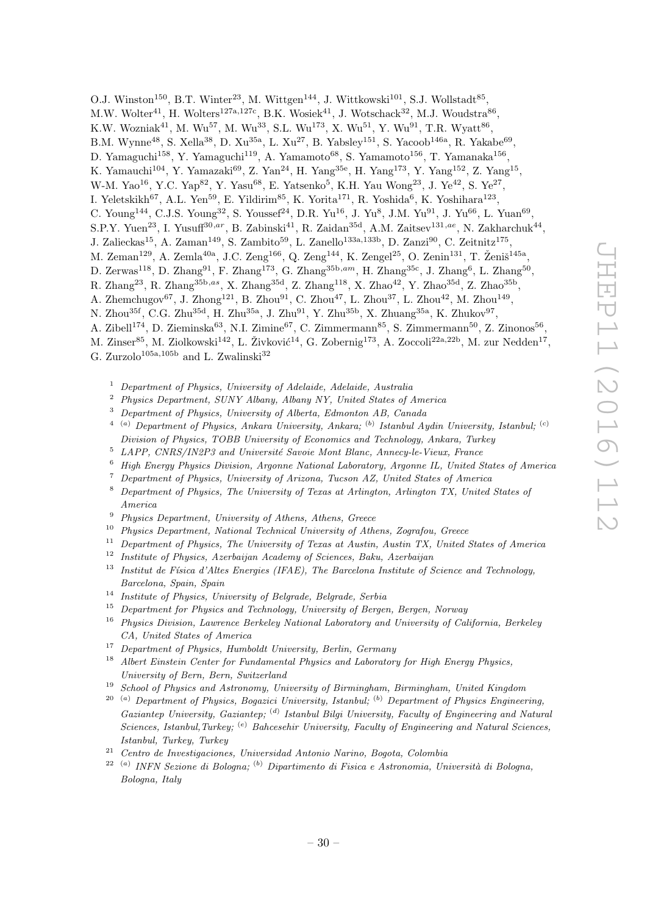O.J. Winston<sup>150</sup>, B.T. Winter<sup>23</sup>, M. Wittgen<sup>144</sup>, J. Wittkowski<sup>101</sup>, S.J. Wollstadt<sup>85</sup>, M.W. Wolter<sup>41</sup>, H. Wolters<sup>127a,127c</sup>, B.K. Wosiek<sup>41</sup>, J. Wotschack<sup>32</sup>, M.J. Woudstra<sup>86</sup>, K.W. Wozniak $^{41}$ , M. Wu $^{57}$ , M. Wu $^{33}$ , S.L. Wu $^{173}$ , X. Wu $^{51}$ , Y. Wu $^{91}$ , T.R. Wyatt $^{86}$ , B.M. Wynne<sup>48</sup>, S. Xella<sup>38</sup>, D. Xu<sup>35a</sup>, L. Xu<sup>27</sup>, B. Yabsley<sup>151</sup>, S. Yacoob<sup>146a</sup>, R. Yakabe<sup>69</sup>, D. Yamaguchi<sup>158</sup>, Y. Yamaguchi<sup>119</sup>, A. Yamamoto<sup>68</sup>, S. Yamamoto<sup>156</sup>, T. Yamanaka<sup>156</sup>, K. Yamauchi<sup>104</sup>, Y. Yamazaki<sup>69</sup>, Z. Yan<sup>24</sup>, H. Yang<sup>35e</sup>, H. Yang<sup>173</sup>, Y. Yang<sup>152</sup>, Z. Yang<sup>15</sup>, W-M. Yao<sup>16</sup>, Y.C. Yap<sup>82</sup>, Y. Yasu<sup>68</sup>, E. Yatsenko<sup>5</sup>, K.H. Yau Wong<sup>23</sup>, J. Ye<sup>42</sup>, S. Ye<sup>27</sup>, I. Yeletskikh<sup>67</sup>, A.L. Yen<sup>59</sup>, E. Yildirim<sup>85</sup>, K. Yorita<sup>171</sup>, R. Yoshida<sup>6</sup>, K. Yoshihara<sup>123</sup>, C. Young<sup>144</sup>, C.J.S. Young<sup>32</sup>, S. Youssef<sup>24</sup>, D.R. Yu<sup>16</sup>, J. Yu<sup>8</sup>, J.M. Yu<sup>91</sup>, J. Yu<sup>66</sup>, L. Yuan<sup>69</sup>, S.P.Y. Yuen<sup>23</sup>, I. Yusuff<sup>30,ar</sup>, B. Zabinski<sup>41</sup>, R. Zaidan<sup>35d</sup>, A.M. Zaitsev<sup>131,ae</sup>, N. Zakharchuk<sup>44</sup>, J. Zalieckas<sup>15</sup>, A. Zaman<sup>149</sup>, S. Zambito<sup>59</sup>, L. Zanello<sup>133a,133b</sup>, D. Zanzi<sup>90</sup>, C. Zeitnitz<sup>175</sup>, M. Zeman<sup>129</sup>, A. Zemla<sup>40a</sup>, J.C. Zeng<sup>166</sup>, Q. Zeng<sup>144</sup>, K. Zengel<sup>25</sup>, O. Zenin<sup>131</sup>, T. Ženiš<sup>145a</sup>, D. Zerwas<sup>118</sup>, D. Zhang<sup>91</sup>, F. Zhang<sup>173</sup>, G. Zhang<sup>35b,am</sup>, H. Zhang<sup>35c</sup>, J. Zhang<sup>6</sup>, L. Zhang<sup>50</sup>, R. Zhang<sup>23</sup>, R. Zhang<sup>35b,as</sup>, X. Zhang<sup>35d</sup>, Z. Zhang<sup>118</sup>, X. Zhao<sup>42</sup>, Y. Zhao<sup>35d</sup>, Z. Zhao<sup>35b</sup>, A. Zhemchugov<sup>67</sup>, J. Zhong<sup>121</sup>, B. Zhou<sup>91</sup>, C. Zhou<sup>47</sup>, L. Zhou<sup>37</sup>, L. Zhou<sup>42</sup>, M. Zhou<sup>149</sup>, N. Zhou $^{35f}$ , C.G. Zhu $^{35d}$ , H. Zhu $^{35a}$ , J. Zhu $^{91}$ , Y. Zhu $^{35b}$ , X. Zhuang $^{35a}$ , K. Zhukov $^{97}$ , A. Zibell<sup>174</sup>, D. Zieminska<sup>63</sup>, N.I. Zimine<sup>67</sup>, C. Zimmermann<sup>85</sup>, S. Zimmermann<sup>50</sup>, Z. Zinonos<sup>56</sup>,

M. Zinser<sup>85</sup>, M. Ziolkowski<sup>142</sup>, L. Živković<sup>14</sup>, G. Zobernig<sup>173</sup>, A. Zoccoli<sup>22a,22b</sup>, M. zur Nedden<sup>17</sup>,

G. Zurzolo<sup>105a,105b</sup> and L. Zwalinski<sup>32</sup>

- <sup>1</sup> Department of Physics, University of Adelaide, Adelaide, Australia
- <sup>2</sup> Physics Department, SUNY Albany, Albany NY, United States of America
- <sup>3</sup> Department of Physics, University of Alberta, Edmonton AB, Canada
- <sup>4</sup> <sup>(a)</sup> Department of Physics, Ankara University, Ankara; <sup>(b)</sup> Istanbul Aydin University, Istanbul; <sup>(c)</sup> Division of Physics, TOBB University of Economics and Technology, Ankara, Turkey
- $5$  LAPP, CNRS/IN2P3 and Université Savoie Mont Blanc, Annecy-le-Vieux, France
- <sup>6</sup> High Energy Physics Division, Argonne National Laboratory, Argonne IL, United States of America
- <sup>7</sup> Department of Physics, University of Arizona, Tucson AZ, United States of America
- <sup>8</sup> Department of Physics, The University of Texas at Arlington, Arlington TX, United States of America
- <sup>9</sup> Physics Department, University of Athens, Athens, Greece
- $10$  Phusics Department. National Technical University of Athens, Zografou, Greece
- <sup>11</sup> Department of Physics, The University of Texas at Austin, Austin TX, United States of America
- <sup>12</sup> Institute of Physics, Azerbaijan Academy of Sciences, Baku, Azerbaijan
- <sup>13</sup> Institut de Física d'Altes Energies (IFAE), The Barcelona Institute of Science and Technology, Barcelona, Spain, Spain
- <sup>14</sup> Institute of Physics, University of Belgrade, Belgrade, Serbia
- <sup>15</sup> Department for Physics and Technology, University of Bergen, Bergen, Norway
- <sup>16</sup> Physics Division, Lawrence Berkeley National Laboratory and University of California, Berkeley CA, United States of America
- <sup>17</sup> Department of Physics, Humboldt University, Berlin, Germany
- <sup>18</sup> Albert Einstein Center for Fundamental Physics and Laboratory for High Energy Physics, University of Bern, Bern, Switzerland
- <sup>19</sup> School of Physics and Astronomy, University of Birmingham, Birmingham, United Kingdom
- $20$  (a) Department of Physics, Bogazici University, Istanbul; (b) Department of Physics Engineering, Gaziantep University, Gaziantep; <sup>(d)</sup> Istanbul Bilgi University, Faculty of Engineering and Natural Sciences, Istanbul, Turkey;  $^{(e)}$  Bahcesehir University, Faculty of Engineering and Natural Sciences, Istanbul, Turkey, Turkey
- $21$  Centro de Investigaciones, Universidad Antonio Narino, Bogota, Colombia
- <sup>22 (a)</sup> INFN Sezione di Bologna; <sup>(b)</sup> Dipartimento di Fisica e Astronomia, Università di Bologna, Bologna, Italy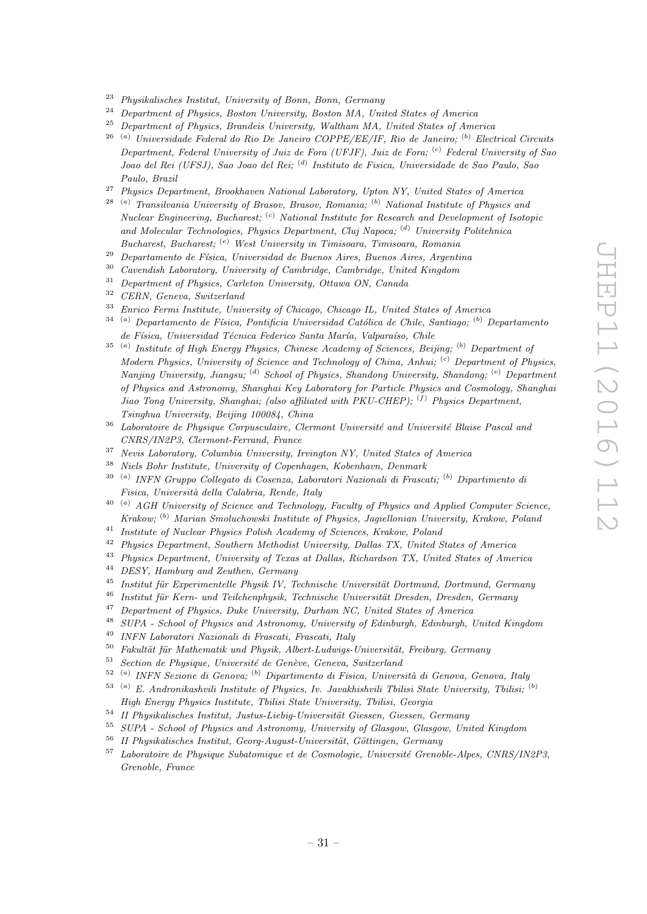- <sup>23</sup> Physikalisches Institut, University of Bonn, Bonn, Germany
- $24$  Department of Physics, Boston University, Boston MA, United States of America
- $25$  Department of Physics, Brandeis University, Waltham MA, United States of America
- <sup>26 (a)</sup> Universidade Federal do Rio De Janeiro COPPE/EE/IF, Rio de Janeiro; <sup>(b)</sup> Electrical Circuits Department, Federal University of Juiz de Fora (UFJF), Juiz de Fora;  $\binom{c}{r}$  Federal University of Sao Joao del Rei (UFSJ), Sao Joao del Rei; <sup>(d)</sup> Instituto de Fisica, Universidade de Sao Paulo, Sao Paulo, Brazil
- $27$  Physics Department, Brookhaven National Laboratory, Upton NY, United States of America
- $28$ <sup>(a)</sup> Transilvania University of Brasov, Brasov, Romania; <sup>(b)</sup> National Institute of Physics and Nuclear Engineering, Bucharest; <sup>(c)</sup> National Institute for Research and Development of Isotopic and Molecular Technologies, Physics Department, Cluj Napoca; <sup>(d)</sup> University Politehnica Bucharest, Bucharest;  $(e)$  West University in Timisoara, Timisoara, Romania
- $29$  Departamento de Física, Universidad de Buenos Aires, Buenos Aires, Argentina
- $30$  Cavendish Laboratory, University of Cambridge, Cambridge, United Kingdom<br> $31$  Department of Physics, Cambrian University, Ottowe ON, Canada
- <sup>31</sup> Department of Physics, Carleton University, Ottawa ON, Canada
- <sup>32</sup> CERN, Geneva, Switzerland
- <sup>33</sup> Enrico Fermi Institute, University of Chicago, Chicago IL, United States of America
- $34$ <sup>(a)</sup> Departamento de Física, Pontificia Universidad Católica de Chile, Santiago; <sup>(b)</sup> Departamento de Física, Universidad Técnica Federico Santa María, Valparaíso, Chile
- $35$ <sup>(a)</sup> Institute of High Energy Physics, Chinese Academy of Sciences, Beijing; <sup>(b)</sup> Department of Modern Physics, University of Science and Technology of China, Anhui; <sup>(c)</sup> Department of Physics, Nanjing University, Jiangsu; (d) School of Physics, Shandong University, Shandong; (e) Department of Physics and Astronomy, Shanghai Key Laboratory for Particle Physics and Cosmology, Shanghai Jiao Tong University, Shanghai; (also affiliated with  $PKU\text{-}CHEP$ ); (f) Physics Department, Tsinghua University, Beijing 100084, China
- $36$  Laboratoire de Physique Corpusculaire, Clermont Université and Université Blaise Pascal and CNRS/IN2P3, Clermont-Ferrand, France
- <sup>37</sup> Nevis Laboratory, Columbia University, Irvington NY, United States of America
- <sup>38</sup> Niels Bohr Institute, University of Copenhagen, Kobenhavn, Denmark
- <sup>39 (a)</sup> INFN Gruppo Collegato di Cosenza, Laboratori Nazionali di Frascati; <sup>(b)</sup> Dipartimento di Fisica, Università della Calabria, Rende, Italy
- $^{40}$  (a)  $AGH$  University of Science and Technology, Faculty of Physics and Applied Computer Science, Krakow; (b) Marian Smoluchowski Institute of Physics, Jagiellonian University, Krakow, Poland
- <sup>41</sup> Institute of Nuclear Physics Polish Academy of Sciences, Krakow, Poland
- <sup>42</sup> Physics Department, Southern Methodist University, Dallas TX, United States of America
- <sup>43</sup> Physics Department, University of Texas at Dallas, Richardson TX, United States of America
- <sup>44</sup> DESY, Hamburg and Zeuthen, Germany
- $45$  Institut für Experimentelle Physik IV, Technische Universität Dortmund, Dortmund, Germany
- $^{46}$  Institut für Kern- und Teilchenphysik, Technische Universität Dresden, Dresden, Germany
- <sup>47</sup> Department of Physics, Duke University, Durham NC, United States of America
- <sup>48</sup> SUPA School of Physics and Astronomy, University of Edinburgh, Edinburgh, United Kingdom<br><sup>49</sup> INEM Lehentari Nationali di Freesati, Freesati, Italy
- <sup>49</sup> INFN Laboratori Nazionali di Frascati, Frascati, Italy
- $50$  Fakultät für Mathematik und Physik, Albert-Ludwigs-Universität, Freiburg, Germany
- $51$  Section de Physique, Université de Genève, Geneva, Switzerland
- $52$ <sup>(a)</sup> INFN Sezione di Genova; <sup>(b)</sup> Dipartimento di Fisica, Università di Genova, Genova, Italy
- <sup>53</sup> (a) E. Andronikashvili Institute of Physics, Iv. Javakhishvili Tbilisi State University, Tbilisi; (b) High Energy Physics Institute, Tbilisi State University, Tbilisi, Georgia
- $^{\rm 54}$  II Physikalisches Institut, Justus-Liebig-Universität Giessen, Giessen, Germany
- <sup>55</sup> SUPA School of Physics and Astronomy, University of Glasgow, Glasgow, United Kingdom
- $56$  II Physikalisches Institut, Georg-August-Universität, Göttingen, Germany
- $57$  Laboratoire de Physique Subatomique et de Cosmologie, Université Grenoble-Alpes, CNRS/IN2P3, Grenoble, France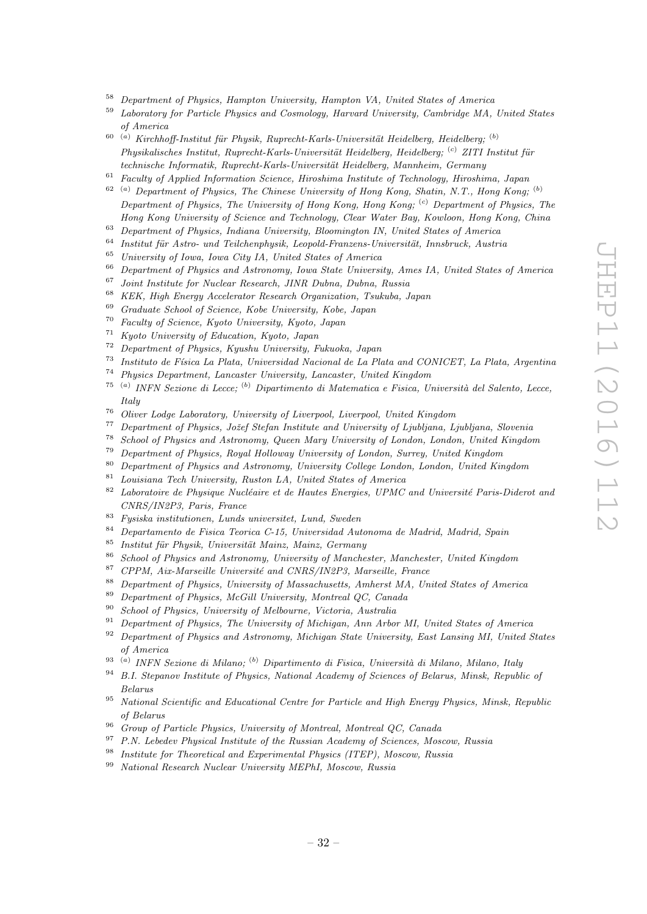- <sup>58</sup> Department of Physics, Hampton University, Hampton VA, United States of America
- <sup>59</sup> Laboratory for Particle Physics and Cosmology, Harvard University, Cambridge MA, United States of America
- $\overset{(a)}{\sim}$  Kirchhoff-Institut für Physik, Ruprecht-Karls-Universität Heidelberg, Heidelberg;  $\overset{(b)}{\sim}$  $Phusikalisches Institut, Runrecht-Karls-Universität Heidelberg, Heidelberg; <sup>(c)</sup> ZITI Institut für$ technische Informatik, Ruprecht-Karls-Universität Heidelberg, Mannheim, Germany
- <sup>61</sup> Faculty of Applied Information Science, Hiroshima Institute of Technology, Hiroshima, Japan
- $^{62}$  (a) Department of Physics, The Chinese University of Hong Kong, Shatin, N.T., Hong Kong; (b) Department of Physics, The University of Hong Kong, Hong Kong;  $(c)$  Department of Physics, The Hong Kong University of Science and Technology, Clear Water Bay, Kowloon, Hong Kong, China
- $^{63}$  Department of Physics, Indiana University, Bloomington IN, United States of America<br> $^{64}$  Institut film Actres and Teilshambusik Leonald Francesc University Innabush Austri
- Institut für Astro- und Teilchenphysik, Leopold-Franzens-Universität, Innsbruck, Austria
- <sup>65</sup> University of Iowa, Iowa City IA, United States of America
- <sup>66</sup> Department of Physics and Astronomy, Iowa State University, Ames IA, United States of America
- <sup>67</sup> Joint Institute for Nuclear Research, JINR Dubna, Dubna, Russia
- <sup>68</sup> KEK, High Energy Accelerator Research Organization, Tsukuba, Japan
- <sup>69</sup> Graduate School of Science, Kobe University, Kobe, Japan
- <sup>70</sup> Faculty of Science, Kyoto University, Kyoto, Japan<br> $^{71}$  Kyoto University of Education, Kyoto, Japan
- <sup>71</sup> Kyoto University of Education, Kyoto, Japan<sup>72</sup> Department of Physics Kyyoto, University F
- <sup>72</sup> Department of Physics, Kyushu University, Fukuoka, Japan
- $^{73}$  Instituto de Física La Plata, Universidad Nacional de La Plata and CONICET, La Plata, Argentina
- <sup>74</sup> Physics Department, Lancaster University, Lancaster, United Kingdom
- <sup>75 (a)</sup> INFN Sezione di Lecce; <sup>(b)</sup> Dipartimento di Matematica e Fisica, Università del Salento, Lecce, Italy
- <sup>76</sup> Oliver Lodge Laboratory, University of Liverpool, Liverpool, United Kingdom<br><sup>77</sup> Penerty and of Physics Jašef Stafan Institute and University of Livelians, L
- Department of Physics, Jožef Stefan Institute and University of Ljubljana, Ljubljana, Slovenia
- <sup>78</sup> School of Physics and Astronomy, Queen Mary University of London, London, United Kingdom
- <sup>79</sup> Department of Physics, Royal Holloway University of London, Surrey, United Kingdom
- <sup>80</sup> Department of Physics and Astronomy, University College London, London, United Kingdom
- <sup>81</sup> Louisiana Tech University, Ruston LA, United States of America
- $82$  Laboratoire de Physique Nucléaire et de Hautes Energies, UPMC and Université Paris-Diderot and CNRS/IN2P3, Paris, France
- <sup>83</sup> Fysiska institutionen, Lunds universitet, Lund, Sweden<br><sup>84</sup> Departmenta de Fisiae Teoriae C 15, Universided Aut
- <sup>84</sup> Departamento de Fisica Teorica C-15, Universidad Autonoma de Madrid, Madrid, Spain
- $85$  Institut für Physik, Universität Mainz, Mainz, Germany
- <sup>86</sup> School of Physics and Astronomy, University of Manchester, Manchester, United Kingdom
- $87$  CPPM, Aix-Marseille Université and CNRS/IN2P3, Marseille, France
- <sup>88</sup> Department of Physics, University of Massachusetts, Amherst MA, United States of America
- <sup>89</sup> Department of Physics, McGill University, Montreal QC, Canada
- <sup>90</sup> School of Physics, University of Melbourne, Victoria, Australia
- <sup>91</sup> Department of Physics, The University of Michigan, Ann Arbor MI, United States of America<br><sup>92</sup> Department of Physics and Astronomy, Michigan State University, East Lansing MI, United S
- <sup>92</sup> Department of Physics and Astronomy, Michigan State University, East Lansing MI, United States of America
- <sup>93 (a)</sup> INFN Sezione di Milano; <sup>(b)</sup> Dipartimento di Fisica, Università di Milano, Milano, Italy
- <sup>94</sup> B.I. Stepanov Institute of Physics, National Academy of Sciences of Belarus, Minsk, Republic of Belarus
- <sup>95</sup> National Scientific and Educational Centre for Particle and High Energy Physics, Minsk, Republic of Belarus
- <sup>96</sup> Group of Particle Physics, University of Montreal, Montreal QC, Canada
- $97$  P.N. Lebedev Physical Institute of the Russian Academy of Sciences, Moscow, Russia
- <sup>98</sup> Institute for Theoretical and Experimental Physics (ITEP), Moscow, Russia
- <sup>99</sup> National Research Nuclear University MEPhI, Moscow, Russia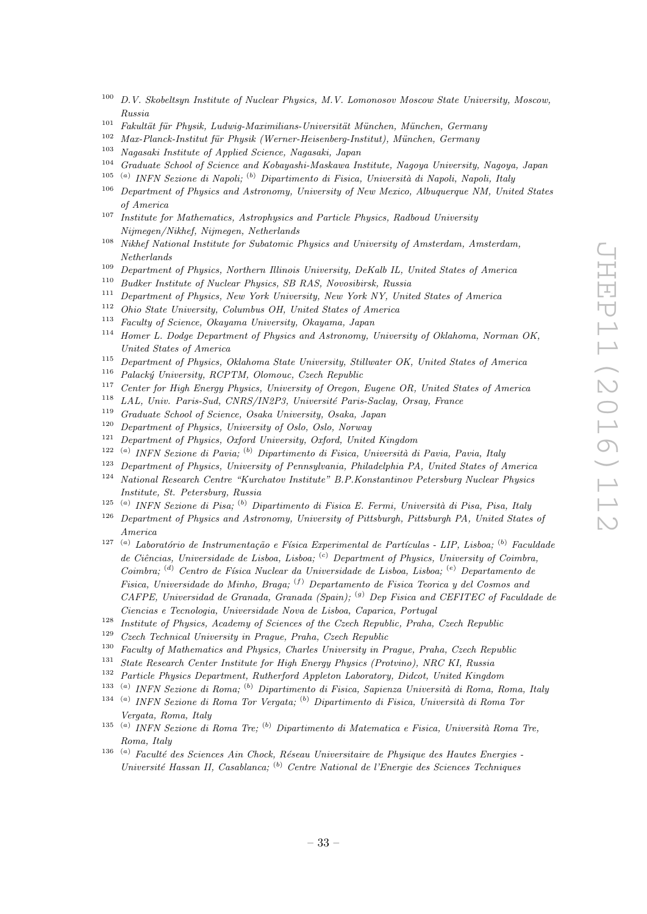- <sup>100</sup> D.V. Skobeltsyn Institute of Nuclear Physics, M.V. Lomonosov Moscow State University, Moscow, Russia
- $101$  Fakultät für Physik, Ludwig-Maximilians-Universität München, München, Germany
- $102$  Max-Planck-Institut für Physik (Werner-Heisenberg-Institut), München, Germany
- <sup>103</sup> Nagasaki Institute of Applied Science, Nagasaki, Japan
- <sup>104</sup> Graduate School of Science and Kobayashi-Maskawa Institute, Nagoya University, Nagoya, Japan<br><sup>105</sup> (a) IMEN Serience di Napolis <sup>(b)</sup> Dipertimenta di Fisice, Università di Napoli, Napoli, Italia
- <sup>105 (a)</sup> INFN Sezione di Napoli; <sup>(b)</sup> Dipartimento di Fisica, Università di Napoli, Napoli, Italy
- <sup>106</sup> Department of Physics and Astronomy, University of New Mexico, Albuquerque NM, United States of America
- $107$  Institute for Mathematics, Astrophysics and Particle Physics, Radboud University Nijmegen/Nikhef, Nijmegen, Netherlands
- <sup>108</sup> Nikhef National Institute for Subatomic Physics and University of Amsterdam, Amsterdam, Netherlands
- <sup>109</sup> Department of Physics, Northern Illinois University, DeKalb IL, United States of America
- <sup>110</sup> Budker Institute of Nuclear Physics, SB RAS, Novosibirsk, Russia
- <sup>111</sup> Department of Physics, New York University, New York NY, United States of America
- <sup>112</sup> Ohio State University, Columbus OH, United States of America
- <sup>113</sup> Faculty of Science, Okayama University, Okayama, Japan
- <sup>114</sup> Homer L. Dodge Department of Physics and Astronomy, University of Oklahoma, Norman OK, United States of America
- <sup>115</sup> Department of Physics, Oklahoma State University, Stillwater OK, United States of America
- <sup>116</sup> Palacký University, RCPTM, Olomouc, Czech Republic
- <sup>117</sup> Center for High Energy Physics, University of Oregon, Eugene OR, United States of America
- <sup>118</sup> LAL, Univ. Paris-Sud, CNRS/IN2P3, Université Paris-Saclay, Orsay, France
- <sup>119</sup> Graduate School of Science, Osaka University, Osaka, Japan<br><sup>120</sup> Department of Physics University of Oslo, Oslo, Namuru
- Department of Physics, University of Oslo, Oslo, Norway
- <sup>121</sup> Department of Physics, Oxford University, Oxford, United Kingdom
- $122$ <sup>(a)</sup> INFN Sezione di Pavia; <sup>(b)</sup> Dipartimento di Fisica, Università di Pavia, Pavia, Italy
- <sup>123</sup> Department of Physics, University of Pennsylvania, Philadelphia PA, United States of America <sup>124</sup> National Research Centre "Kurchatov Institute" B.P.Konstantinov Petersburg Nuclear Physics
- Institute, St. Petersburg, Russia <sup>125 (a)</sup> INFN Sezione di Pisa; <sup>(b)</sup> Dipartimento di Fisica E. Fermi, Università di Pisa, Pisa, Italy
- <sup>126</sup> Department of Physics and Astronomy, University of Pittsburgh, Pittsburgh PA, United States of America
- <sup>127 (a)</sup> Laboratório de Instrumentação e Física Experimental de Partículas LIP, Lisboa; <sup>(b)</sup> Faculdade de Ciências, Universidade de Lisboa, Lisboa; <sup>(c)</sup> Department of Physics, University of Coimbra, Coimbra; <sup>(d)</sup> Centro de Física Nuclear da Universidade de Lisboa, Lisboa; <sup>(e)</sup> Departamento de Fisica, Universidade do Minho, Braga;  $^{(f)}$  Departamento de Fisica Teorica y del Cosmos and  $CAFPE$ , Universidad de Granada, Granada (Spain); <sup>(g)</sup> Dep Fisica and CEFITEC of Faculdade de Ciencias e Tecnologia, Universidade Nova de Lisboa, Caparica, Portugal
- <sup>128</sup> Institute of Physics, Academy of Sciences of the Czech Republic, Praha, Czech Republic<br><sup>129</sup> Check Technical University in Prague, Praha, Creek Republic
- <sup>129</sup> Czech Technical University in Prague, Praha, Czech Republic
- <sup>130</sup> Faculty of Mathematics and Physics, Charles University in Prague, Praha, Czech Republic
- <sup>131</sup> State Research Center Institute for High Energy Physics (Protvino), NRC KI, Russia<br><sup>132</sup> Pertials Physics Department, Putherford Appleton Leharatony, Didact, United Kingdo
- <sup>132</sup> Particle Physics Department, Rutherford Appleton Laboratory, Didcot, United Kingdom
- <sup>133 (a)</sup> INFN Sezione di Roma; <sup>(b)</sup> Dipartimento di Fisica, Sapienza Università di Roma, Roma, Italy
- $134$ <sup>(a)</sup> INFN Sezione di Roma Tor Vergata; <sup>(b)</sup> Dipartimento di Fisica, Università di Roma Tor Vergata, Roma, Italy
- <sup>135 (a)</sup> INFN Sezione di Roma Tre; <sup>(b)</sup> Dipartimento di Matematica e Fisica, Università Roma Tre, Roma, Italy
- $136$ <sup>(a)</sup> Faculté des Sciences Ain Chock, Réseau Universitaire de Physique des Hautes Energies -Université Hassan II, Casablanca;  $^{(b)}$  Centre National de l'Energie des Sciences Techniques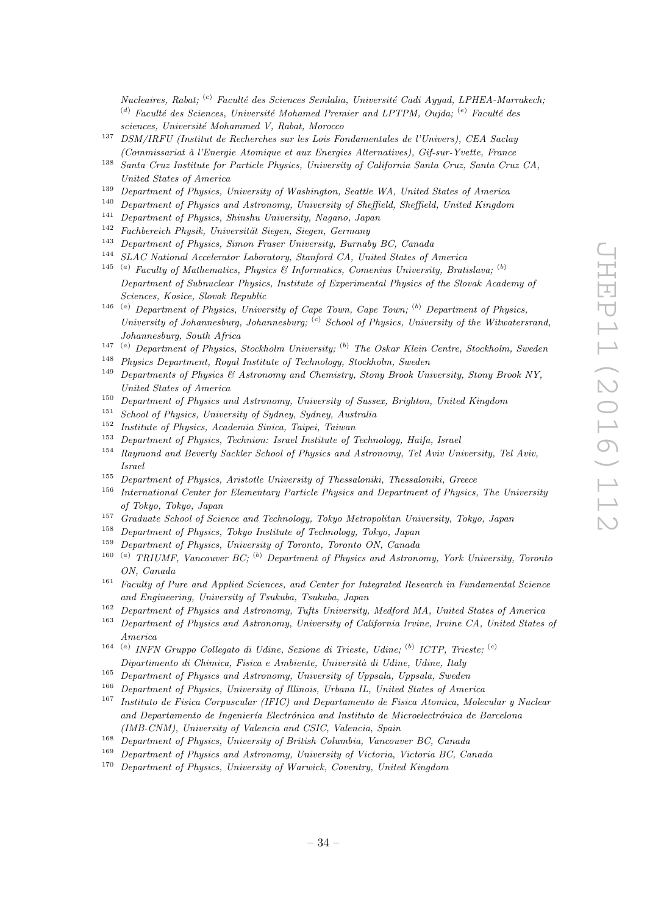$Nucleaires, Rabat; {}^{(c)}$  Faculté des Sciences Semlalia, Université Cadi Ayyad, LPHEA-Marrakech; (d) Faculté des Sciences, Université Mohamed Premier and LPTPM, Oujda;  $(e)$  Faculté des sciences, Université Mohammed V, Rabat, Morocco

- <sup>137</sup> DSM/IRFU (Institut de Recherches sur les Lois Fondamentales de l'Univers), CEA Saclay (Commissariat `a l'Energie Atomique et aux Energies Alternatives), Gif-sur-Yvette, France
- <sup>138</sup> Santa Cruz Institute for Particle Physics, University of California Santa Cruz, Santa Cruz CA, United States of America
- <sup>139</sup> Department of Physics, University of Washington, Seattle WA, United States of America
- <sup>140</sup> Department of Physics and Astronomy, University of Sheffield, Sheffield, United Kingdom
- <sup>141</sup> Department of Physics, Shinshu University, Nagano, Japan
- <sup>142</sup> Fachbereich Physik, Universität Siegen, Siegen, Germany<br><sup>143</sup> Densetreert of Physics, Simon Freese University, Pyrrol
- <sup>143</sup> Department of Physics, Simon Fraser University, Burnaby BC, Canada
- <sup>144</sup> SLAC National Accelerator Laboratory, Stanford CA, United States of America
- <sup>145</sup> <sup>(a)</sup> Faculty of Mathematics, Physics & Informatics, Comenius University, Bratislava; <sup>(b)</sup> Department of Subnuclear Physics, Institute of Experimental Physics of the Slovak Academy of Sciences, Kosice, Slovak Republic
- $146$  (a) Department of Physics, University of Cape Town, Cape Town; <sup>(b)</sup> Department of Physics, University of Johannesburg, Johannesburg; <sup>(c)</sup> School of Physics, University of the Witwatersrand, Johannesburg, South Africa
- <sup>147 (a)</sup> Department of Physics, Stockholm University; <sup>(b)</sup> The Oskar Klein Centre, Stockholm, Sweden<br><sup>148</sup> Physics Department, Boyal Institute of Technology, Stockholm, Sweden
- <sup>148</sup> Physics Department, Royal Institute of Technology, Stockholm, Sweden
- <sup>149</sup> Departments of Physics & Astronomy and Chemistry, Stony Brook University, Stony Brook NY, United States of America
- <sup>150</sup> Department of Physics and Astronomy, University of Sussex, Brighton, United Kingdom<br><sup>151</sup> Seheal of Physics University of Sudam, Sudam, Australia
- <sup>151</sup> School of Physics, University of Sydney, Sydney, Australia<br><sup>152</sup> Institute of Physics, Academia Sinics, Tringi, Trium
- <sup>152</sup> Institute of Physics, Academia Sinica, Taipei, Taiwan
- <sup>153</sup> Department of Physics, Technion: Israel Institute of Technology, Haifa, Israel
- <sup>154</sup> Raymond and Beverly Sackler School of Physics and Astronomy, Tel Aviv University, Tel Aviv, Israel
- <sup>155</sup> Department of Physics, Aristotle University of Thessaloniki, Thessaloniki, Greece
- <sup>156</sup> International Center for Elementary Particle Physics and Department of Physics, The University of Tokyo, Tokyo, Japan
- <sup>157</sup> Graduate School of Science and Technology, Tokyo Metropolitan University, Tokyo, Japan<br><sup>158</sup> Department of Physics, Takyo Institute of Technology, Tokyo, Japan
- <sup>158</sup> Department of Physics, Tokyo Institute of Technology, Tokyo, Japan
- <sup>159</sup> Department of Physics, University of Toronto, Toronto ON, Canada
- <sup>160</sup> (a) TRIUMF, Vancouver BC; <sup>(b)</sup> Department of Physics and Astronomy, York University, Toronto ON, Canada
- <sup>161</sup> Faculty of Pure and Applied Sciences, and Center for Integrated Research in Fundamental Science and Engineering, University of Tsukuba, Tsukuba, Japan
- <sup>162</sup> Department of Physics and Astronomy, Tufts University, Medford MA, United States of America
- <sup>163</sup> Department of Physics and Astronomy, University of California Irvine, Irvine CA, United States of America
- <sup>164 (a)</sup> INFN Gruppo Collegato di Udine, Sezione di Trieste, Udine; <sup>(b)</sup> ICTP, Trieste; <sup>(c)</sup> Dipartimento di Chimica, Fisica e Ambiente, Università di Udine, Udine, Italy
- 
- <sup>165</sup> Department of Physics and Astronomy, University of Uppsala, Uppsala, Sweden<br><sup>166</sup> Department of Physics Hairpenty of Hingie Habens H. Upited States of Ameri <sup>166</sup> Department of Physics, University of Illinois, Urbana IL, United States of America
- <sup>167</sup> Instituto de Fisica Corpuscular (IFIC) and Departamento de Fisica Atomica, Molecular y Nuclear and Departamento de Ingeniería Electrónica and Instituto de Microelectrónica de Barcelona (IMB-CNM), University of Valencia and CSIC, Valencia, Spain
- <sup>168</sup> Department of Physics, University of British Columbia, Vancouver BC, Canada
- <sup>169</sup> Department of Physics and Astronomy, University of Victoria, Victoria BC, Canada
- <sup>170</sup> Department of Physics, University of Warwick, Coventry, United Kingdom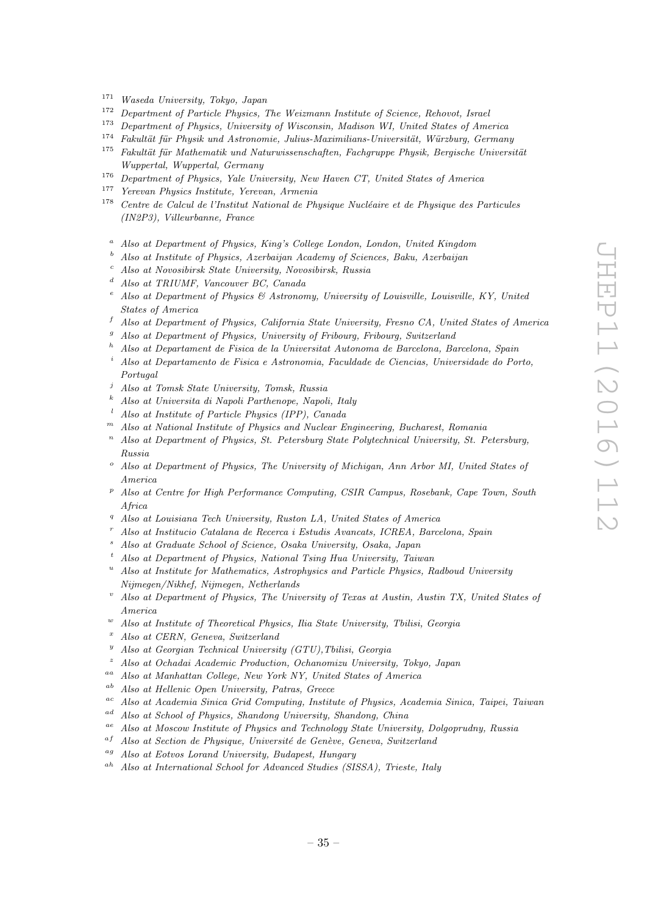- <sup>171</sup> Waseda University, Tokyo, Japan
- <sup>172</sup> Department of Particle Physics, The Weizmann Institute of Science, Rehovot, Israel
- <sup>173</sup> Department of Physics, University of Wisconsin, Madison WI, United States of America
- $174$  Fakultät für Physik und Astronomie, Julius-Maximilians-Universität, Würzburg, Germany
- $175$  Fakultät für Mathematik und Naturwissenschaften, Fachgruppe Physik, Bergische Universität Wuppertal, Wuppertal, Germany
- <sup>176</sup> Department of Physics, Yale University, New Haven CT, United States of America
- <sup>177</sup> Yerevan Physics Institute, Yerevan, Armenia<br><sup>178</sup> Centra de Calcul de l'Institut National de Ph
- Centre de Calcul de l'Institut National de Physique Nucléaire et de Physique des Particules (IN2P3), Villeurbanne, France
- <sup>a</sup> Also at Department of Physics, King's College London, London, United Kingdom
- $b$  Also at Institute of Physics, Azerbaijan Academy of Sciences, Baku, Azerbaijan
- <sup>c</sup> Also at Novosibirsk State University, Novosibirsk, Russia
- <sup>d</sup> Also at TRIUMF, Vancouver BC, Canada
- <sup>e</sup> Also at Department of Physics & Astronomy, University of Louisville, Louisville, KY, United States of America
- $f$  Also at Department of Physics, California State University, Fresno CA, United States of America
- <sup>g</sup> Also at Department of Physics, University of Fribourg, Fribourg, Switzerland
- <sup>h</sup> Also at Departament de Fisica de la Universitat Autonoma de Barcelona, Barcelona, Spain
- <sup>i</sup> Also at Departamento de Fisica e Astronomia, Faculdade de Ciencias, Universidade do Porto, Portugal
- <sup>j</sup> Also at Tomsk State University, Tomsk, Russia
- <sup>k</sup> Also at Universita di Napoli Parthenope, Napoli, Italy
- <sup>l</sup> Also at Institute of Particle Physics (IPP), Canada
- <sup>m</sup> Also at National Institute of Physics and Nuclear Engineering, Bucharest, Romania
- <sup>n</sup> Also at Department of Physics, St. Petersburg State Polytechnical University, St. Petersburg, Russia
- $\degree$  Also at Department of Physics, The University of Michigan, Ann Arbor MI, United States of America
- $P$  Also at Centre for High Performance Computing, CSIR Campus, Rosebank, Cape Town, South Africa
- Also at Louisiana Tech University, Ruston LA, United States of America
- <sup>r</sup> Also at Institucio Catalana de Recerca i Estudis Avancats, ICREA, Barcelona, Spain
- <sup>s</sup> Also at Graduate School of Science, Osaka University, Osaka, Japan
- <sup>t</sup> Also at Department of Physics, National Tsing Hua University, Taiwan
- Also at Institute for Mathematics, Astrophysics and Particle Physics, Radboud University Nijmegen/Nikhef, Nijmegen, Netherlands
- <sup>v</sup> Also at Department of Physics, The University of Texas at Austin, Austin TX, United States of America
- Also at Institute of Theoretical Physics, Ilia State University, Tbilisi, Georgia
- <sup>x</sup> Also at CERN, Geneva, Switzerland
- <sup>y</sup> Also at Georgian Technical University (GTU),Tbilisi, Georgia
- <sup>z</sup> Also at Ochadai Academic Production, Ochanomizu University, Tokyo, Japan
- <sup>aa</sup> Also at Manhattan College, New York NY, United States of America
- ab Also at Hellenic Open University, Patras, Greece
- ac Also at Academia Sinica Grid Computing, Institute of Physics, Academia Sinica, Taipei, Taiwan
- ad Also at School of Physics, Shandong University, Shandong, China
- ae Also at Moscow Institute of Physics and Technology State University, Dolgoprudny, Russia
- $a<sup>f</sup>$  Also at Section de Physique, Université de Genève, Geneva, Switzerland
- ag Also at Eotvos Lorand University, Budapest, Hungary
- $a<sup>h</sup>$  Also at International School for Advanced Studies (SISSA), Trieste, Italy